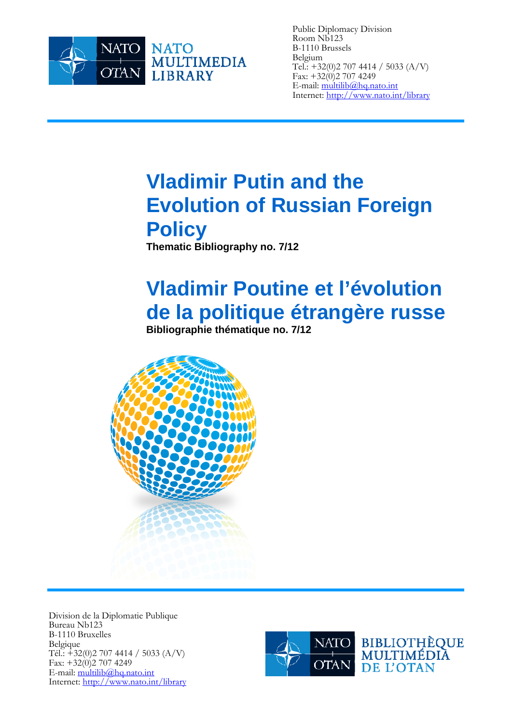

Public Diplomacy Division Room Nb123 B-1110 Brussels Belgium Tel.: +32(0)2 707 4414 / 5033 (A/V) Fax:  $+32(0)27074249$ E-mail: multilib@hq.nato.int Internet: http://www.nato.int/library

# **Vladimir Putin and the Evolution of Russian Foreign Policy**

**Thematic Bibliography no. 7/12** 

# **Vladimir Poutine et l'évolution de la politique étrangère russe**

**Bibliographie thématique no. 7/12** 



Division de la Diplomatie Publique Bureau Nb123 B-1110 Bruxelles Belgique Tél.:  $\div$ 32(0)2 707 4414 / 5033 (A/V) Fax:  $+32(0)27074249$ E-mail: multilib@hq.nato.int Internet: http://www.nato.int/library

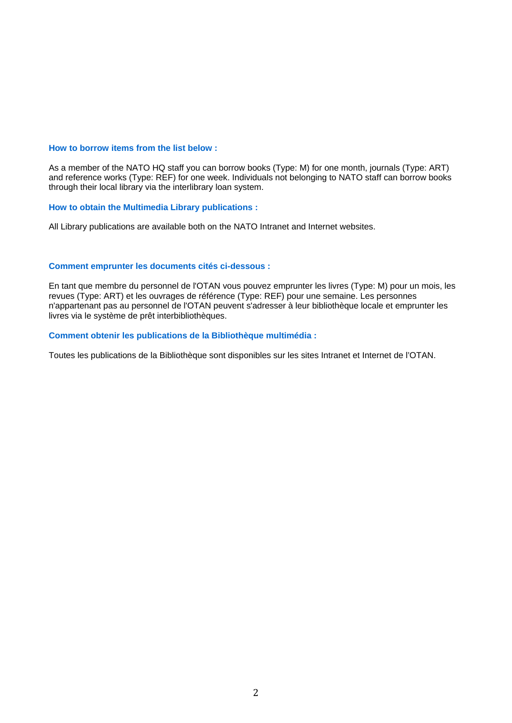#### **How to borrow items from the list below :**

As a member of the NATO HQ staff you can borrow books (Type: M) for one month, journals (Type: ART) and reference works (Type: REF) for one week. Individuals not belonging to NATO staff can borrow books through their local library via the interlibrary loan system.

#### **How to obtain the Multimedia Library publications :**

All Library publications are available both on the NATO Intranet and Internet websites.

#### **Comment emprunter les documents cités ci-dessous :**

En tant que membre du personnel de l'OTAN vous pouvez emprunter les livres (Type: M) pour un mois, les revues (Type: ART) et les ouvrages de référence (Type: REF) pour une semaine. Les personnes n'appartenant pas au personnel de l'OTAN peuvent s'adresser à leur bibliothèque locale et emprunter les livres via le système de prêt interbibliothèques.

#### **Comment obtenir les publications de la Bibliothèque multimédia :**

Toutes les publications de la Bibliothèque sont disponibles sur les sites Intranet et Internet de l'OTAN.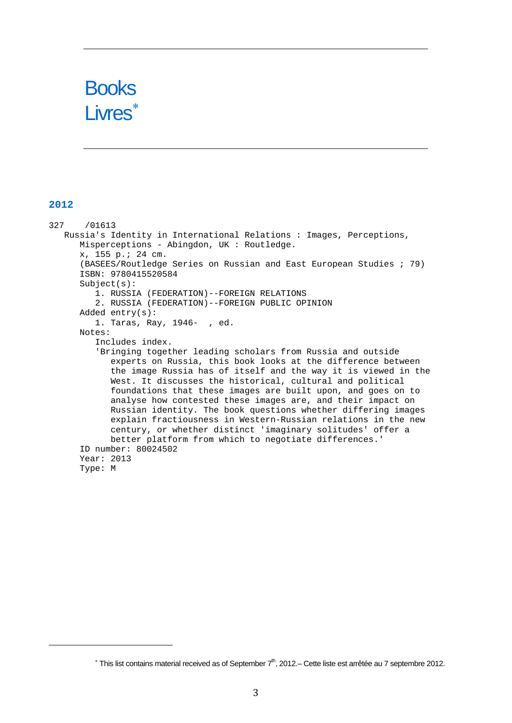

## **2012**

327 /01613 Russia's Identity in International Relations : Images, Perceptions, Misperceptions - Abingdon, UK : Routledge. x, 155 p.; 24 cm. (BASEES/Routledge Series on Russian and East European Studies ; 79) ISBN: 9780415520584 Subject(s): 1. RUSSIA (FEDERATION)--FOREIGN RELATIONS 2. RUSSIA (FEDERATION)--FOREIGN PUBLIC OPINION Added entry(s): 1. Taras, Ray, 1946- , ed. Notes: Includes index. 'Bringing together leading scholars from Russia and outside experts on Russia, this book looks at the difference between the image Russia has of itself and the way it is viewed in the West. It discusses the historical, cultural and political foundations that these images are built upon, and goes on to analyse how contested these images are, and their impact on Russian identity. The book questions whether differing images explain fractiousness in Western-Russian relations in the new century, or whether distinct 'imaginary solitudes' offer a better platform from which to negotiate differences.' ID number: 80024502 Year: 2013 Type: M

<span id="page-2-0"></span> $*$  This list contains material received as of September  $7<sup>th</sup>$ , 2012.– Cette liste est arrêtée au 7 septembre 2012.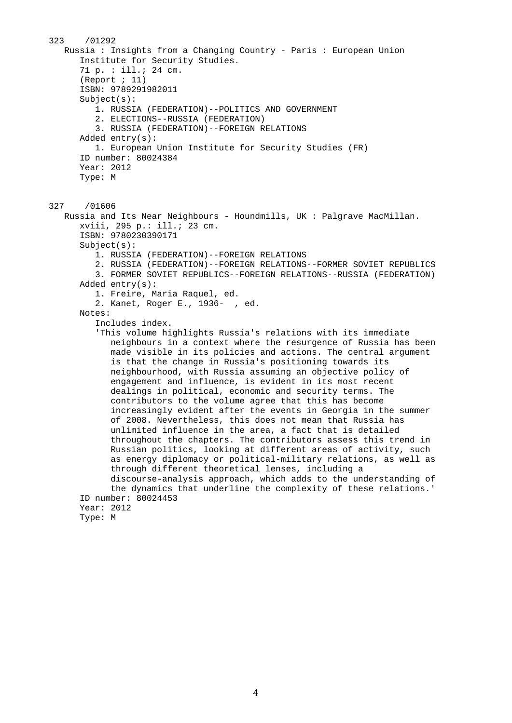```
323 /01292 
    Russia : Insights from a Changing Country - Paris : European Union 
       Institute for Security Studies. 
       71 p. : ill.; 24 cm. 
       (Report ; 11) 
       ISBN: 9789291982011 
       Subject(s): 
          1. RUSSIA (FEDERATION)--POLITICS AND GOVERNMENT 
          2. ELECTIONS--RUSSIA (FEDERATION) 
          3. RUSSIA (FEDERATION)--FOREIGN RELATIONS 
       Added entry(s): 
          1. European Union Institute for Security Studies (FR) 
       ID number: 80024384 
       Year: 2012 
       Type: M 
327 /01606 
    Russia and Its Near Neighbours - Houndmills, UK : Palgrave MacMillan. 
       xviii, 295 p.: ill.; 23 cm. 
       ISBN: 9780230390171 
       Subject(s): 
          1. RUSSIA (FEDERATION)--FOREIGN RELATIONS 
          2. RUSSIA (FEDERATION)--FOREIGN RELATIONS--FORMER SOVIET REPUBLICS 
          3. FORMER SOVIET REPUBLICS--FOREIGN RELATIONS--RUSSIA (FEDERATION) 
       Added entry(s): 
          1. Freire, Maria Raquel, ed. 
          2. Kanet, Roger E., 1936- , ed. 
       Notes: 
          Includes index. 
          'This volume highlights Russia's relations with its immediate 
             neighbours in a context where the resurgence of Russia has been 
             made visible in its policies and actions. The central argument 
             is that the change in Russia's positioning towards its 
             neighbourhood, with Russia assuming an objective policy of 
             engagement and influence, is evident in its most recent 
             dealings in political, economic and security terms. The 
             contributors to the volume agree that this has become 
             increasingly evident after the events in Georgia in the summer 
             of 2008. Nevertheless, this does not mean that Russia has 
             unlimited influence in the area, a fact that is detailed 
             throughout the chapters. The contributors assess this trend in 
             Russian politics, looking at different areas of activity, such 
             as energy diplomacy or political-military relations, as well as 
             through different theoretical lenses, including a 
             discourse-analysis approach, which adds to the understanding of 
             the dynamics that underline the complexity of these relations.' 
       ID number: 80024453 
       Year: 2012 
       Type: M
```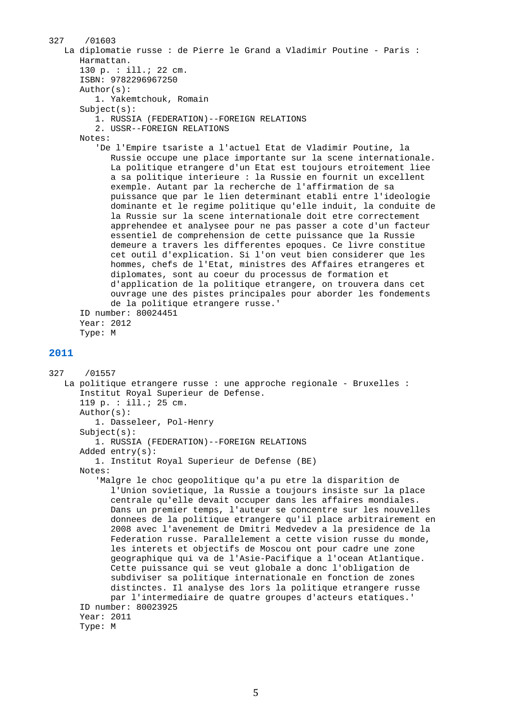```
327 /01603 
    La diplomatie russe : de Pierre le Grand a Vladimir Poutine - Paris : 
       Harmattan. 
       130 p. : ill.; 22 cm. 
       ISBN: 9782296967250 
       Author(s): 
          1. Yakemtchouk, Romain 
       Subject(s): 
          1. RUSSIA (FEDERATION)--FOREIGN RELATIONS 
          2. USSR--FOREIGN RELATIONS 
       Notes: 
          'De l'Empire tsariste a l'actuel Etat de Vladimir Poutine, la 
             Russie occupe une place importante sur la scene internationale. 
             La politique etrangere d'un Etat est toujours etroitement liee 
             a sa politique interieure : la Russie en fournit un excellent 
             exemple. Autant par la recherche de l'affirmation de sa 
             puissance que par le lien determinant etabli entre l'ideologie 
             dominante et le regime politique qu'elle induit, la conduite de 
             la Russie sur la scene internationale doit etre correctement 
             apprehendee et analysee pour ne pas passer a cote d'un facteur 
             essentiel de comprehension de cette puissance que la Russie 
             demeure a travers les differentes epoques. Ce livre constitue 
             cet outil d'explication. Si l'on veut bien considerer que les 
             hommes, chefs de l'Etat, ministres des Affaires etrangeres et 
             diplomates, sont au coeur du processus de formation et 
             d'application de la politique etrangere, on trouvera dans cet 
             ouvrage une des pistes principales pour aborder les fondements 
             de la politique etrangere russe.' 
       ID number: 80024451 
       Year: 2012 
       Type: M 
2011 
327 /01557 
    La politique etrangere russe : une approche regionale - Bruxelles : 
       Institut Royal Superieur de Defense. 
       119 p. : ill.; 25 cm. 
       Author(s): 
          1. Dasseleer, Pol-Henry 
       Subject(s): 
          1. RUSSIA (FEDERATION)--FOREIGN RELATIONS 
       Added entry(s): 
          1. Institut Royal Superieur de Defense (BE) 
       Notes: 
          'Malgre le choc geopolitique qu'a pu etre la disparition de 
             l'Union sovietique, la Russie a toujours insiste sur la place 
             centrale qu'elle devait occuper dans les affaires mondiales. 
             Dans un premier temps, l'auteur se concentre sur les nouvelles 
             donnees de la politique etrangere qu'il place arbitrairement en 
             2008 avec l'avenement de Dmitri Medvedev a la presidence de la 
             Federation russe. Parallelement a cette vision russe du monde, 
             les interets et objectifs de Moscou ont pour cadre une zone 
             geographique qui va de l'Asie-Pacifique a l'ocean Atlantique. 
             Cette puissance qui se veut globale a donc l'obligation de 
             subdiviser sa politique internationale en fonction de zones 
             distinctes. Il analyse des lors la politique etrangere russe 
             par l'intermediaire de quatre groupes d'acteurs etatiques.' 
       ID number: 80023925 
       Year: 2011 
       Type: M
```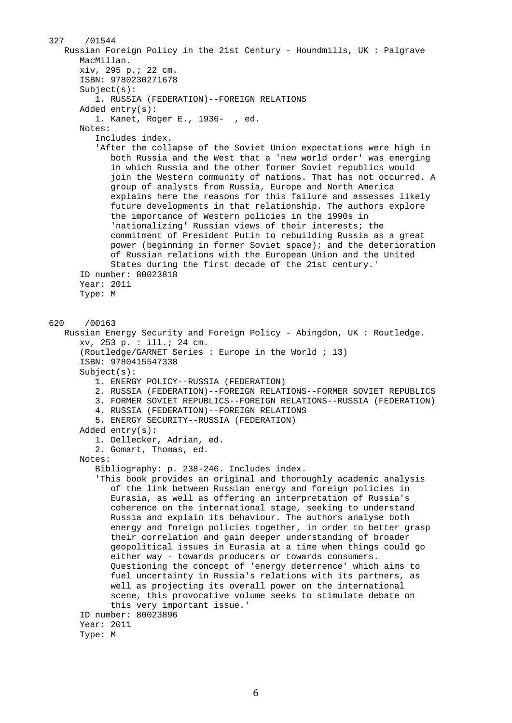```
327 /01544 
    Russian Foreign Policy in the 21st Century - Houndmills, UK : Palgrave 
       MacMillan. 
       xiv, 295 p.; 22 cm. 
       ISBN: 9780230271678 
       Subject(s): 
          1. RUSSIA (FEDERATION)--FOREIGN RELATIONS 
       Added entry(s): 
          1. Kanet, Roger E., 1936- , ed. 
       Notes: 
          Includes index. 
          'After the collapse of the Soviet Union expectations were high in 
             both Russia and the West that a 'new world order' was emerging 
             in which Russia and the other former Soviet republics would 
             join the Western community of nations. That has not occurred. A 
             group of analysts from Russia, Europe and North America 
             explains here the reasons for this failure and assesses likely 
             future developments in that relationship. The authors explore 
             the importance of Western policies in the 1990s in 
             'nationalizing' Russian views of their interests; the 
             commitment of President Putin to rebuilding Russia as a great 
             power (beginning in former Soviet space); and the deterioration 
             of Russian relations with the European Union and the United 
             States during the first decade of the 21st century.' 
       ID number: 80023818 
       Year: 2011 
       Type: M 
620 /00163 
    Russian Energy Security and Foreign Policy - Abingdon, UK : Routledge. 
       xv, 253 p. : ill.; 24 cm. 
       (Routledge/GARNET Series : Europe in the World ; 13) 
       ISBN: 9780415547338 
       Subject(s): 
          1. ENERGY POLICY--RUSSIA (FEDERATION) 
          2. RUSSIA (FEDERATION)--FOREIGN RELATIONS--FORMER SOVIET REPUBLICS 
          3. FORMER SOVIET REPUBLICS--FOREIGN RELATIONS--RUSSIA (FEDERATION) 
          4. RUSSIA (FEDERATION)--FOREIGN RELATIONS 
          5. ENERGY SECURITY--RUSSIA (FEDERATION) 
       Added entry(s): 
          1. Dellecker, Adrian, ed. 
          2. Gomart, Thomas, ed. 
       Notes: 
          Bibliography: p. 238-246. Includes index. 
          'This book provides an original and thoroughly academic analysis 
             of the link between Russian energy and foreign policies in 
             Eurasia, as well as offering an interpretation of Russia's 
             coherence on the international stage, seeking to understand 
             Russia and explain its behaviour. The authors analyse both 
             energy and foreign policies together, in order to better grasp 
             their correlation and gain deeper understanding of broader 
             geopolitical issues in Eurasia at a time when things could go 
             either way - towards producers or towards consumers. 
             Questioning the concept of 'energy deterrence' which aims to 
             fuel uncertainty in Russia's relations with its partners, as 
             well as projecting its overall power on the international 
             scene, this provocative volume seeks to stimulate debate on 
             this very important issue.' 
       ID number: 80023896 
       Year: 2011 
       Type: M
```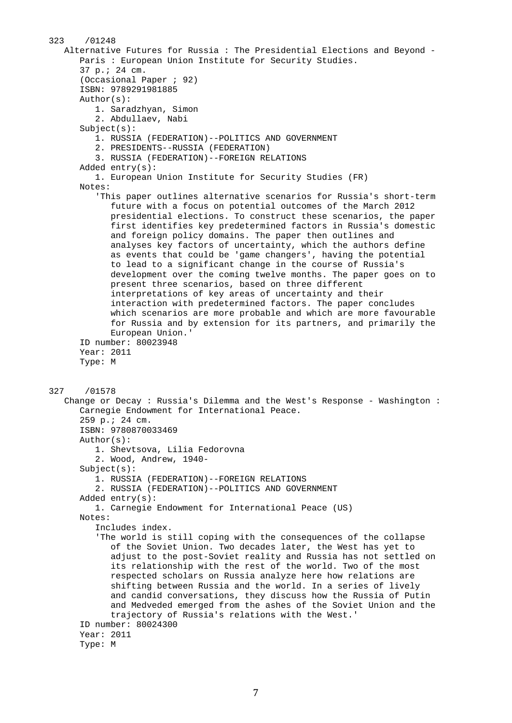```
323 /01248 
    Alternative Futures for Russia : The Presidential Elections and Beyond - 
       Paris : European Union Institute for Security Studies. 
       37 p.; 24 cm. 
       (Occasional Paper ; 92) 
       ISBN: 9789291981885 
       Author(s): 
          1. Saradzhyan, Simon 
          2. Abdullaev, Nabi 
       Subject(s): 
          1. RUSSIA (FEDERATION)--POLITICS AND GOVERNMENT 
          2. PRESIDENTS--RUSSIA (FEDERATION) 
          3. RUSSIA (FEDERATION)--FOREIGN RELATIONS 
       Added entry(s): 
          1. European Union Institute for Security Studies (FR) 
       Notes: 
          'This paper outlines alternative scenarios for Russia's short-term 
             future with a focus on potential outcomes of the March 2012 
             presidential elections. To construct these scenarios, the paper 
             first identifies key predetermined factors in Russia's domestic 
             and foreign policy domains. The paper then outlines and 
             analyses key factors of uncertainty, which the authors define 
             as events that could be 'game changers', having the potential 
             to lead to a significant change in the course of Russia's 
             development over the coming twelve months. The paper goes on to 
             present three scenarios, based on three different 
             interpretations of key areas of uncertainty and their 
             interaction with predetermined factors. The paper concludes 
             which scenarios are more probable and which are more favourable 
             for Russia and by extension for its partners, and primarily the 
             European Union.' 
       ID number: 80023948 
       Year: 2011 
       Type: M 
327 /01578 
    Change or Decay : Russia's Dilemma and the West's Response - Washington : 
       Carnegie Endowment for International Peace. 
       259 p.; 24 cm. 
       ISBN: 9780870033469 
       Author(s): 
          1. Shevtsova, Lilia Fedorovna 
          2. Wood, Andrew, 1940- 
       Subject(s): 
          1. RUSSIA (FEDERATION)--FOREIGN RELATIONS 
          2. RUSSIA (FEDERATION)--POLITICS AND GOVERNMENT 
       Added entry(s): 
          1. Carnegie Endowment for International Peace (US) 
       Notes: 
          Includes index. 
          'The world is still coping with the consequences of the collapse 
             of the Soviet Union. Two decades later, the West has yet to 
             adjust to the post-Soviet reality and Russia has not settled on 
             its relationship with the rest of the world. Two of the most 
             respected scholars on Russia analyze here how relations are 
             shifting between Russia and the world. In a series of lively 
             and candid conversations, they discuss how the Russia of Putin 
             and Medveded emerged from the ashes of the Soviet Union and the 
             trajectory of Russia's relations with the West.' 
       ID number: 80024300 
       Year: 2011 
       Type: M
```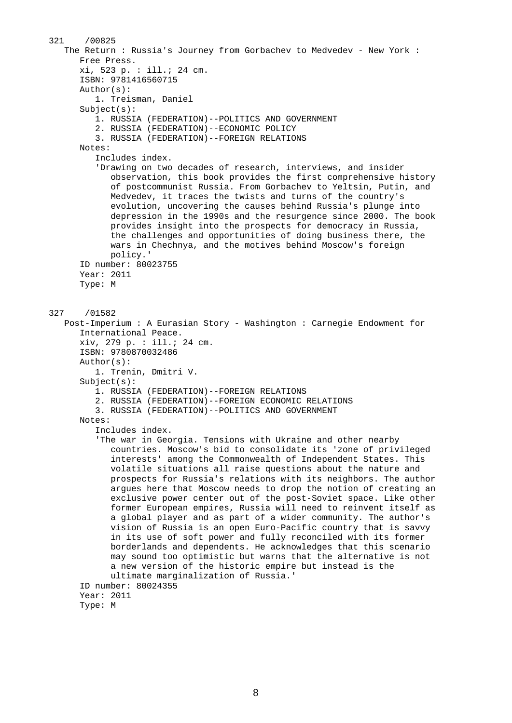```
321 /00825 
    The Return : Russia's Journey from Gorbachev to Medvedev - New York : 
       Free Press. 
       xi, 523 p. : ill.; 24 cm. 
       ISBN: 9781416560715 
       Author(s): 
          1. Treisman, Daniel 
       Subject(s): 
          1. RUSSIA (FEDERATION)--POLITICS AND GOVERNMENT 
          2. RUSSIA (FEDERATION)--ECONOMIC POLICY 
          3. RUSSIA (FEDERATION)--FOREIGN RELATIONS 
       Notes: 
          Includes index. 
          'Drawing on two decades of research, interviews, and insider 
             observation, this book provides the first comprehensive history 
             of postcommunist Russia. From Gorbachev to Yeltsin, Putin, and 
             Medvedev, it traces the twists and turns of the country's 
             evolution, uncovering the causes behind Russia's plunge into 
             depression in the 1990s and the resurgence since 2000. The book 
             provides insight into the prospects for democracy in Russia, 
             the challenges and opportunities of doing business there, the 
             wars in Chechnya, and the motives behind Moscow's foreign 
             policy.' 
       ID number: 80023755 
       Year: 2011 
       Type: M 
327 /01582 
    Post-Imperium : A Eurasian Story - Washington : Carnegie Endowment for 
       International Peace. 
       xiv, 279 p. : ill.; 24 cm. 
       ISBN: 9780870032486 
       Author(s): 
          1. Trenin, Dmitri V. 
       Subject(s): 
          1. RUSSIA (FEDERATION)--FOREIGN RELATIONS 
          2. RUSSIA (FEDERATION)--FOREIGN ECONOMIC RELATIONS 
          3. RUSSIA (FEDERATION)--POLITICS AND GOVERNMENT 
       Notes: 
          Includes index. 
          'The war in Georgia. Tensions with Ukraine and other nearby 
             countries. Moscow's bid to consolidate its 'zone of privileged 
             interests' among the Commonwealth of Independent States. This 
             volatile situations all raise questions about the nature and 
             prospects for Russia's relations with its neighbors. The author 
             argues here that Moscow needs to drop the notion of creating an 
             exclusive power center out of the post-Soviet space. Like other 
             former European empires, Russia will need to reinvent itself as 
             a global player and as part of a wider community. The author's 
             vision of Russia is an open Euro-Pacific country that is savvy 
             in its use of soft power and fully reconciled with its former 
             borderlands and dependents. He acknowledges that this scenario 
             may sound too optimistic but warns that the alternative is not 
             a new version of the historic empire but instead is the 
             ultimate marginalization of Russia.' 
       ID number: 80024355 
       Year: 2011 
       Type: M
```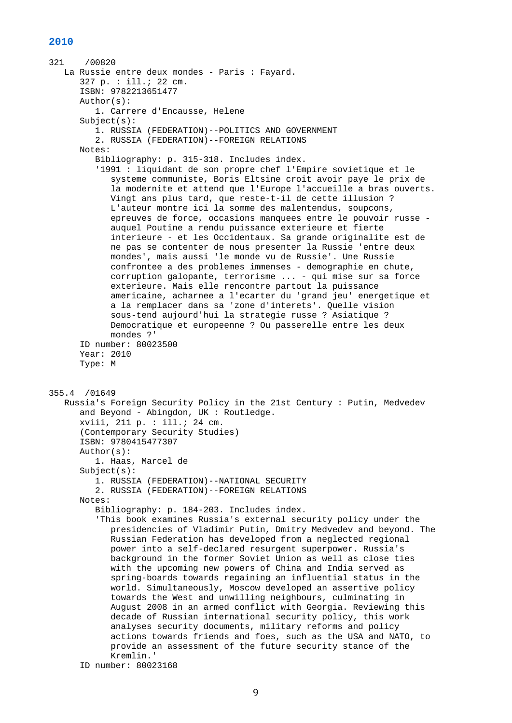```
321 /00820 
    La Russie entre deux mondes - Paris : Fayard. 
       327 p. : ill.; 22 cm. 
       ISBN: 9782213651477 
       Author(s): 
          1. Carrere d'Encausse, Helene 
       Subject(s): 
          1. RUSSIA (FEDERATION)--POLITICS AND GOVERNMENT 
          2. RUSSIA (FEDERATION)--FOREIGN RELATIONS 
       Notes: 
          Bibliography: p. 315-318. Includes index. 
          '1991 : liquidant de son propre chef l'Empire sovietique et le 
             systeme communiste, Boris Eltsine croit avoir paye le prix de 
             la modernite et attend que l'Europe l'accueille a bras ouverts. 
             Vingt ans plus tard, que reste-t-il de cette illusion ? 
             L'auteur montre ici la somme des malentendus, soupcons, 
             epreuves de force, occasions manquees entre le pouvoir russe - 
             auquel Poutine a rendu puissance exterieure et fierte 
             interieure - et les Occidentaux. Sa grande originalite est de 
             ne pas se contenter de nous presenter la Russie 'entre deux 
             mondes', mais aussi 'le monde vu de Russie'. Une Russie 
             confrontee a des problemes immenses - demographie en chute, 
             corruption galopante, terrorisme ... - qui mise sur sa force 
             exterieure. Mais elle rencontre partout la puissance 
             americaine, acharnee a l'ecarter du 'grand jeu' energetique et 
             a la remplacer dans sa 'zone d'interets'. Quelle vision 
             sous-tend aujourd'hui la strategie russe ? Asiatique ? 
             Democratique et europeenne ? Ou passerelle entre les deux 
             mondes ?' 
       ID number: 80023500 
       Year: 2010 
       Type: M 
355.4 /01649 
    Russia's Foreign Security Policy in the 21st Century : Putin, Medvedev 
       and Beyond - Abingdon, UK : Routledge. 
       xviii, 211 p. : ill.; 24 cm. 
       (Contemporary Security Studies) 
       ISBN: 9780415477307 
       Author(s): 
          1. Haas, Marcel de 
       Subject(s): 
          1. RUSSIA (FEDERATION)--NATIONAL SECURITY 
          2. RUSSIA (FEDERATION)--FOREIGN RELATIONS 
       Notes: 
          Bibliography: p. 184-203. Includes index. 
          'This book examines Russia's external security policy under the 
             presidencies of Vladimir Putin, Dmitry Medvedev and beyond. The 
             Russian Federation has developed from a neglected regional 
             power into a self-declared resurgent superpower. Russia's 
             background in the former Soviet Union as well as close ties 
             with the upcoming new powers of China and India served as 
             spring-boards towards regaining an influential status in the 
             world. Simultaneously, Moscow developed an assertive policy 
             towards the West and unwilling neighbours, culminating in 
             August 2008 in an armed conflict with Georgia. Reviewing this 
             decade of Russian international security policy, this work 
             analyses security documents, military reforms and policy 
             actions towards friends and foes, such as the USA and NATO, to 
             provide an assessment of the future security stance of the 
             Kremlin.'
```

```
 ID number: 80023168
```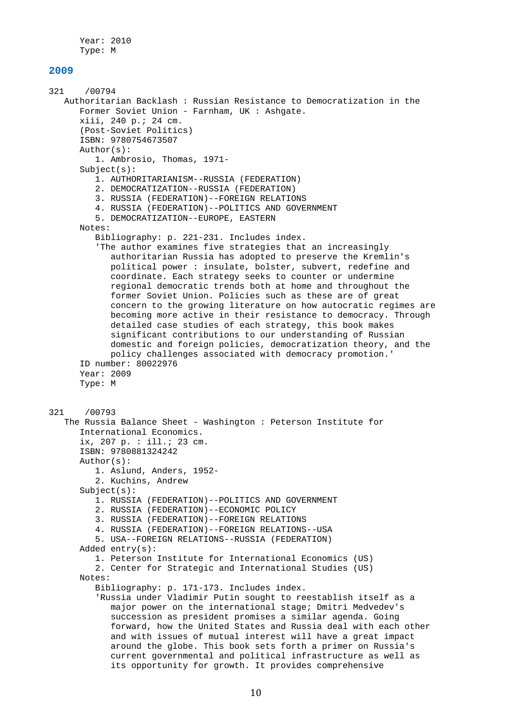Year: 2010 Type: M

#### **2009**

321 /00794 Authoritarian Backlash : Russian Resistance to Democratization in the Former Soviet Union - Farnham, UK : Ashgate. xiii, 240 p.; 24 cm. (Post-Soviet Politics) ISBN: 9780754673507 Author(s): 1. Ambrosio, Thomas, 1971- Subject(s): 1. AUTHORITARIANISM--RUSSIA (FEDERATION) 2. DEMOCRATIZATION--RUSSIA (FEDERATION) 3. RUSSIA (FEDERATION)--FOREIGN RELATIONS 4. RUSSIA (FEDERATION)--POLITICS AND GOVERNMENT 5. DEMOCRATIZATION--EUROPE, EASTERN Notes: Bibliography: p. 221-231. Includes index. 'The author examines five strategies that an increasingly authoritarian Russia has adopted to preserve the Kremlin's political power : insulate, bolster, subvert, redefine and coordinate. Each strategy seeks to counter or undermine regional democratic trends both at home and throughout the former Soviet Union. Policies such as these are of great concern to the growing literature on how autocratic regimes are becoming more active in their resistance to democracy. Through detailed case studies of each strategy, this book makes significant contributions to our understanding of Russian domestic and foreign policies, democratization theory, and the policy challenges associated with democracy promotion.' ID number: 80022976 Year: 2009 Type: M 321 /00793 The Russia Balance Sheet - Washington : Peterson Institute for International Economics. ix, 207 p. : ill.; 23 cm. ISBN: 9780881324242 Author(s): 1. Aslund, Anders, 1952- 2. Kuchins, Andrew Subject(s): 1. RUSSIA (FEDERATION)--POLITICS AND GOVERNMENT 2. RUSSIA (FEDERATION)--ECONOMIC POLICY 3. RUSSIA (FEDERATION)--FOREIGN RELATIONS 4. RUSSIA (FEDERATION)--FOREIGN RELATIONS--USA 5. USA--FOREIGN RELATIONS--RUSSIA (FEDERATION) Added entry(s): 1. Peterson Institute for International Economics (US) 2. Center for Strategic and International Studies (US) Notes: Bibliography: p. 171-173. Includes index. 'Russia under Vladimir Putin sought to reestablish itself as a major power on the international stage; Dmitri Medvedev's succession as president promises a similar agenda. Going forward, how the United States and Russia deal with each other and with issues of mutual interest will have a great impact around the globe. This book sets forth a primer on Russia's current governmental and political infrastructure as well as its opportunity for growth. It provides comprehensive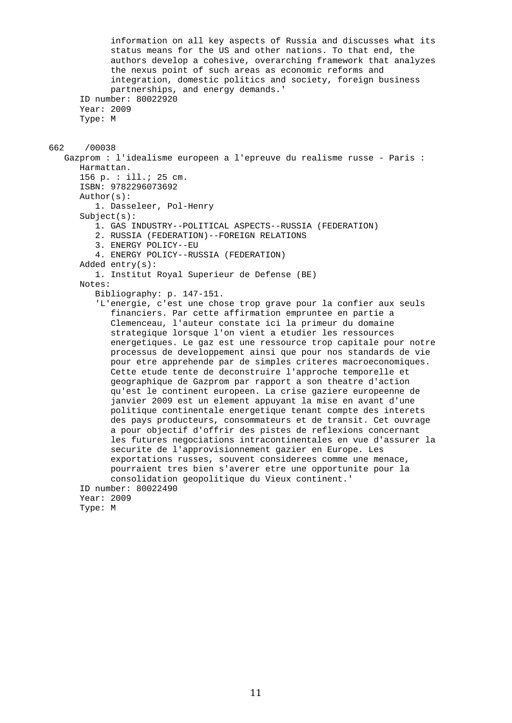```
 information on all key aspects of Russia and discusses what its 
             status means for the US and other nations. To that end, the 
             authors develop a cohesive, overarching framework that analyzes 
             the nexus point of such areas as economic reforms and 
             integration, domestic politics and society, foreign business 
             partnerships, and energy demands.' 
       ID number: 80022920 
       Year: 2009 
       Type: M 
662 /00038 
    Gazprom : l'idealisme europeen a l'epreuve du realisme russe - Paris : 
       Harmattan. 
       156 p. : ill.; 25 cm. 
       ISBN: 9782296073692 
       Author(s): 
          1. Dasseleer, Pol-Henry 
       Subject(s): 
          1. GAS INDUSTRY--POLITICAL ASPECTS--RUSSIA (FEDERATION) 
          2. RUSSIA (FEDERATION)--FOREIGN RELATIONS 
          3. ENERGY POLICY--EU 
          4. ENERGY POLICY--RUSSIA (FEDERATION) 
       Added entry(s): 
          1. Institut Royal Superieur de Defense (BE) 
       Notes: 
          Bibliography: p. 147-151. 
          'L'energie, c'est une chose trop grave pour la confier aux seuls 
             financiers. Par cette affirmation empruntee en partie a 
             Clemenceau, l'auteur constate ici la primeur du domaine 
             strategique lorsque l'on vient a etudier les ressources 
             energetiques. Le gaz est une ressource trop capitale pour notre 
             processus de developpement ainsi que pour nos standards de vie 
             pour etre apprehende par de simples criteres macroeconomiques. 
             Cette etude tente de deconstruire l'approche temporelle et 
             geographique de Gazprom par rapport a son theatre d'action 
             qu'est le continent europeen. La crise gaziere europeenne de 
             janvier 2009 est un element appuyant la mise en avant d'une 
             politique continentale energetique tenant compte des interets 
             des pays producteurs, consommateurs et de transit. Cet ouvrage 
             a pour objectif d'offrir des pistes de reflexions concernant 
             les futures negociations intracontinentales en vue d'assurer la 
             securite de l'approvisionnement gazier en Europe. Les 
             exportations russes, souvent considerees comme une menace, 
             pourraient tres bien s'averer etre une opportunite pour la 
             consolidation geopolitique du Vieux continent.' 
       ID number: 80022490 
       Year: 2009 
       Type: M
```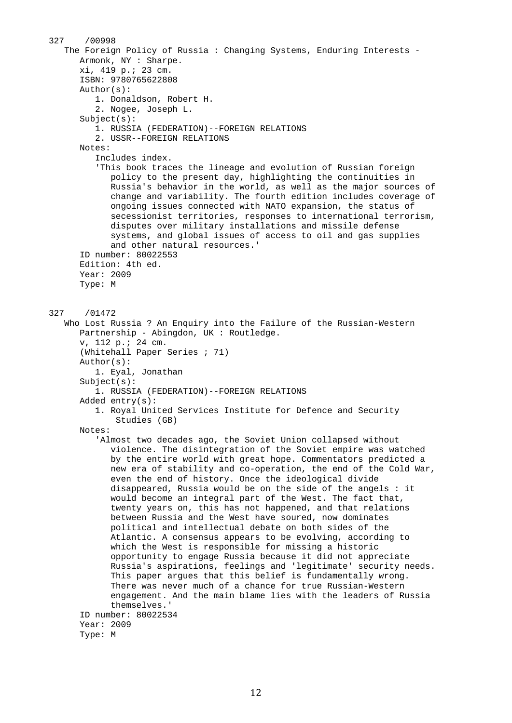327 /00998 The Foreign Policy of Russia : Changing Systems, Enduring Interests - Armonk, NY : Sharpe. xi, 419 p.; 23 cm. ISBN: 9780765622808 Author(s): 1. Donaldson, Robert H. 2. Nogee, Joseph L.  $Subject(s):$  1. RUSSIA (FEDERATION)--FOREIGN RELATIONS 2. USSR--FOREIGN RELATIONS Notes: Includes index. 'This book traces the lineage and evolution of Russian foreign policy to the present day, highlighting the continuities in Russia's behavior in the world, as well as the major sources of change and variability. The fourth edition includes coverage of ongoing issues connected with NATO expansion, the status of secessionist territories, responses to international terrorism, disputes over military installations and missile defense systems, and global issues of access to oil and gas supplies and other natural resources.' ID number: 80022553 Edition: 4th ed. Year: 2009 Type: M 327 /01472 Who Lost Russia ? An Enquiry into the Failure of the Russian-Western Partnership - Abingdon, UK : Routledge. v, 112 p.; 24 cm. (Whitehall Paper Series ; 71) Author(s): 1. Eyal, Jonathan Subject(s): 1. RUSSIA (FEDERATION)--FOREIGN RELATIONS Added entry(s): 1. Royal United Services Institute for Defence and Security Studies (GB) Notes: 'Almost two decades ago, the Soviet Union collapsed without violence. The disintegration of the Soviet empire was watched by the entire world with great hope. Commentators predicted a new era of stability and co-operation, the end of the Cold War, even the end of history. Once the ideological divide disappeared, Russia would be on the side of the angels : it would become an integral part of the West. The fact that, twenty years on, this has not happened, and that relations between Russia and the West have soured, now dominates political and intellectual debate on both sides of the Atlantic. A consensus appears to be evolving, according to which the West is responsible for missing a historic opportunity to engage Russia because it did not appreciate Russia's aspirations, feelings and 'legitimate' security needs. This paper argues that this belief is fundamentally wrong. There was never much of a chance for true Russian-Western engagement. And the main blame lies with the leaders of Russia themselves.' ID number: 80022534 Year: 2009 Type: M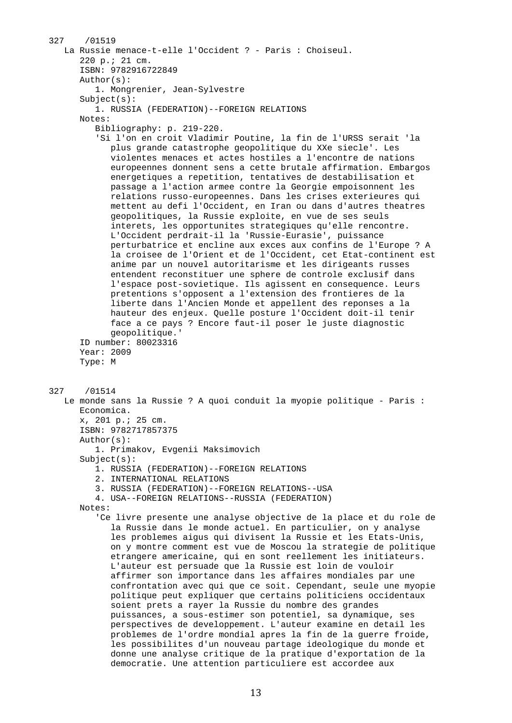```
327 /01519 
    La Russie menace-t-elle l'Occident ? - Paris : Choiseul. 
       220 p.; 21 cm. 
       ISBN: 9782916722849 
       Author(s): 
          1. Mongrenier, Jean-Sylvestre 
       Subject(s): 
          1. RUSSIA (FEDERATION)--FOREIGN RELATIONS 
       Notes: 
          Bibliography: p. 219-220. 
          'Si l'on en croit Vladimir Poutine, la fin de l'URSS serait 'la 
             plus grande catastrophe geopolitique du XXe siecle'. Les 
             violentes menaces et actes hostiles a l'encontre de nations 
             europeennes donnent sens a cette brutale affirmation. Embargos 
             energetiques a repetition, tentatives de destabilisation et 
             passage a l'action armee contre la Georgie empoisonnent les 
             relations russo-europeennes. Dans les crises exterieures qui 
             mettent au defi l'Occident, en Iran ou dans d'autres theatres 
             geopolitiques, la Russie exploite, en vue de ses seuls 
             interets, les opportunites strategiques qu'elle rencontre. 
             L'Occident perdrait-il la 'Russie-Eurasie', puissance 
             perturbatrice et encline aux exces aux confins de l'Europe ? A 
             la croisee de l'Orient et de l'Occident, cet Etat-continent est 
             anime par un nouvel autoritarisme et les dirigeants russes 
             entendent reconstituer une sphere de controle exclusif dans 
             l'espace post-sovietique. Ils agissent en consequence. Leurs 
             pretentions s'opposent a l'extension des frontieres de la 
             liberte dans l'Ancien Monde et appellent des reponses a la 
             hauteur des enjeux. Quelle posture l'Occident doit-il tenir 
             face a ce pays ? Encore faut-il poser le juste diagnostic 
             geopolitique.' 
       ID number: 80023316 
       Year: 2009 
       Type: M 
327 /01514 
    Le monde sans la Russie ? A quoi conduit la myopie politique - Paris : 
       Economica. 
       x, 201 p.; 25 cm. 
       ISBN: 9782717857375 
       Author(s): 
          1. Primakov, Evgenii Maksimovich 
       Subject(s): 
          1. RUSSIA (FEDERATION)--FOREIGN RELATIONS 
          2. INTERNATIONAL RELATIONS 
          3. RUSSIA (FEDERATION)--FOREIGN RELATIONS--USA 
          4. USA--FOREIGN RELATIONS--RUSSIA (FEDERATION) 
       Notes: 
          'Ce livre presente une analyse objective de la place et du role de 
             la Russie dans le monde actuel. En particulier, on y analyse 
             les problemes aigus qui divisent la Russie et les Etats-Unis, 
             on y montre comment est vue de Moscou la strategie de politique 
             etrangere americaine, qui en sont reellement les initiateurs. 
             L'auteur est persuade que la Russie est loin de vouloir 
             affirmer son importance dans les affaires mondiales par une 
             confrontation avec qui que ce soit. Cependant, seule une myopie 
             politique peut expliquer que certains politiciens occidentaux 
             soient prets a rayer la Russie du nombre des grandes 
             puissances, a sous-estimer son potentiel, sa dynamique, ses 
             perspectives de developpement. L'auteur examine en detail les 
             problemes de l'ordre mondial apres la fin de la guerre froide, 
             les possibilites d'un nouveau partage ideologique du monde et 
             donne une analyse critique de la pratique d'exportation de la 
             democratie. Une attention particuliere est accordee aux
```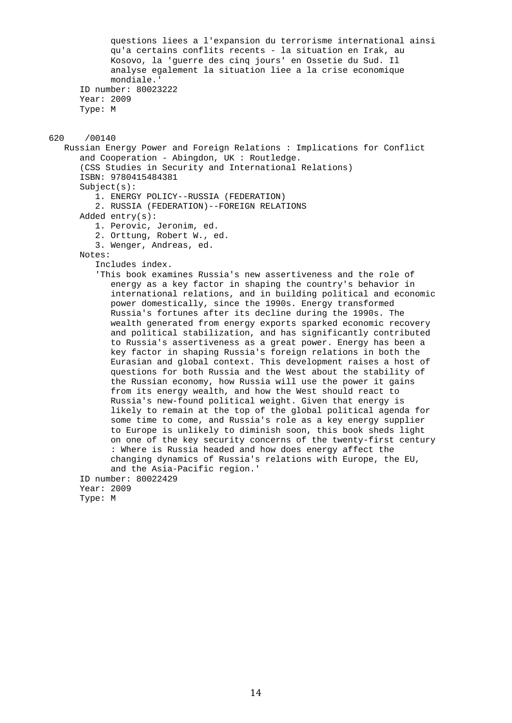```
 questions liees a l'expansion du terrorisme international ainsi 
             qu'a certains conflits recents - la situation en Irak, au 
             Kosovo, la 'guerre des cinq jours' en Ossetie du Sud. Il 
             analyse egalement la situation liee a la crise economique 
             mondiale.' 
       ID number: 80023222 
       Year: 2009 
       Type: M 
620 /00140 
    Russian Energy Power and Foreign Relations : Implications for Conflict 
       and Cooperation - Abingdon, UK : Routledge. 
       (CSS Studies in Security and International Relations) 
       ISBN: 9780415484381 
      Subject(s): 1. ENERGY POLICY--RUSSIA (FEDERATION) 
          2. RUSSIA (FEDERATION)--FOREIGN RELATIONS 
       Added entry(s): 
          1. Perovic, Jeronim, ed. 
          2. Orttung, Robert W., ed. 
          3. Wenger, Andreas, ed. 
       Notes: 
          Includes index. 
          'This book examines Russia's new assertiveness and the role of 
             energy as a key factor in shaping the country's behavior in 
             international relations, and in building political and economic 
             power domestically, since the 1990s. Energy transformed 
             Russia's fortunes after its decline during the 1990s. The 
             wealth generated from energy exports sparked economic recovery 
             and political stabilization, and has significantly contributed 
             to Russia's assertiveness as a great power. Energy has been a 
             key factor in shaping Russia's foreign relations in both the 
             Eurasian and global context. This development raises a host of 
             questions for both Russia and the West about the stability of 
             the Russian economy, how Russia will use the power it gains 
             from its energy wealth, and how the West should react to 
             Russia's new-found political weight. Given that energy is 
             likely to remain at the top of the global political agenda for 
             some time to come, and Russia's role as a key energy supplier 
             to Europe is unlikely to diminish soon, this book sheds light 
             on one of the key security concerns of the twenty-first century 
             : Where is Russia headed and how does energy affect the 
             changing dynamics of Russia's relations with Europe, the EU, 
             and the Asia-Pacific region.' 
       ID number: 80022429 
       Year: 2009 
       Type: M
```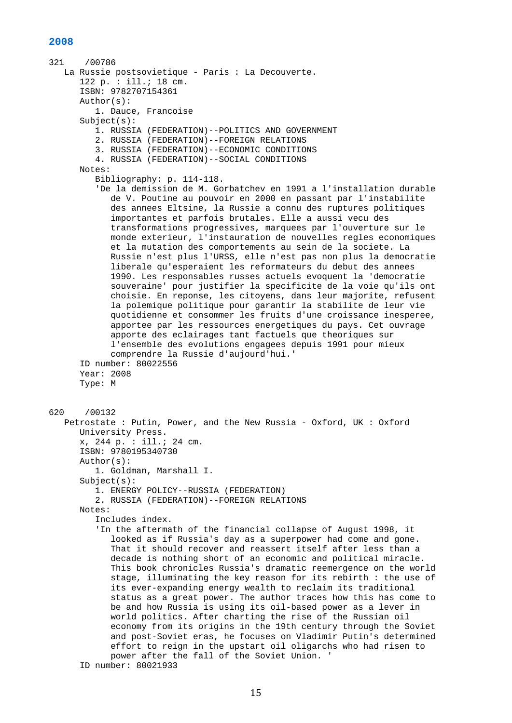```
321 /00786 
    La Russie postsovietique - Paris : La Decouverte. 
       122 p. : ill.; 18 cm. 
       ISBN: 9782707154361 
       Author(s): 
          1. Dauce, Francoise 
       Subject(s): 
          1. RUSSIA (FEDERATION)--POLITICS AND GOVERNMENT 
          2. RUSSIA (FEDERATION)--FOREIGN RELATIONS 
          3. RUSSIA (FEDERATION)--ECONOMIC CONDITIONS 
          4. RUSSIA (FEDERATION)--SOCIAL CONDITIONS 
       Notes: 
          Bibliography: p. 114-118. 
          'De la demission de M. Gorbatchev en 1991 a l'installation durable 
             de V. Poutine au pouvoir en 2000 en passant par l'instabilite 
             des annees Eltsine, la Russie a connu des ruptures politiques 
             importantes et parfois brutales. Elle a aussi vecu des 
             transformations progressives, marquees par l'ouverture sur le 
             monde exterieur, l'instauration de nouvelles regles economiques 
             et la mutation des comportements au sein de la societe. La 
             Russie n'est plus l'URSS, elle n'est pas non plus la democratie 
             liberale qu'esperaient les reformateurs du debut des annees 
             1990. Les responsables russes actuels evoquent la 'democratie 
             souveraine' pour justifier la specificite de la voie qu'ils ont 
             choisie. En reponse, les citoyens, dans leur majorite, refusent 
             la polemique politique pour garantir la stabilite de leur vie 
             quotidienne et consommer les fruits d'une croissance inesperee, 
             apportee par les ressources energetiques du pays. Cet ouvrage 
             apporte des eclairages tant factuels que theoriques sur 
             l'ensemble des evolutions engagees depuis 1991 pour mieux 
             comprendre la Russie d'aujourd'hui.' 
       ID number: 80022556 
       Year: 2008 
       Type: M 
620 /00132 
    Petrostate : Putin, Power, and the New Russia - Oxford, UK : Oxford 
       University Press. 
       x, 244 p. : ill.; 24 cm. 
       ISBN: 9780195340730 
       Author(s): 
          1. Goldman, Marshall I. 
       Subject(s): 
          1. ENERGY POLICY--RUSSIA (FEDERATION) 
          2. RUSSIA (FEDERATION)--FOREIGN RELATIONS 
       Notes: 
          Includes index. 
          'In the aftermath of the financial collapse of August 1998, it 
             looked as if Russia's day as a superpower had come and gone. 
             That it should recover and reassert itself after less than a 
             decade is nothing short of an economic and political miracle. 
             This book chronicles Russia's dramatic reemergence on the world 
             stage, illuminating the key reason for its rebirth : the use of 
             its ever-expanding energy wealth to reclaim its traditional 
             status as a great power. The author traces how this has come to 
             be and how Russia is using its oil-based power as a lever in 
             world politics. After charting the rise of the Russian oil 
             economy from its origins in the 19th century through the Soviet 
             and post-Soviet eras, he focuses on Vladimir Putin's determined 
             effort to reign in the upstart oil oligarchs who had risen to 
             power after the fall of the Soviet Union. ' 
       ID number: 80021933
```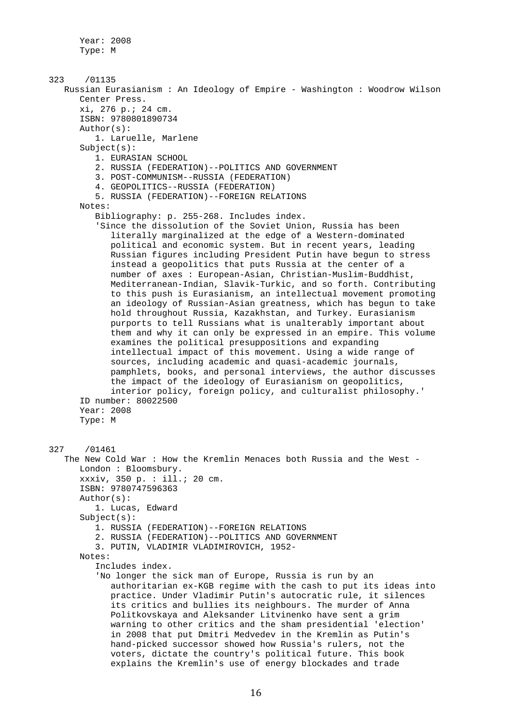Year: 2008 Type: M

323 /01135 Russian Eurasianism : An Ideology of Empire - Washington : Woodrow Wilson Center Press. xi, 276 p.; 24 cm. ISBN: 9780801890734 Author(s): 1. Laruelle, Marlene Subject(s): 1. EURASIAN SCHOOL 2. RUSSIA (FEDERATION)--POLITICS AND GOVERNMENT 3. POST-COMMUNISM--RUSSIA (FEDERATION) 4. GEOPOLITICS--RUSSIA (FEDERATION) 5. RUSSIA (FEDERATION)--FOREIGN RELATIONS Notes: Bibliography: p. 255-268. Includes index. 'Since the dissolution of the Soviet Union, Russia has been literally marginalized at the edge of a Western-dominated political and economic system. But in recent years, leading Russian figures including President Putin have begun to stress instead a geopolitics that puts Russia at the center of a number of axes : European-Asian, Christian-Muslim-Buddhist, Mediterranean-Indian, Slavik-Turkic, and so forth. Contributing to this push is Eurasianism, an intellectual movement promoting an ideology of Russian-Asian greatness, which has begun to take hold throughout Russia, Kazakhstan, and Turkey. Eurasianism purports to tell Russians what is unalterably important about them and why it can only be expressed in an empire. This volume examines the political presuppositions and expanding intellectual impact of this movement. Using a wide range of sources, including academic and quasi-academic journals, pamphlets, books, and personal interviews, the author discusses the impact of the ideology of Eurasianism on geopolitics, interior policy, foreign policy, and culturalist philosophy.' ID number: 80022500 Year: 2008 Type: M 327 /01461 The New Cold War : How the Kremlin Menaces both Russia and the West - London : Bloomsbury. xxxiv, 350 p. : ill.; 20 cm. ISBN: 9780747596363 Author(s): 1. Lucas, Edward Subject(s): 1. RUSSIA (FEDERATION)--FOREIGN RELATIONS 2. RUSSIA (FEDERATION)--POLITICS AND GOVERNMENT 3. PUTIN, VLADIMIR VLADIMIROVICH, 1952- Notes: Includes index. 'No longer the sick man of Europe, Russia is run by an authoritarian ex-KGB regime with the cash to put its ideas into practice. Under Vladimir Putin's autocratic rule, it silences its critics and bullies its neighbours. The murder of Anna Politkovskaya and Aleksander Litvinenko have sent a grim warning to other critics and the sham presidential 'election' in 2008 that put Dmitri Medvedev in the Kremlin as Putin's hand-picked successor showed how Russia's rulers, not the voters, dictate the country's political future. This book explains the Kremlin's use of energy blockades and trade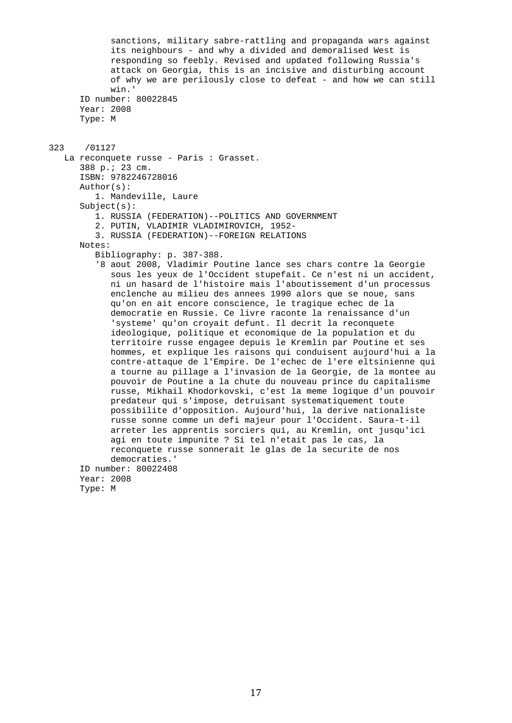sanctions, military sabre-rattling and propaganda wars against its neighbours - and why a divided and demoralised West is responding so feebly. Revised and updated following Russia's attack on Georgia, this is an incisive and disturbing account of why we are perilously close to defeat - and how we can still win.' ID number: 80022845 Year: 2008 Type: M 323 /01127 La reconquete russe - Paris : Grasset. 388 p.; 23 cm. ISBN: 9782246728016 Author(s): 1. Mandeville, Laure Subject(s): 1. RUSSIA (FEDERATION)--POLITICS AND GOVERNMENT 2. PUTIN, VLADIMIR VLADIMIROVICH, 1952- 3. RUSSIA (FEDERATION)--FOREIGN RELATIONS Notes: Bibliography: p. 387-388. '8 aout 2008, Vladimir Poutine lance ses chars contre la Georgie sous les yeux de l'Occident stupefait. Ce n'est ni un accident, ni un hasard de l'histoire mais l'aboutissement d'un processus enclenche au milieu des annees 1990 alors que se noue, sans qu'on en ait encore conscience, le tragique echec de la democratie en Russie. Ce livre raconte la renaissance d'un 'systeme' qu'on croyait defunt. Il decrit la reconquete ideologique, politique et economique de la population et du territoire russe engagee depuis le Kremlin par Poutine et ses hommes, et explique les raisons qui conduisent aujourd'hui a la contre-attaque de l'Empire. De l'echec de l'ere eltsinienne qui a tourne au pillage a l'invasion de la Georgie, de la montee au pouvoir de Poutine a la chute du nouveau prince du capitalisme russe, Mikhail Khodorkovski, c'est la meme logique d'un pouvoir predateur qui s'impose, detruisant systematiquement toute possibilite d'opposition. Aujourd'hui, la derive nationaliste russe sonne comme un defi majeur pour l'Occident. Saura-t-il arreter les apprentis sorciers qui, au Kremlin, ont jusqu'ici agi en toute impunite ? Si tel n'etait pas le cas, la reconquete russe sonnerait le glas de la securite de nos democraties.' ID number: 80022408 Year: 2008 Type: M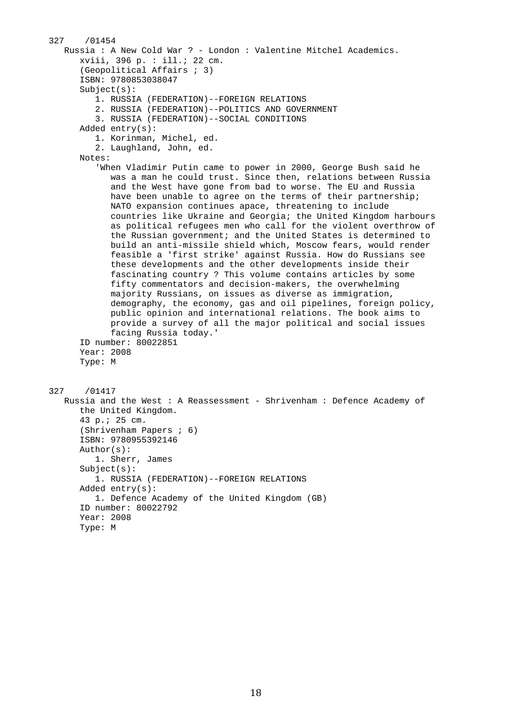```
327 /01454 
    Russia : A New Cold War ? - London : Valentine Mitchel Academics. 
       xviii, 396 p. : ill.; 22 cm. 
       (Geopolitical Affairs ; 3) 
       ISBN: 9780853038047 
       Subject(s): 
          1. RUSSIA (FEDERATION)--FOREIGN RELATIONS 
          2. RUSSIA (FEDERATION)--POLITICS AND GOVERNMENT 
          3. RUSSIA (FEDERATION)--SOCIAL CONDITIONS 
       Added entry(s): 
          1. Korinman, Michel, ed. 
          2. Laughland, John, ed. 
       Notes: 
          'When Vladimir Putin came to power in 2000, George Bush said he 
             was a man he could trust. Since then, relations between Russia 
             and the West have gone from bad to worse. The EU and Russia 
             have been unable to agree on the terms of their partnership; 
             NATO expansion continues apace, threatening to include 
             countries like Ukraine and Georgia; the United Kingdom harbours 
             as political refugees men who call for the violent overthrow of 
             the Russian government; and the United States is determined to 
             build an anti-missile shield which, Moscow fears, would render 
             feasible a 'first strike' against Russia. How do Russians see 
             these developments and the other developments inside their 
             fascinating country ? This volume contains articles by some 
             fifty commentators and decision-makers, the overwhelming 
             majority Russians, on issues as diverse as immigration, 
             demography, the economy, gas and oil pipelines, foreign policy, 
             public opinion and international relations. The book aims to 
             provide a survey of all the major political and social issues 
             facing Russia today.' 
       ID number: 80022851 
       Year: 2008 
       Type: M 
327 /01417 
    Russia and the West : A Reassessment - Shrivenham : Defence Academy of 
       the United Kingdom. 
       43 p.; 25 cm. 
       (Shrivenham Papers ; 6) 
       ISBN: 9780955392146 
       Author(s): 
          1. Sherr, James 
       Subject(s): 
          1. RUSSIA (FEDERATION)--FOREIGN RELATIONS 
       Added entry(s): 
          1. Defence Academy of the United Kingdom (GB) 
       ID number: 80022792 
       Year: 2008 
       Type: M
```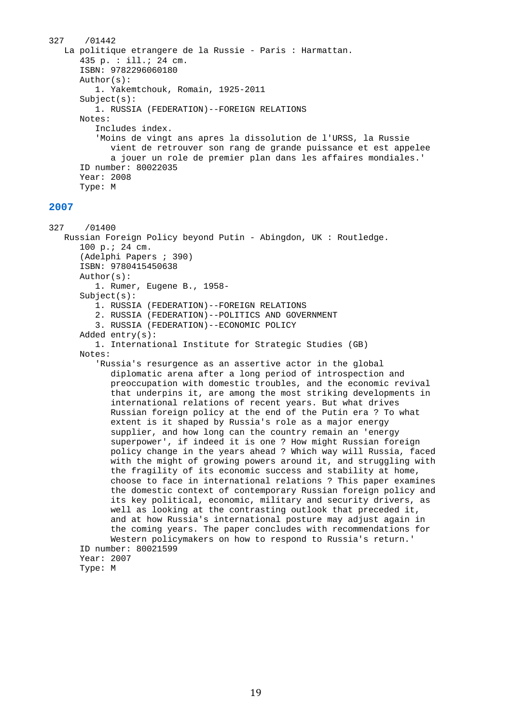```
327 /01442 
    La politique etrangere de la Russie - Paris : Harmattan. 
       435 p. : ill.; 24 cm. 
       ISBN: 9782296060180 
       Author(s): 
          1. Yakemtchouk, Romain, 1925-2011 
       Subject(s): 
          1. RUSSIA (FEDERATION)--FOREIGN RELATIONS 
       Notes: 
          Includes index. 
           'Moins de vingt ans apres la dissolution de l'URSS, la Russie 
             vient de retrouver son rang de grande puissance et est appelee 
             a jouer un role de premier plan dans les affaires mondiales.' 
       ID number: 80022035 
       Year: 2008 
       Type: M
```
327 /01400 Russian Foreign Policy beyond Putin - Abingdon, UK : Routledge. 100 p.; 24 cm. (Adelphi Papers ; 390) ISBN: 9780415450638 Author(s): 1. Rumer, Eugene B., 1958- Subject(s): 1. RUSSIA (FEDERATION)--FOREIGN RELATIONS 2. RUSSIA (FEDERATION)--POLITICS AND GOVERNMENT 3. RUSSIA (FEDERATION)--ECONOMIC POLICY Added entry(s): 1. International Institute for Strategic Studies (GB) Notes: 'Russia's resurgence as an assertive actor in the global diplomatic arena after a long period of introspection and preoccupation with domestic troubles, and the economic revival that underpins it, are among the most striking developments in international relations of recent years. But what drives Russian foreign policy at the end of the Putin era ? To what extent is it shaped by Russia's role as a major energy supplier, and how long can the country remain an 'energy superpower', if indeed it is one ? How might Russian foreign policy change in the years ahead ? Which way will Russia, faced with the might of growing powers around it, and struggling with the fragility of its economic success and stability at home, choose to face in international relations ? This paper examines the domestic context of contemporary Russian foreign policy and its key political, economic, military and security drivers, as well as looking at the contrasting outlook that preceded it, and at how Russia's international posture may adjust again in the coming years. The paper concludes with recommendations for Western policymakers on how to respond to Russia's return.'

 ID number: 80021599 Year: 2007 Type: M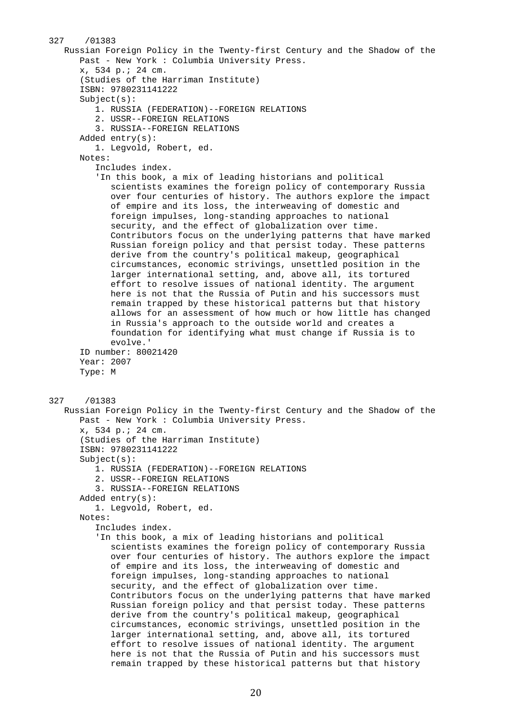```
327 /01383 
    Russian Foreign Policy in the Twenty-first Century and the Shadow of the 
       Past - New York : Columbia University Press. 
       x, 534 p.; 24 cm. 
       (Studies of the Harriman Institute) 
       ISBN: 9780231141222 
       Subject(s): 
          1. RUSSIA (FEDERATION)--FOREIGN RELATIONS 
          2. USSR--FOREIGN RELATIONS 
          3. RUSSIA--FOREIGN RELATIONS 
       Added entry(s): 
          1. Legvold, Robert, ed. 
       Notes: 
          Includes index. 
          'In this book, a mix of leading historians and political 
             scientists examines the foreign policy of contemporary Russia 
             over four centuries of history. The authors explore the impact 
             of empire and its loss, the interweaving of domestic and 
             foreign impulses, long-standing approaches to national 
             security, and the effect of globalization over time. 
             Contributors focus on the underlying patterns that have marked 
             Russian foreign policy and that persist today. These patterns 
             derive from the country's political makeup, geographical 
             circumstances, economic strivings, unsettled position in the 
             larger international setting, and, above all, its tortured 
             effort to resolve issues of national identity. The argument 
             here is not that the Russia of Putin and his successors must 
             remain trapped by these historical patterns but that history 
             allows for an assessment of how much or how little has changed 
             in Russia's approach to the outside world and creates a 
             foundation for identifying what must change if Russia is to 
             evolve.' 
       ID number: 80021420 
       Year: 2007 
       Type: M 
327 /01383 
    Russian Foreign Policy in the Twenty-first Century and the Shadow of the 
       Past - New York : Columbia University Press. 
       x, 534 p.; 24 cm. 
       (Studies of the Harriman Institute) 
       ISBN: 9780231141222 
       Subject(s): 
          1. RUSSIA (FEDERATION)--FOREIGN RELATIONS 
          2. USSR--FOREIGN RELATIONS 
          3. RUSSIA--FOREIGN RELATIONS 
       Added entry(s): 
          1. Legvold, Robert, ed. 
       Notes: 
          Includes index. 
          'In this book, a mix of leading historians and political 
             scientists examines the foreign policy of contemporary Russia 
             over four centuries of history. The authors explore the impact 
             of empire and its loss, the interweaving of domestic and 
             foreign impulses, long-standing approaches to national 
             security, and the effect of globalization over time. 
             Contributors focus on the underlying patterns that have marked 
             Russian foreign policy and that persist today. These patterns 
             derive from the country's political makeup, geographical 
             circumstances, economic strivings, unsettled position in the 
             larger international setting, and, above all, its tortured 
             effort to resolve issues of national identity. The argument 
             here is not that the Russia of Putin and his successors must 
             remain trapped by these historical patterns but that history
```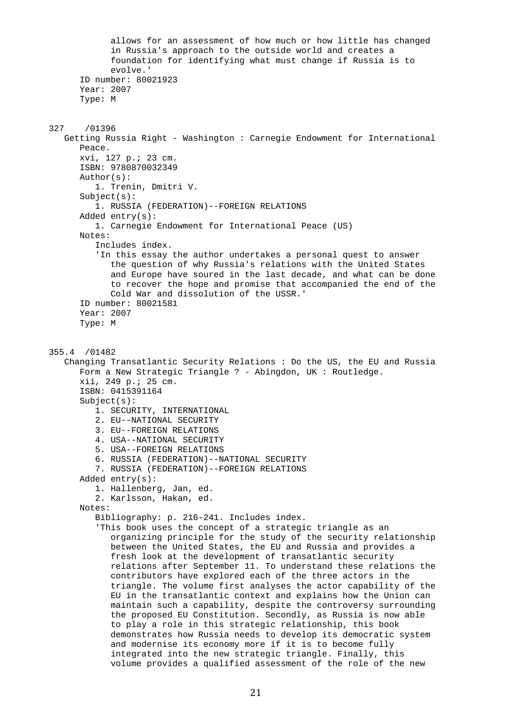allows for an assessment of how much or how little has changed in Russia's approach to the outside world and creates a foundation for identifying what must change if Russia is to evolve.' ID number: 80021923 Year: 2007 Type: M 327 /01396 Getting Russia Right - Washington : Carnegie Endowment for International Peace. xvi, 127 p.; 23 cm. ISBN: 9780870032349 Author(s): 1. Trenin, Dmitri V. Subject(s): 1. RUSSIA (FEDERATION)--FOREIGN RELATIONS Added entry(s): 1. Carnegie Endowment for International Peace (US) Notes: Includes index. 'In this essay the author undertakes a personal quest to answer the question of why Russia's relations with the United States and Europe have soured in the last decade, and what can be done to recover the hope and promise that accompanied the end of the Cold War and dissolution of the USSR.' ID number: 80021581 Year: 2007 Type: M 355.4 /01482 Changing Transatlantic Security Relations : Do the US, the EU and Russia Form a New Strategic Triangle ? - Abingdon, UK : Routledge. xii, 249 p.; 25 cm. ISBN: 0415391164 Subject(s): 1. SECURITY, INTERNATIONAL 2. EU--NATIONAL SECURITY 3. EU--FOREIGN RELATIONS 4. USA--NATIONAL SECURITY 5. USA--FOREIGN RELATIONS 6. RUSSIA (FEDERATION)--NATIONAL SECURITY 7. RUSSIA (FEDERATION)--FOREIGN RELATIONS Added entry(s): 1. Hallenberg, Jan, ed. 2. Karlsson, Hakan, ed. Notes: Bibliography: p. 216-241. Includes index. 'This book uses the concept of a strategic triangle as an organizing principle for the study of the security relationship between the United States, the EU and Russia and provides a fresh look at the development of transatlantic security relations after September 11. To understand these relations the contributors have explored each of the three actors in the triangle. The volume first analyses the actor capability of the EU in the transatlantic context and explains how the Union can maintain such a capability, despite the controversy surrounding the proposed EU Constitution. Secondly, as Russia is now able to play a role in this strategic relationship, this book demonstrates how Russia needs to develop its democratic system and modernise its economy more if it is to become fully integrated into the new strategic triangle. Finally, this volume provides a qualified assessment of the role of the new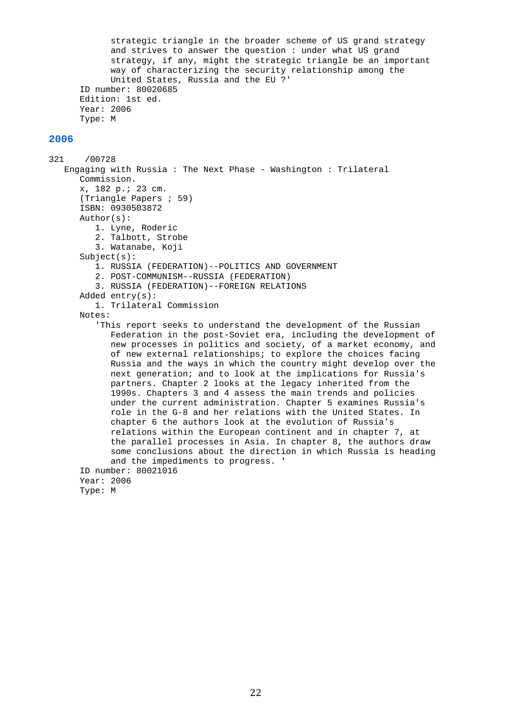strategic triangle in the broader scheme of US grand strategy and strives to answer the question : under what US grand strategy, if any, might the strategic triangle be an important way of characterizing the security relationship among the United States, Russia and the EU ?' ID number: 80020685 Edition: 1st ed. Year: 2006 Type: M

```
321 /00728 
    Engaging with Russia : The Next Phase - Washington : Trilateral 
       Commission. 
       x, 182 p.; 23 cm. 
       (Triangle Papers ; 59) 
       ISBN: 0930503872 
       Author(s): 
          1. Lyne, Roderic 
          2. Talbott, Strobe 
          3. Watanabe, Koji 
       Subject(s): 
          1. RUSSIA (FEDERATION)--POLITICS AND GOVERNMENT 
          2. POST-COMMUNISM--RUSSIA (FEDERATION) 
          3. RUSSIA (FEDERATION)--FOREIGN RELATIONS 
       Added entry(s): 
          1. Trilateral Commission 
       Notes: 
          'This report seeks to understand the development of the Russian 
             Federation in the post-Soviet era, including the development of 
             new processes in politics and society, of a market economy, and 
             of new external relationships; to explore the choices facing 
             Russia and the ways in which the country might develop over the 
             next generation; and to look at the implications for Russia's 
             partners. Chapter 2 looks at the legacy inherited from the 
             1990s. Chapters 3 and 4 assess the main trends and policies 
             under the current administration. Chapter 5 examines Russia's 
             role in the G-8 and her relations with the United States. In 
             chapter 6 the authors look at the evolution of Russia's 
             relations within the European continent and in chapter 7, at 
             the parallel processes in Asia. In chapter 8, the authors draw 
             some conclusions about the direction in which Russia is heading 
             and the impediments to progress. ' 
       ID number: 80021016 
       Year: 2006 
       Type: M
```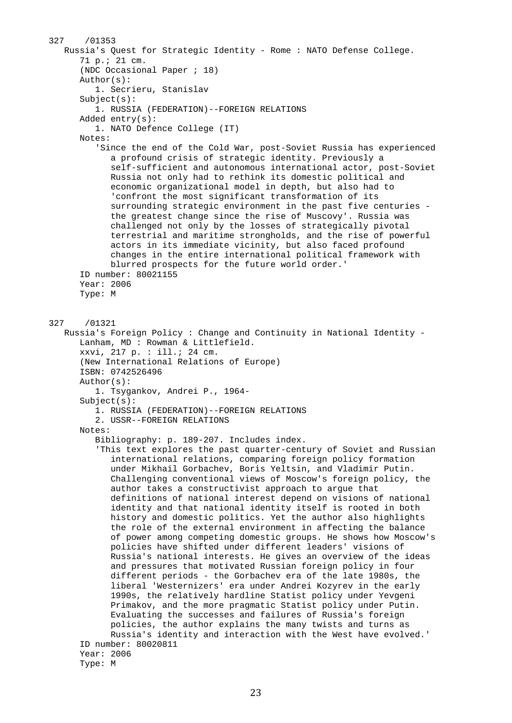```
327 /01353 
    Russia's Quest for Strategic Identity - Rome : NATO Defense College. 
       71 p.; 21 cm. 
       (NDC Occasional Paper ; 18) 
       Author(s): 
          1. Secrieru, Stanislav 
       Subject(s): 
          1. RUSSIA (FEDERATION)--FOREIGN RELATIONS 
       Added entry(s): 
          1. NATO Defence College (IT) 
       Notes: 
          'Since the end of the Cold War, post-Soviet Russia has experienced 
             a profound crisis of strategic identity. Previously a 
             self-sufficient and autonomous international actor, post-Soviet 
             Russia not only had to rethink its domestic political and 
             economic organizational model in depth, but also had to 
             'confront the most significant transformation of its 
             surrounding strategic environment in the past five centuries - 
             the greatest change since the rise of Muscovy'. Russia was 
             challenged not only by the losses of strategically pivotal 
             terrestrial and maritime strongholds, and the rise of powerful 
             actors in its immediate vicinity, but also faced profound 
             changes in the entire international political framework with 
             blurred prospects for the future world order.' 
       ID number: 80021155 
       Year: 2006 
       Type: M 
327 /01321 
    Russia's Foreign Policy : Change and Continuity in National Identity - 
       Lanham, MD : Rowman & Littlefield. 
       xxvi, 217 p. : ill.; 24 cm. 
       (New International Relations of Europe) 
       ISBN: 0742526496 
       Author(s): 
          1. Tsygankov, Andrei P., 1964- 
       Subject(s): 
          1. RUSSIA (FEDERATION)--FOREIGN RELATIONS 
          2. USSR--FOREIGN RELATIONS 
       Notes: 
          Bibliography: p. 189-207. Includes index. 
          'This text explores the past quarter-century of Soviet and Russian 
             international relations, comparing foreign policy formation 
             under Mikhail Gorbachev, Boris Yeltsin, and Vladimir Putin. 
             Challenging conventional views of Moscow's foreign policy, the 
             author takes a constructivist approach to argue that 
             definitions of national interest depend on visions of national 
             identity and that national identity itself is rooted in both 
             history and domestic politics. Yet the author also highlights 
             the role of the external environment in affecting the balance 
             of power among competing domestic groups. He shows how Moscow's 
             policies have shifted under different leaders' visions of 
             Russia's national interests. He gives an overview of the ideas 
             and pressures that motivated Russian foreign policy in four 
             different periods - the Gorbachev era of the late 1980s, the 
             liberal 'Westernizers' era under Andrei Kozyrev in the early 
             1990s, the relatively hardline Statist policy under Yevgeni 
             Primakov, and the more pragmatic Statist policy under Putin. 
             Evaluating the successes and failures of Russia's foreign 
             policies, the author explains the many twists and turns as 
             Russia's identity and interaction with the West have evolved.' 
       ID number: 80020811 
       Year: 2006 
       Type: M
```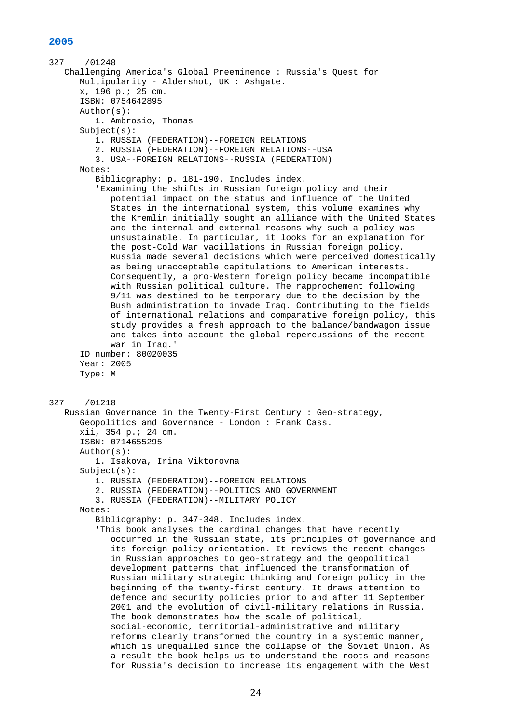```
327 /01248 
    Challenging America's Global Preeminence : Russia's Quest for 
       Multipolarity - Aldershot, UK : Ashgate. 
       x, 196 p.; 25 cm. 
       ISBN: 0754642895 
       Author(s): 
          1. Ambrosio, Thomas 
       Subject(s): 
          1. RUSSIA (FEDERATION)--FOREIGN RELATIONS 
          2. RUSSIA (FEDERATION)--FOREIGN RELATIONS--USA 
          3. USA--FOREIGN RELATIONS--RUSSIA (FEDERATION) 
       Notes: 
          Bibliography: p. 181-190. Includes index. 
          'Examining the shifts in Russian foreign policy and their 
             potential impact on the status and influence of the United 
             States in the international system, this volume examines why 
             the Kremlin initially sought an alliance with the United States 
             and the internal and external reasons why such a policy was 
             unsustainable. In particular, it looks for an explanation for 
             the post-Cold War vacillations in Russian foreign policy. 
             Russia made several decisions which were perceived domestically 
             as being unacceptable capitulations to American interests. 
             Consequently, a pro-Western foreign policy became incompatible 
             with Russian political culture. The rapprochement following 
             9/11 was destined to be temporary due to the decision by the 
             Bush administration to invade Iraq. Contributing to the fields 
             of international relations and comparative foreign policy, this 
             study provides a fresh approach to the balance/bandwagon issue 
             and takes into account the global repercussions of the recent 
             war in Iraq.' 
       ID number: 80020035 
       Year: 2005 
       Type: M 
327 /01218 
    Russian Governance in the Twenty-First Century : Geo-strategy, 
       Geopolitics and Governance - London : Frank Cass. 
       xii, 354 p.; 24 cm. 
       ISBN: 0714655295 
       Author(s): 
          1. Isakova, Irina Viktorovna 
       Subject(s): 
          1. RUSSIA (FEDERATION)--FOREIGN RELATIONS 
          2. RUSSIA (FEDERATION)--POLITICS AND GOVERNMENT 
          3. RUSSIA (FEDERATION)--MILITARY POLICY 
       Notes: 
          Bibliography: p. 347-348. Includes index. 
          'This book analyses the cardinal changes that have recently 
             occurred in the Russian state, its principles of governance and 
             its foreign-policy orientation. It reviews the recent changes 
             in Russian approaches to geo-strategy and the geopolitical 
             development patterns that influenced the transformation of 
             Russian military strategic thinking and foreign policy in the 
             beginning of the twenty-first century. It draws attention to 
             defence and security policies prior to and after 11 September 
             2001 and the evolution of civil-military relations in Russia. 
             The book demonstrates how the scale of political, 
             social-economic, territorial-administrative and military 
             reforms clearly transformed the country in a systemic manner, 
             which is unequalled since the collapse of the Soviet Union. As 
             a result the book helps us to understand the roots and reasons 
             for Russia's decision to increase its engagement with the West
```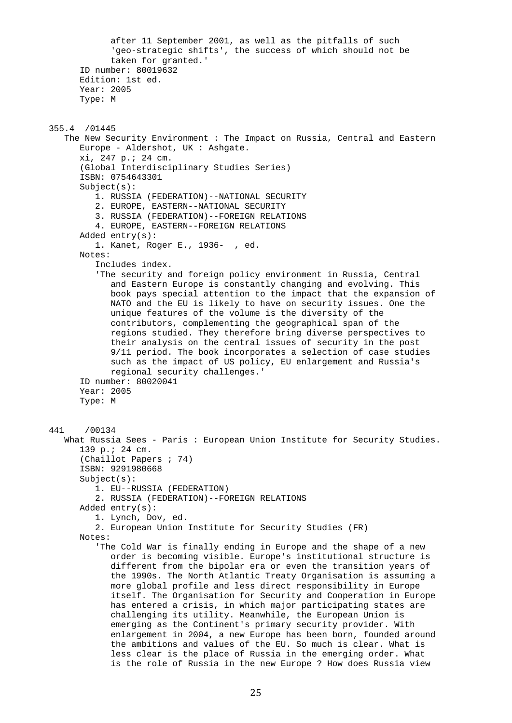after 11 September 2001, as well as the pitfalls of such 'geo-strategic shifts', the success of which should not be taken for granted.' ID number: 80019632 Edition: 1st ed. Year: 2005 Type: M 355.4 /01445 The New Security Environment : The Impact on Russia, Central and Eastern Europe - Aldershot, UK : Ashgate. xi, 247 p.; 24 cm. (Global Interdisciplinary Studies Series) ISBN: 0754643301 Subject(s): 1. RUSSIA (FEDERATION)--NATIONAL SECURITY 2. EUROPE, EASTERN--NATIONAL SECURITY 3. RUSSIA (FEDERATION)--FOREIGN RELATIONS 4. EUROPE, EASTERN--FOREIGN RELATIONS Added entry(s): 1. Kanet, Roger E., 1936- , ed. Notes: Includes index. 'The security and foreign policy environment in Russia, Central and Eastern Europe is constantly changing and evolving. This book pays special attention to the impact that the expansion of NATO and the EU is likely to have on security issues. One the unique features of the volume is the diversity of the contributors, complementing the geographical span of the regions studied. They therefore bring diverse perspectives to their analysis on the central issues of security in the post 9/11 period. The book incorporates a selection of case studies such as the impact of US policy, EU enlargement and Russia's regional security challenges.' ID number: 80020041 Year: 2005 Type: M 441 /00134 What Russia Sees - Paris : European Union Institute for Security Studies. 139 p.; 24 cm. (Chaillot Papers ; 74) ISBN: 9291980668 Subject(s): 1. EU--RUSSIA (FEDERATION) 2. RUSSIA (FEDERATION)--FOREIGN RELATIONS Added entry(s): 1. Lynch, Dov, ed. 2. European Union Institute for Security Studies (FR) Notes: 'The Cold War is finally ending in Europe and the shape of a new order is becoming visible. Europe's institutional structure is different from the bipolar era or even the transition years of the 1990s. The North Atlantic Treaty Organisation is assuming a more global profile and less direct responsibility in Europe itself. The Organisation for Security and Cooperation in Europe has entered a crisis, in which major participating states are challenging its utility. Meanwhile, the European Union is emerging as the Continent's primary security provider. With enlargement in 2004, a new Europe has been born, founded around the ambitions and values of the EU. So much is clear. What is less clear is the place of Russia in the emerging order. What

is the role of Russia in the new Europe ? How does Russia view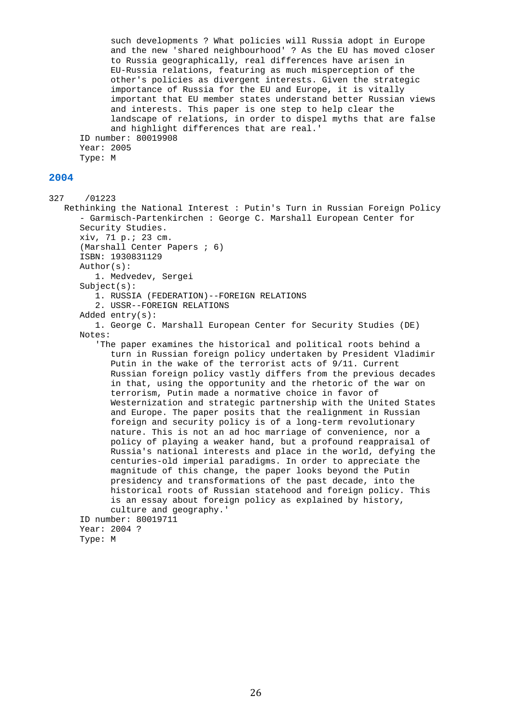such developments ? What policies will Russia adopt in Europe and the new 'shared neighbourhood' ? As the EU has moved closer to Russia geographically, real differences have arisen in EU-Russia relations, featuring as much misperception of the other's policies as divergent interests. Given the strategic importance of Russia for the EU and Europe, it is vitally important that EU member states understand better Russian views and interests. This paper is one step to help clear the landscape of relations, in order to dispel myths that are false and highlight differences that are real.' ID number: 80019908 Year: 2005 Type: M

#### **2004**

327 /01223 Rethinking the National Interest : Putin's Turn in Russian Foreign Policy - Garmisch-Partenkirchen : George C. Marshall European Center for Security Studies. xiv, 71 p.; 23 cm. (Marshall Center Papers ; 6) ISBN: 1930831129 Author(s): 1. Medvedev, Sergei Subject(s): 1. RUSSIA (FEDERATION)--FOREIGN RELATIONS 2. USSR--FOREIGN RELATIONS Added entry(s): 1. George C. Marshall European Center for Security Studies (DE) Notes: 'The paper examines the historical and political roots behind a turn in Russian foreign policy undertaken by President Vladimir Putin in the wake of the terrorist acts of 9/11. Current Russian foreign policy vastly differs from the previous decades in that, using the opportunity and the rhetoric of the war on terrorism, Putin made a normative choice in favor of Westernization and strategic partnership with the United States and Europe. The paper posits that the realignment in Russian foreign and security policy is of a long-term revolutionary nature. This is not an ad hoc marriage of convenience, nor a policy of playing a weaker hand, but a profound reappraisal of Russia's national interests and place in the world, defying the centuries-old imperial paradigms. In order to appreciate the magnitude of this change, the paper looks beyond the Putin presidency and transformations of the past decade, into the historical roots of Russian statehood and foreign policy. This is an essay about foreign policy as explained by history, culture and geography.' ID number: 80019711 Year: 2004 ? Type: M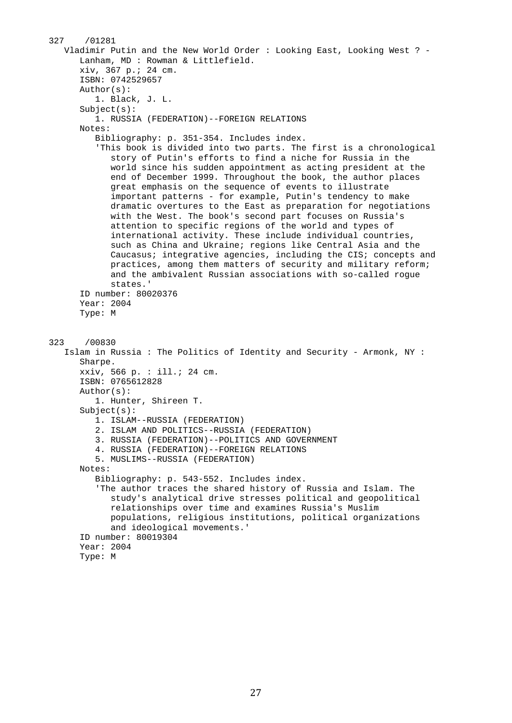```
327 /01281 
    Vladimir Putin and the New World Order : Looking East, Looking West ? - 
       Lanham, MD : Rowman & Littlefield. 
       xiv, 367 p.; 24 cm. 
       ISBN: 0742529657 
       Author(s): 
          1. Black, J. L. 
       Subject(s): 
          1. RUSSIA (FEDERATION)--FOREIGN RELATIONS 
       Notes: 
          Bibliography: p. 351-354. Includes index. 
          'This book is divided into two parts. The first is a chronological 
             story of Putin's efforts to find a niche for Russia in the 
             world since his sudden appointment as acting president at the 
             end of December 1999. Throughout the book, the author places 
             great emphasis on the sequence of events to illustrate 
             important patterns - for example, Putin's tendency to make 
             dramatic overtures to the East as preparation for negotiations 
             with the West. The book's second part focuses on Russia's 
             attention to specific regions of the world and types of 
             international activity. These include individual countries, 
             such as China and Ukraine; regions like Central Asia and the 
             Caucasus; integrative agencies, including the CIS; concepts and 
             practices, among them matters of security and military reform; 
             and the ambivalent Russian associations with so-called rogue 
             states.' 
       ID number: 80020376 
       Year: 2004 
       Type: M 
323 /00830 
    Islam in Russia : The Politics of Identity and Security - Armonk, NY : 
       Sharpe. 
       xxiv, 566 p. : ill.; 24 cm. 
       ISBN: 0765612828 
       Author(s): 
          1. Hunter, Shireen T. 
       Subject(s): 
          1. ISLAM--RUSSIA (FEDERATION) 
          2. ISLAM AND POLITICS--RUSSIA (FEDERATION) 
          3. RUSSIA (FEDERATION)--POLITICS AND GOVERNMENT 
          4. RUSSIA (FEDERATION)--FOREIGN RELATIONS 
          5. MUSLIMS--RUSSIA (FEDERATION) 
       Notes: 
          Bibliography: p. 543-552. Includes index. 
          'The author traces the shared history of Russia and Islam. The 
             study's analytical drive stresses political and geopolitical 
             relationships over time and examines Russia's Muslim 
             populations, religious institutions, political organizations 
             and ideological movements.' 
       ID number: 80019304 
       Year: 2004 
       Type: M
```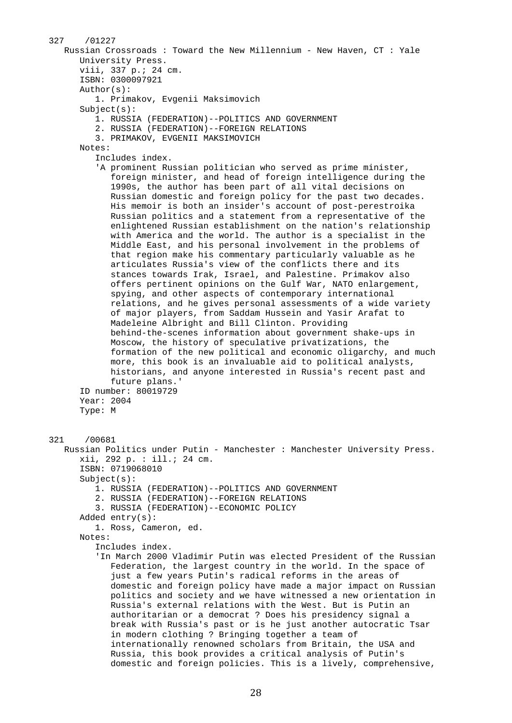```
327 /01227 
    Russian Crossroads : Toward the New Millennium - New Haven, CT : Yale 
       University Press. 
       viii, 337 p.; 24 cm. 
       ISBN: 0300097921 
       Author(s): 
          1. Primakov, Evgenii Maksimovich 
       Subject(s): 
          1. RUSSIA (FEDERATION)--POLITICS AND GOVERNMENT 
          2. RUSSIA (FEDERATION)--FOREIGN RELATIONS 
          3. PRIMAKOV, EVGENII MAKSIMOVICH 
       Notes: 
          Includes index. 
          'A prominent Russian politician who served as prime minister, 
             foreign minister, and head of foreign intelligence during the 
             1990s, the author has been part of all vital decisions on 
             Russian domestic and foreign policy for the past two decades. 
             His memoir is both an insider's account of post-perestroika 
             Russian politics and a statement from a representative of the 
             enlightened Russian establishment on the nation's relationship 
             with America and the world. The author is a specialist in the 
             Middle East, and his personal involvement in the problems of 
             that region make his commentary particularly valuable as he 
             articulates Russia's view of the conflicts there and its 
             stances towards Irak, Israel, and Palestine. Primakov also 
             offers pertinent opinions on the Gulf War, NATO enlargement, 
             spying, and other aspects of contemporary international 
             relations, and he gives personal assessments of a wide variety 
             of major players, from Saddam Hussein and Yasir Arafat to 
             Madeleine Albright and Bill Clinton. Providing 
             behind-the-scenes information about government shake-ups in 
             Moscow, the history of speculative privatizations, the 
             formation of the new political and economic oligarchy, and much 
             more, this book is an invaluable aid to political analysts, 
             historians, and anyone interested in Russia's recent past and 
             future plans.' 
       ID number: 80019729 
       Year: 2004 
       Type: M 
321 /00681 
    Russian Politics under Putin - Manchester : Manchester University Press. 
       xii, 292 p. : ill.; 24 cm. 
       ISBN: 0719068010 
       Subject(s): 
          1. RUSSIA (FEDERATION)--POLITICS AND GOVERNMENT 
          2. RUSSIA (FEDERATION)--FOREIGN RELATIONS 
          3. RUSSIA (FEDERATION)--ECONOMIC POLICY 
       Added entry(s): 
          1. Ross, Cameron, ed. 
       Notes: 
          Includes index. 
          'In March 2000 Vladimir Putin was elected President of the Russian 
             Federation, the largest country in the world. In the space of 
             just a few years Putin's radical reforms in the areas of 
             domestic and foreign policy have made a major impact on Russian 
             politics and society and we have witnessed a new orientation in 
             Russia's external relations with the West. But is Putin an 
             authoritarian or a democrat ? Does his presidency signal a 
             break with Russia's past or is he just another autocratic Tsar 
             in modern clothing ? Bringing together a team of 
             internationally renowned scholars from Britain, the USA and 
             Russia, this book provides a critical analysis of Putin's 
             domestic and foreign policies. This is a lively, comprehensive,
```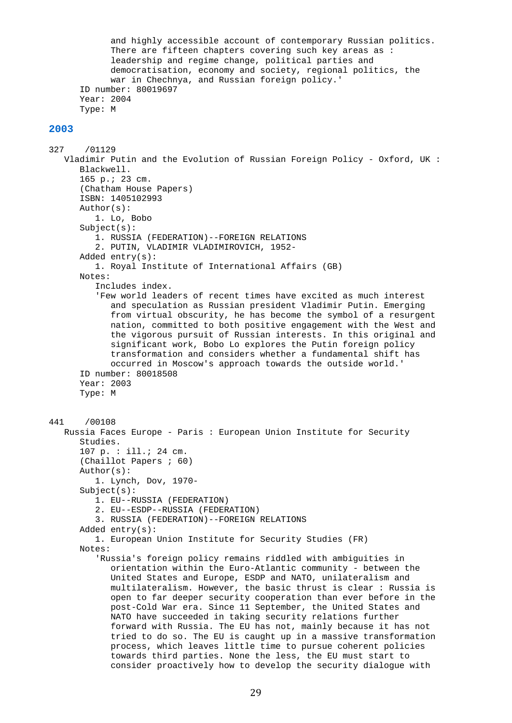and highly accessible account of contemporary Russian politics. There are fifteen chapters covering such key areas as : leadership and regime change, political parties and democratisation, economy and society, regional politics, the war in Chechnya, and Russian foreign policy.' ID number: 80019697 Year: 2004 Type: M

```
327 /01129 
    Vladimir Putin and the Evolution of Russian Foreign Policy - Oxford, UK : 
       Blackwell. 
       165 p.; 23 cm. 
       (Chatham House Papers) 
       ISBN: 1405102993 
       Author(s): 
          1. Lo, Bobo 
       Subject(s): 
          1. RUSSIA (FEDERATION)--FOREIGN RELATIONS 
          2. PUTIN, VLADIMIR VLADIMIROVICH, 1952- 
       Added entry(s): 
          1. Royal Institute of International Affairs (GB) 
       Notes: 
          Includes index. 
          'Few world leaders of recent times have excited as much interest 
             and speculation as Russian president Vladimir Putin. Emerging 
             from virtual obscurity, he has become the symbol of a resurgent 
             nation, committed to both positive engagement with the West and 
             the vigorous pursuit of Russian interests. In this original and 
             significant work, Bobo Lo explores the Putin foreign policy 
             transformation and considers whether a fundamental shift has 
             occurred in Moscow's approach towards the outside world.' 
       ID number: 80018508 
       Year: 2003 
       Type: M 
441 /00108 
    Russia Faces Europe - Paris : European Union Institute for Security 
       Studies. 
       107 p. : ill.; 24 cm. 
       (Chaillot Papers ; 60) 
       Author(s): 
          1. Lynch, Dov, 1970- 
       Subject(s): 
          1. EU--RUSSIA (FEDERATION) 
          2. EU--ESDP--RUSSIA (FEDERATION) 
          3. RUSSIA (FEDERATION)--FOREIGN RELATIONS 
       Added entry(s): 
          1. European Union Institute for Security Studies (FR) 
       Notes: 
          'Russia's foreign policy remains riddled with ambiguities in 
             orientation within the Euro-Atlantic community - between the 
             United States and Europe, ESDP and NATO, unilateralism and 
             multilateralism. However, the basic thrust is clear : Russia is 
             open to far deeper security cooperation than ever before in the 
             post-Cold War era. Since 11 September, the United States and 
             NATO have succeeded in taking security relations further 
             forward with Russia. The EU has not, mainly because it has not 
             tried to do so. The EU is caught up in a massive transformation 
             process, which leaves little time to pursue coherent policies 
             towards third parties. None the less, the EU must start to 
             consider proactively how to develop the security dialogue with
```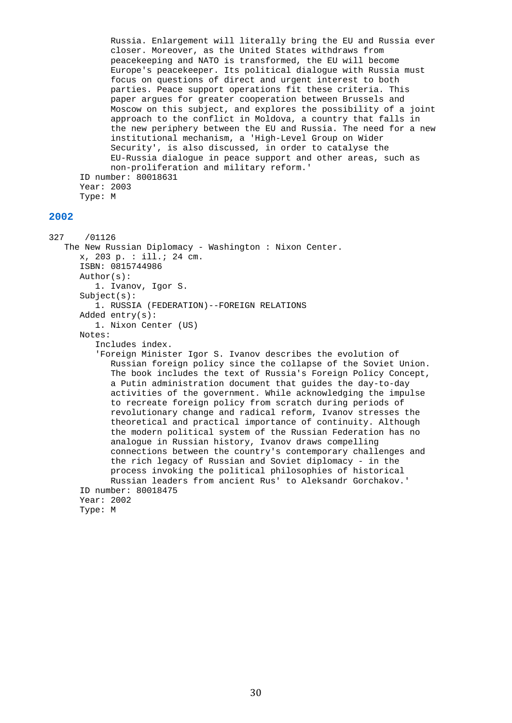Russia. Enlargement will literally bring the EU and Russia ever closer. Moreover, as the United States withdraws from peacekeeping and NATO is transformed, the EU will become Europe's peacekeeper. Its political dialogue with Russia must focus on questions of direct and urgent interest to both parties. Peace support operations fit these criteria. This paper argues for greater cooperation between Brussels and Moscow on this subject, and explores the possibility of a joint approach to the conflict in Moldova, a country that falls in the new periphery between the EU and Russia. The need for a new institutional mechanism, a 'High-Level Group on Wider Security', is also discussed, in order to catalyse the EU-Russia dialogue in peace support and other areas, such as non-proliferation and military reform.' ID number: 80018631 Year: 2003 Type: M

#### **2002**

327 /01126 The New Russian Diplomacy - Washington : Nixon Center. x, 203 p. : ill.; 24 cm. ISBN: 0815744986 Author(s): 1. Ivanov, Igor S. Subject(s): 1. RUSSIA (FEDERATION)--FOREIGN RELATIONS Added entry(s): 1. Nixon Center (US) Notes: Includes index. 'Foreign Minister Igor S. Ivanov describes the evolution of Russian foreign policy since the collapse of the Soviet Union. The book includes the text of Russia's Foreign Policy Concept, a Putin administration document that guides the day-to-day activities of the government. While acknowledging the impulse to recreate foreign policy from scratch during periods of revolutionary change and radical reform, Ivanov stresses the theoretical and practical importance of continuity. Although the modern political system of the Russian Federation has no analogue in Russian history, Ivanov draws compelling connections between the country's contemporary challenges and the rich legacy of Russian and Soviet diplomacy - in the process invoking the political philosophies of historical Russian leaders from ancient Rus' to Aleksandr Gorchakov.' ID number: 80018475 Year: 2002 Type: M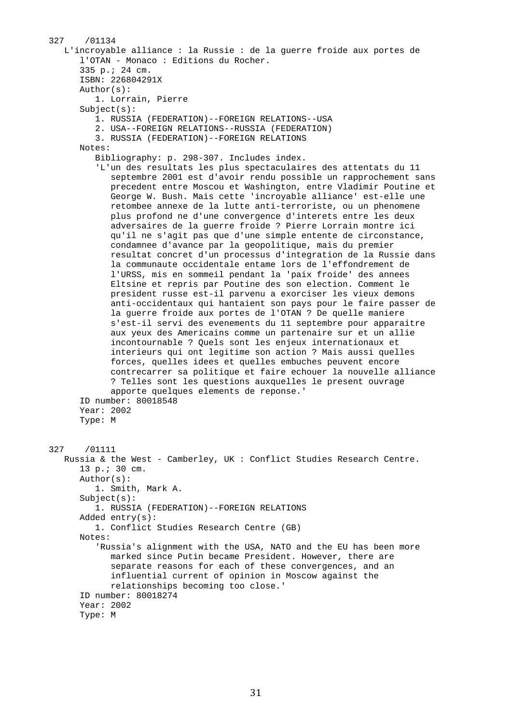```
327 /01134 
    L'incroyable alliance : la Russie : de la guerre froide aux portes de 
       l'OTAN - Monaco : Editions du Rocher. 
       335 p.; 24 cm. 
       ISBN: 226804291X 
       Author(s): 
          1. Lorrain, Pierre 
       Subject(s): 
          1. RUSSIA (FEDERATION)--FOREIGN RELATIONS--USA 
          2. USA--FOREIGN RELATIONS--RUSSIA (FEDERATION) 
          3. RUSSIA (FEDERATION)--FOREIGN RELATIONS 
       Notes: 
          Bibliography: p. 298-307. Includes index. 
          'L'un des resultats les plus spectaculaires des attentats du 11 
             septembre 2001 est d'avoir rendu possible un rapprochement sans 
             precedent entre Moscou et Washington, entre Vladimir Poutine et 
             George W. Bush. Mais cette 'incroyable alliance' est-elle une 
             retombee annexe de la lutte anti-terroriste, ou un phenomene 
             plus profond ne d'une convergence d'interets entre les deux 
             adversaires de la guerre froide ? Pierre Lorrain montre ici 
             qu'il ne s'agit pas que d'une simple entente de circonstance, 
             condamnee d'avance par la geopolitique, mais du premier 
             resultat concret d'un processus d'integration de la Russie dans 
             la communaute occidentale entame lors de l'effondrement de 
             l'URSS, mis en sommeil pendant la 'paix froide' des annees 
             Eltsine et repris par Poutine des son election. Comment le 
             president russe est-il parvenu a exorciser les vieux demons 
             anti-occidentaux qui hantaient son pays pour le faire passer de 
             la guerre froide aux portes de l'OTAN ? De quelle maniere 
             s'est-il servi des evenements du 11 septembre pour apparaitre 
             aux yeux des Americains comme un partenaire sur et un allie 
             incontournable ? Quels sont les enjeux internationaux et 
             interieurs qui ont legitime son action ? Mais aussi quelles 
             forces, quelles idees et quelles embuches peuvent encore 
             contrecarrer sa politique et faire echouer la nouvelle alliance 
             ? Telles sont les questions auxquelles le present ouvrage 
             apporte quelques elements de reponse.' 
       ID number: 80018548 
       Year: 2002 
       Type: M 
327 /01111 
    Russia & the West - Camberley, UK : Conflict Studies Research Centre. 
       13 p.; 30 cm. 
       Author(s): 
          1. Smith, Mark A. 
       Subject(s): 
          1. RUSSIA (FEDERATION)--FOREIGN RELATIONS 
       Added entry(s): 
          1. Conflict Studies Research Centre (GB) 
       Notes: 
          'Russia's alignment with the USA, NATO and the EU has been more 
             marked since Putin became President. However, there are 
             separate reasons for each of these convergences, and an 
             influential current of opinion in Moscow against the 
             relationships becoming too close.' 
       ID number: 80018274 
       Year: 2002 
       Type: M
```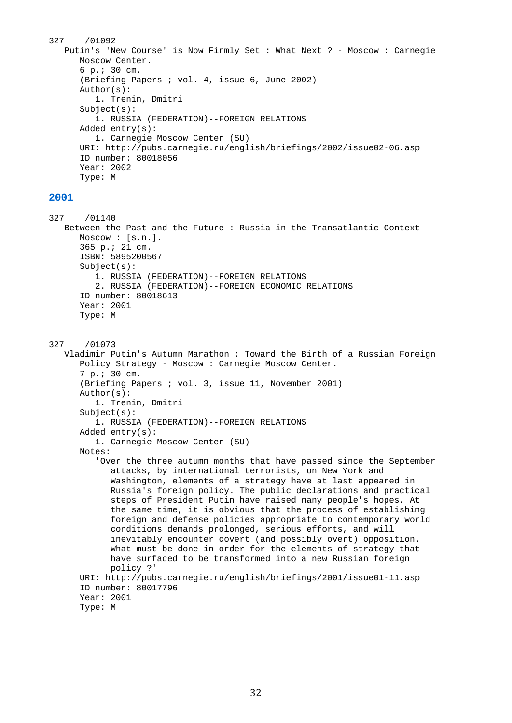```
327 /01092 
    Putin's 'New Course' is Now Firmly Set : What Next ? - Moscow : Carnegie 
       Moscow Center. 
       6 p.; 30 cm. 
       (Briefing Papers ; vol. 4, issue 6, June 2002) 
       Author(s): 
          1. Trenin, Dmitri 
       Subject(s): 
          1. RUSSIA (FEDERATION)--FOREIGN RELATIONS 
       Added entry(s): 
          1. Carnegie Moscow Center (SU) 
       URI: http://pubs.carnegie.ru/english/briefings/2002/issue02-06.asp 
       ID number: 80018056 
       Year: 2002 
       Type: M
```
327 /01140 Between the Past and the Future : Russia in the Transatlantic Context - Moscow : [s.n.]. 365 p.; 21 cm. ISBN: 5895200567 Subject(s): 1. RUSSIA (FEDERATION)--FOREIGN RELATIONS 2. RUSSIA (FEDERATION)--FOREIGN ECONOMIC RELATIONS ID number: 80018613 Year: 2001 Type: M 327 /01073 Vladimir Putin's Autumn Marathon : Toward the Birth of a Russian Foreign Policy Strategy - Moscow : Carnegie Moscow Center. 7 p.; 30 cm. (Briefing Papers ; vol. 3, issue 11, November 2001) Author(s): 1. Trenin, Dmitri Subject(s): 1. RUSSIA (FEDERATION)--FOREIGN RELATIONS Added entry(s): 1. Carnegie Moscow Center (SU) Notes: 'Over the three autumn months that have passed since the September attacks, by international terrorists, on New York and Washington, elements of a strategy have at last appeared in Russia's foreign policy. The public declarations and practical steps of President Putin have raised many people's hopes. At the same time, it is obvious that the process of establishing foreign and defense policies appropriate to contemporary world conditions demands prolonged, serious efforts, and will inevitably encounter covert (and possibly overt) opposition. What must be done in order for the elements of strategy that have surfaced to be transformed into a new Russian foreign policy ?' URI: http://pubs.carnegie.ru/english/briefings/2001/issue01-11.asp

```
 ID number: 80017796 
 Year: 2001
```

```
 Type: M
```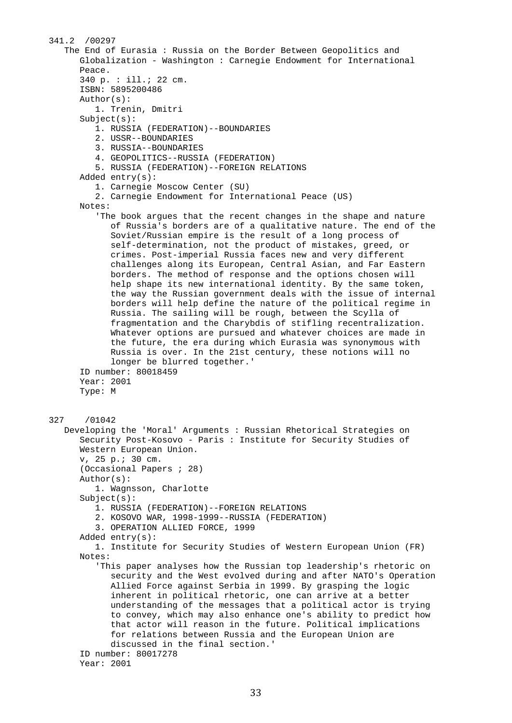341.2 /00297 The End of Eurasia : Russia on the Border Between Geopolitics and Globalization - Washington : Carnegie Endowment for International Peace. 340 p. : ill.; 22 cm. ISBN: 5895200486 Author(s): 1. Trenin, Dmitri Subject(s): 1. RUSSIA (FEDERATION)--BOUNDARIES 2. USSR--BOUNDARIES 3. RUSSIA--BOUNDARIES 4. GEOPOLITICS--RUSSIA (FEDERATION) 5. RUSSIA (FEDERATION)--FOREIGN RELATIONS Added entry(s): 1. Carnegie Moscow Center (SU) 2. Carnegie Endowment for International Peace (US) Notes: 'The book argues that the recent changes in the shape and nature of Russia's borders are of a qualitative nature. The end of the Soviet/Russian empire is the result of a long process of self-determination, not the product of mistakes, greed, or crimes. Post-imperial Russia faces new and very different challenges along its European, Central Asian, and Far Eastern borders. The method of response and the options chosen will help shape its new international identity. By the same token, the way the Russian government deals with the issue of internal borders will help define the nature of the political regime in Russia. The sailing will be rough, between the Scylla of fragmentation and the Charybdis of stifling recentralization. Whatever options are pursued and whatever choices are made in the future, the era during which Eurasia was synonymous with Russia is over. In the 21st century, these notions will no longer be blurred together.' ID number: 80018459 Year: 2001 Type: M 327 /01042 Developing the 'Moral' Arguments : Russian Rhetorical Strategies on Security Post-Kosovo - Paris : Institute for Security Studies of Western European Union. v, 25 p.; 30 cm. (Occasional Papers ; 28) Author(s): 1. Wagnsson, Charlotte Subject(s): 1. RUSSIA (FEDERATION)--FOREIGN RELATIONS 2. KOSOVO WAR, 1998-1999--RUSSIA (FEDERATION) 3. OPERATION ALLIED FORCE, 1999 Added entry(s): 1. Institute for Security Studies of Western European Union (FR) Notes: 'This paper analyses how the Russian top leadership's rhetoric on security and the West evolved during and after NATO's Operation Allied Force against Serbia in 1999. By grasping the logic inherent in political rhetoric, one can arrive at a better understanding of the messages that a political actor is trying to convey, which may also enhance one's ability to predict how that actor will reason in the future. Political implications for relations between Russia and the European Union are discussed in the final section.' ID number: 80017278 Year: 2001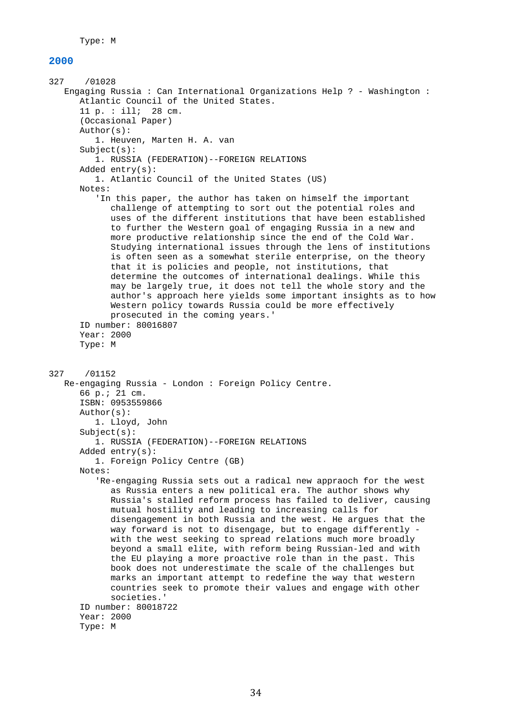```
327 /01028 
    Engaging Russia : Can International Organizations Help ? - Washington : 
       Atlantic Council of the United States. 
       11 p. : ill; 28 cm. 
       (Occasional Paper) 
       Author(s): 
          1. Heuven, Marten H. A. van 
       Subject(s): 
          1. RUSSIA (FEDERATION)--FOREIGN RELATIONS 
       Added entry(s): 
          1. Atlantic Council of the United States (US) 
       Notes: 
          'In this paper, the author has taken on himself the important 
             challenge of attempting to sort out the potential roles and 
             uses of the different institutions that have been established 
             to further the Western goal of engaging Russia in a new and 
             more productive relationship since the end of the Cold War. 
             Studying international issues through the lens of institutions 
             is often seen as a somewhat sterile enterprise, on the theory 
             that it is policies and people, not institutions, that 
             determine the outcomes of international dealings. While this 
             may be largely true, it does not tell the whole story and the 
             author's approach here yields some important insights as to how 
             Western policy towards Russia could be more effectively 
             prosecuted in the coming years.' 
       ID number: 80016807 
       Year: 2000 
       Type: M 
327 /01152 
    Re-engaging Russia - London : Foreign Policy Centre. 
       66 p.; 21 cm. 
       ISBN: 0953559866 
       Author(s): 
          1. Lloyd, John 
       Subject(s): 
          1. RUSSIA (FEDERATION)--FOREIGN RELATIONS 
       Added entry(s): 
          1. Foreign Policy Centre (GB) 
       Notes: 
          'Re-engaging Russia sets out a radical new appraoch for the west 
             as Russia enters a new political era. The author shows why 
             Russia's stalled reform process has failed to deliver, causing 
             mutual hostility and leading to increasing calls for 
             disengagement in both Russia and the west. He argues that the 
             way forward is not to disengage, but to engage differently - 
             with the west seeking to spread relations much more broadly 
             beyond a small elite, with reform being Russian-led and with 
             the EU playing a more proactive role than in the past. This 
             book does not underestimate the scale of the challenges but 
             marks an important attempt to redefine the way that western 
             countries seek to promote their values and engage with other 
             societies.' 
       ID number: 80018722 
       Year: 2000 
       Type: M
```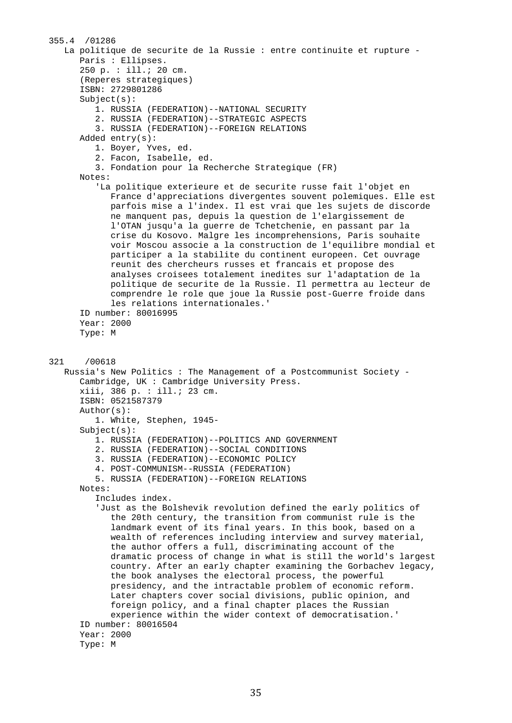```
355.4 /01286 
    La politique de securite de la Russie : entre continuite et rupture - 
       Paris : Ellipses. 
       250 p. : ill.; 20 cm. 
       (Reperes strategiques) 
       ISBN: 2729801286 
       Subject(s): 
          1. RUSSIA (FEDERATION)--NATIONAL SECURITY 
          2. RUSSIA (FEDERATION)--STRATEGIC ASPECTS 
          3. RUSSIA (FEDERATION)--FOREIGN RELATIONS 
       Added entry(s): 
          1. Boyer, Yves, ed. 
          2. Facon, Isabelle, ed. 
          3. Fondation pour la Recherche Strategique (FR) 
       Notes: 
          'La politique exterieure et de securite russe fait l'objet en 
             France d'appreciations divergentes souvent polemiques. Elle est 
             parfois mise a l'index. Il est vrai que les sujets de discorde 
             ne manquent pas, depuis la question de l'elargissement de 
             l'OTAN jusqu'a la guerre de Tchetchenie, en passant par la 
             crise du Kosovo. Malgre les incomprehensions, Paris souhaite 
             voir Moscou associe a la construction de l'equilibre mondial et 
             participer a la stabilite du continent europeen. Cet ouvrage 
             reunit des chercheurs russes et francais et propose des 
             analyses croisees totalement inedites sur l'adaptation de la 
             politique de securite de la Russie. Il permettra au lecteur de 
             comprendre le role que joue la Russie post-Guerre froide dans 
             les relations internationales.' 
       ID number: 80016995 
       Year: 2000 
       Type: M 
321 /00618 
    Russia's New Politics : The Management of a Postcommunist Society - 
       Cambridge, UK : Cambridge University Press. 
       xiii, 386 p. : ill.; 23 cm. 
       ISBN: 0521587379 
       Author(s): 
          1. White, Stephen, 1945- 
       Subject(s): 
          1. RUSSIA (FEDERATION)--POLITICS AND GOVERNMENT 
          2. RUSSIA (FEDERATION)--SOCIAL CONDITIONS 
          3. RUSSIA (FEDERATION)--ECONOMIC POLICY 
          4. POST-COMMUNISM--RUSSIA (FEDERATION) 
          5. RUSSIA (FEDERATION)--FOREIGN RELATIONS 
       Notes: 
          Includes index. 
          'Just as the Bolshevik revolution defined the early politics of 
             the 20th century, the transition from communist rule is the 
             landmark event of its final years. In this book, based on a 
             wealth of references including interview and survey material, 
             the author offers a full, discriminating account of the 
             dramatic process of change in what is still the world's largest 
             country. After an early chapter examining the Gorbachev legacy, 
             the book analyses the electoral process, the powerful 
             presidency, and the intractable problem of economic reform. 
             Later chapters cover social divisions, public opinion, and 
             foreign policy, and a final chapter places the Russian 
             experience within the wider context of democratisation.' 
       ID number: 80016504 
       Year: 2000 
       Type: M
```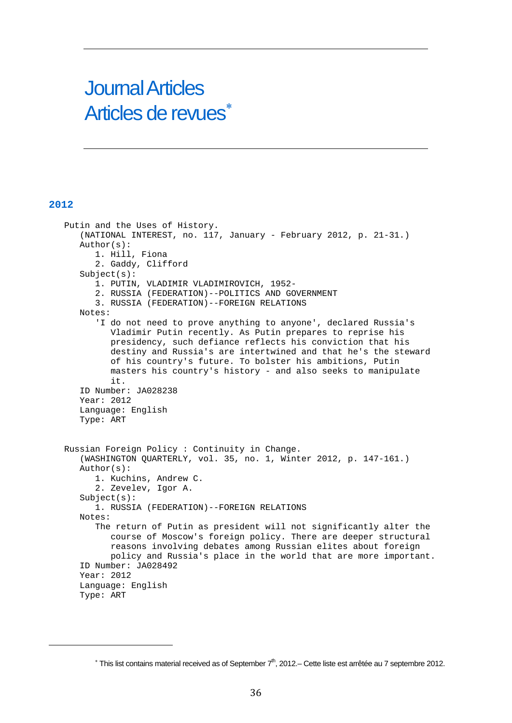# Journal Articles Articles de revues

### **2012**

<span id="page-35-0"></span>

 Putin and the Uses of History. (NATIONAL INTEREST, no. 117, January - February 2012, p. 21-31.) Author(s): 1. Hill, Fiona 2. Gaddy, Clifford Subject(s): 1. PUTIN, VLADIMIR VLADIMIROVICH, 1952- 2. RUSSIA (FEDERATION)--POLITICS AND GOVERNMENT 3. RUSSIA (FEDERATION)--FOREIGN RELATIONS Notes: 'I do not need to prove anything to anyone', declared Russia's Vladimir Putin recently. As Putin prepares to reprise his presidency, such defiance reflects his conviction that his destiny and Russia's are intertwined and that he's the steward of his country's future. To bolster his ambitions, Putin masters his country's history - and also seeks to manipulate it. ID Number: JA028238 Year: 2012 Language: English Type: ART Russian Foreign Policy : Continuity in Change. (WASHINGTON QUARTERLY, vol. 35, no. 1, Winter 2012, p. 147-161.) Author(s): 1. Kuchins, Andrew C. 2. Zevelev, Igor A. Subject(s): 1. RUSSIA (FEDERATION)--FOREIGN RELATIONS Notes: The return of Putin as president will not significantly alter the course of Moscow's foreign policy. There are deeper structural reasons involving debates among Russian elites about foreign policy and Russia's place in the world that are more important. ID Number: JA028492 Year: 2012 Language: English Type: ART

 $*$  This list contains material received as of September  $7<sup>th</sup>$ , 2012.– Cette liste est arrêtée au 7 septembre 2012.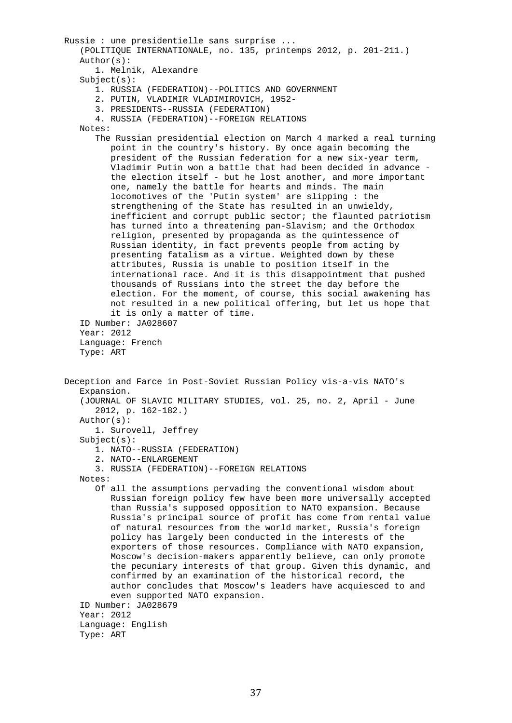```
 Russie : une presidentielle sans surprise ... 
    (POLITIQUE INTERNATIONALE, no. 135, printemps 2012, p. 201-211.) 
    Author(s): 
       1. Melnik, Alexandre 
   Subject(s): 1. RUSSIA (FEDERATION)--POLITICS AND GOVERNMENT 
       2. PUTIN, VLADIMIR VLADIMIROVICH, 1952- 
       3. PRESIDENTS--RUSSIA (FEDERATION) 
       4. RUSSIA (FEDERATION)--FOREIGN RELATIONS 
    Notes: 
       The Russian presidential election on March 4 marked a real turning 
          point in the country's history. By once again becoming the 
          president of the Russian federation for a new six-year term, 
          Vladimir Putin won a battle that had been decided in advance - 
          the election itself - but he lost another, and more important 
          one, namely the battle for hearts and minds. The main 
          locomotives of the 'Putin system' are slipping : the 
          strengthening of the State has resulted in an unwieldy, 
          inefficient and corrupt public sector; the flaunted patriotism 
          has turned into a threatening pan-Slavism; and the Orthodox 
          religion, presented by propaganda as the quintessence of 
          Russian identity, in fact prevents people from acting by 
          presenting fatalism as a virtue. Weighted down by these 
          attributes, Russia is unable to position itself in the 
          international race. And it is this disappointment that pushed 
          thousands of Russians into the street the day before the 
          election. For the moment, of course, this social awakening has 
          not resulted in a new political offering, but let us hope that 
          it is only a matter of time. 
    ID Number: JA028607 
    Year: 2012 
    Language: French 
    Type: ART 
 Deception and Farce in Post-Soviet Russian Policy vis-a-vis NATO's 
    Expansion. 
    (JOURNAL OF SLAVIC MILITARY STUDIES, vol. 25, no. 2, April - June 
       2012, p. 162-182.) 
    Author(s): 
       1. Surovell, Jeffrey 
    Subject(s): 
       1. NATO--RUSSIA (FEDERATION) 
       2. NATO--ENLARGEMENT 
       3. RUSSIA (FEDERATION)--FOREIGN RELATIONS 
    Notes: 
       Of all the assumptions pervading the conventional wisdom about 
          Russian foreign policy few have been more universally accepted 
          than Russia's supposed opposition to NATO expansion. Because 
          Russia's principal source of profit has come from rental value 
          of natural resources from the world market, Russia's foreign 
          policy has largely been conducted in the interests of the 
          exporters of those resources. Compliance with NATO expansion, 
          Moscow's decision-makers apparently believe, can only promote 
          the pecuniary interests of that group. Given this dynamic, and 
          confirmed by an examination of the historical record, the 
          author concludes that Moscow's leaders have acquiesced to and 
          even supported NATO expansion. 
    ID Number: JA028679 
    Year: 2012 
    Language: English 
    Type: ART
```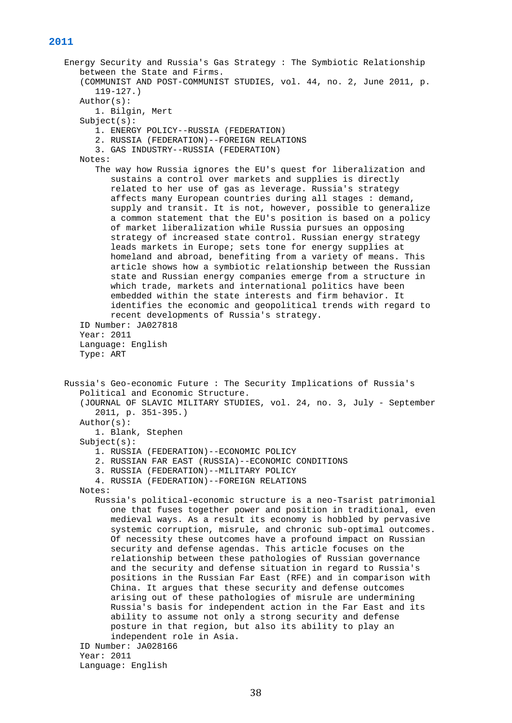```
 Energy Security and Russia's Gas Strategy : The Symbiotic Relationship 
    between the State and Firms. 
    (COMMUNIST AND POST-COMMUNIST STUDIES, vol. 44, no. 2, June 2011, p. 
       119-127.) 
    Author(s): 
       1. Bilgin, Mert 
    Subject(s): 
       1. ENERGY POLICY--RUSSIA (FEDERATION) 
       2. RUSSIA (FEDERATION)--FOREIGN RELATIONS 
       3. GAS INDUSTRY--RUSSIA (FEDERATION) 
    Notes: 
       The way how Russia ignores the EU's quest for liberalization and 
          sustains a control over markets and supplies is directly 
          related to her use of gas as leverage. Russia's strategy 
          affects many European countries during all stages : demand, 
          supply and transit. It is not, however, possible to generalize 
          a common statement that the EU's position is based on a policy 
          of market liberalization while Russia pursues an opposing 
          strategy of increased state control. Russian energy strategy 
          leads markets in Europe; sets tone for energy supplies at 
          homeland and abroad, benefiting from a variety of means. This 
          article shows how a symbiotic relationship between the Russian 
          state and Russian energy companies emerge from a structure in 
          which trade, markets and international politics have been 
          embedded within the state interests and firm behavior. It 
          identifies the economic and geopolitical trends with regard to 
          recent developments of Russia's strategy. 
    ID Number: JA027818 
    Year: 2011 
    Language: English 
    Type: ART 
 Russia's Geo-economic Future : The Security Implications of Russia's 
    Political and Economic Structure. 
    (JOURNAL OF SLAVIC MILITARY STUDIES, vol. 24, no. 3, July - September 
       2011, p. 351-395.) 
    Author(s): 
       1. Blank, Stephen 
    Subject(s): 
       1. RUSSIA (FEDERATION)--ECONOMIC POLICY 
       2. RUSSIAN FAR EAST (RUSSIA)--ECONOMIC CONDITIONS 
       3. RUSSIA (FEDERATION)--MILITARY POLICY 
       4. RUSSIA (FEDERATION)--FOREIGN RELATIONS 
    Notes: 
       Russia's political-economic structure is a neo-Tsarist patrimonial 
          one that fuses together power and position in traditional, even 
          medieval ways. As a result its economy is hobbled by pervasive 
          systemic corruption, misrule, and chronic sub-optimal outcomes. 
          Of necessity these outcomes have a profound impact on Russian 
          security and defense agendas. This article focuses on the 
          relationship between these pathologies of Russian governance 
          and the security and defense situation in regard to Russia's 
          positions in the Russian Far East (RFE) and in comparison with 
          China. It argues that these security and defense outcomes 
          arising out of these pathologies of misrule are undermining 
          Russia's basis for independent action in the Far East and its 
          ability to assume not only a strong security and defense 
          posture in that region, but also its ability to play an 
          independent role in Asia. 
    ID Number: JA028166 
    Year: 2011 
    Language: English
```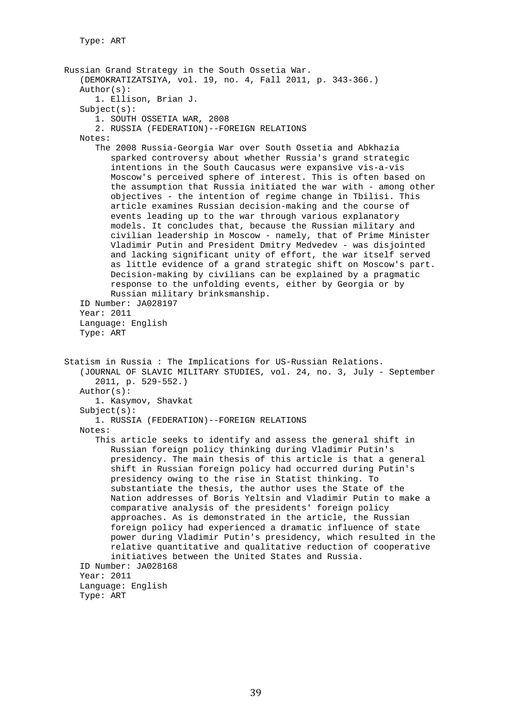Russian Grand Strategy in the South Ossetia War. (DEMOKRATIZATSIYA, vol. 19, no. 4, Fall 2011, p. 343-366.) Author(s): 1. Ellison, Brian J. Subject(s): 1. SOUTH OSSETIA WAR, 2008 2. RUSSIA (FEDERATION)--FOREIGN RELATIONS Notes: The 2008 Russia-Georgia War over South Ossetia and Abkhazia sparked controversy about whether Russia's grand strategic intentions in the South Caucasus were expansive vis-a-vis Moscow's perceived sphere of interest. This is often based on the assumption that Russia initiated the war with - among other objectives - the intention of regime change in Tbilisi. This article examines Russian decision-making and the course of events leading up to the war through various explanatory models. It concludes that, because the Russian military and civilian leadership in Moscow - namely, that of Prime Minister Vladimir Putin and President Dmitry Medvedev - was disjointed and lacking significant unity of effort, the war itself served as little evidence of a grand strategic shift on Moscow's part. Decision-making by civilians can be explained by a pragmatic response to the unfolding events, either by Georgia or by Russian military brinksmanship. ID Number: JA028197 Year: 2011 Language: English Type: ART Statism in Russia : The Implications for US-Russian Relations. (JOURNAL OF SLAVIC MILITARY STUDIES, vol. 24, no. 3, July - September 2011, p. 529-552.) Author(s): 1. Kasymov, Shavkat Subject(s): 1. RUSSIA (FEDERATION)--FOREIGN RELATIONS Notes: This article seeks to identify and assess the general shift in Russian foreign policy thinking during Vladimir Putin's presidency. The main thesis of this article is that a general shift in Russian foreign policy had occurred during Putin's presidency owing to the rise in Statist thinking. To substantiate the thesis, the author uses the State of the Nation addresses of Boris Yeltsin and Vladimir Putin to make a comparative analysis of the presidents' foreign policy approaches. As is demonstrated in the article, the Russian foreign policy had experienced a dramatic influence of state power during Vladimir Putin's presidency, which resulted in the relative quantitative and qualitative reduction of cooperative initiatives between the United States and Russia. ID Number: JA028168 Year: 2011 Language: English Type: ART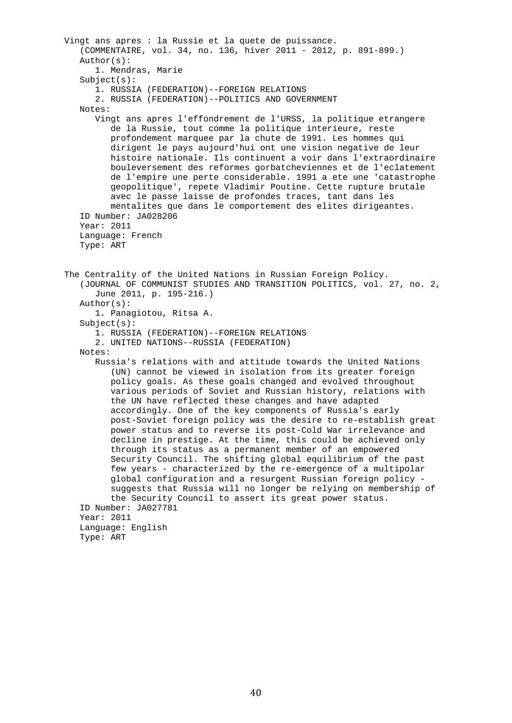Vingt ans apres : la Russie et la quete de puissance. (COMMENTAIRE, vol. 34, no. 136, hiver 2011 - 2012, p. 891-899.) Author(s): 1. Mendras, Marie  $Subject(s):$  1. RUSSIA (FEDERATION)--FOREIGN RELATIONS 2. RUSSIA (FEDERATION)--POLITICS AND GOVERNMENT Notes: Vingt ans apres l'effondrement de l'URSS, la politique etrangere de la Russie, tout comme la politique interieure, reste profondement marquee par la chute de 1991. Les hommes qui dirigent le pays aujourd'hui ont une vision negative de leur histoire nationale. Ils continuent a voir dans l'extraordinaire bouleversement des reformes gorbatcheviennes et de l'eclatement de l'empire une perte considerable. 1991 a ete une 'catastrophe geopolitique', repete Vladimir Poutine. Cette rupture brutale avec le passe laisse de profondes traces, tant dans les mentalites que dans le comportement des elites dirigeantes. ID Number: JA028206 Year: 2011 Language: French Type: ART The Centrality of the United Nations in Russian Foreign Policy. (JOURNAL OF COMMUNIST STUDIES AND TRANSITION POLITICS, vol. 27, no. 2, June 2011, p. 195-216.) Author(s): 1. Panagiotou, Ritsa A. Subject(s): 1. RUSSIA (FEDERATION)--FOREIGN RELATIONS 2. UNITED NATIONS--RUSSIA (FEDERATION) Notes: Russia's relations with and attitude towards the United Nations (UN) cannot be viewed in isolation from its greater foreign policy goals. As these goals changed and evolved throughout various periods of Soviet and Russian history, relations with the UN have reflected these changes and have adapted accordingly. One of the key components of Russia's early post-Soviet foreign policy was the desire to re-establish great power status and to reverse its post-Cold War irrelevance and decline in prestige. At the time, this could be achieved only through its status as a permanent member of an empowered Security Council. The shifting global equilibrium of the past few years - characterized by the re-emergence of a multipolar global configuration and a resurgent Russian foreign policy suggests that Russia will no longer be relying on membership of the Security Council to assert its great power status. ID Number: JA027781 Year: 2011 Language: English Type: ART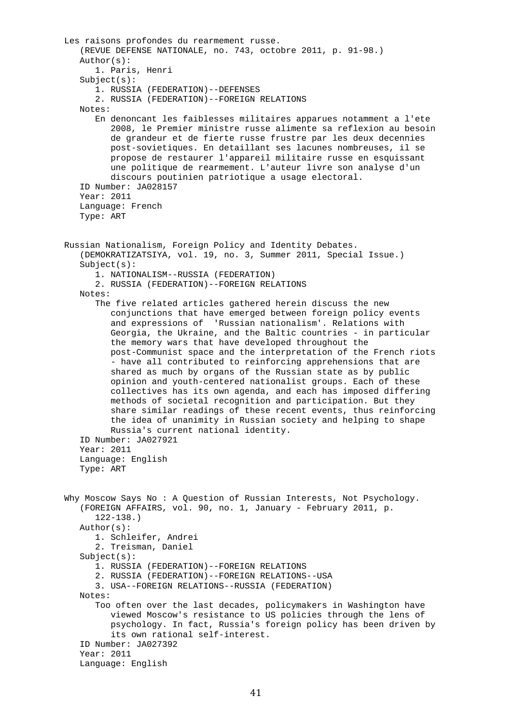```
 Les raisons profondes du rearmement russe. 
    (REVUE DEFENSE NATIONALE, no. 743, octobre 2011, p. 91-98.) 
    Author(s): 
       1. Paris, Henri 
   Subject(s): 1. RUSSIA (FEDERATION)--DEFENSES 
       2. RUSSIA (FEDERATION)--FOREIGN RELATIONS 
    Notes: 
       En denoncant les faiblesses militaires apparues notamment a l'ete 
          2008, le Premier ministre russe alimente sa reflexion au besoin 
          de grandeur et de fierte russe frustre par les deux decennies 
          post-sovietiques. En detaillant ses lacunes nombreuses, il se 
          propose de restaurer l'appareil militaire russe en esquissant 
          une politique de rearmement. L'auteur livre son analyse d'un 
          discours poutinien patriotique a usage electoral. 
    ID Number: JA028157 
    Year: 2011 
    Language: French 
    Type: ART 
 Russian Nationalism, Foreign Policy and Identity Debates. 
    (DEMOKRATIZATSIYA, vol. 19, no. 3, Summer 2011, Special Issue.) 
    Subject(s): 
       1. NATIONALISM--RUSSIA (FEDERATION) 
       2. RUSSIA (FEDERATION)--FOREIGN RELATIONS 
    Notes: 
       The five related articles gathered herein discuss the new 
          conjunctions that have emerged between foreign policy events 
          and expressions of 'Russian nationalism'. Relations with 
          Georgia, the Ukraine, and the Baltic countries - in particular 
          the memory wars that have developed throughout the 
          post-Communist space and the interpretation of the French riots 
          - have all contributed to reinforcing apprehensions that are 
          shared as much by organs of the Russian state as by public 
          opinion and youth-centered nationalist groups. Each of these 
          collectives has its own agenda, and each has imposed differing 
          methods of societal recognition and participation. But they 
          share similar readings of these recent events, thus reinforcing 
          the idea of unanimity in Russian society and helping to shape 
          Russia's current national identity. 
    ID Number: JA027921 
    Year: 2011 
    Language: English 
    Type: ART 
 Why Moscow Says No : A Question of Russian Interests, Not Psychology. 
    (FOREIGN AFFAIRS, vol. 90, no. 1, January - February 2011, p. 
       122-138.) 
    Author(s): 
       1. Schleifer, Andrei 
       2. Treisman, Daniel 
    Subject(s): 
       1. RUSSIA (FEDERATION)--FOREIGN RELATIONS 
       2. RUSSIA (FEDERATION)--FOREIGN RELATIONS--USA 
       3. USA--FOREIGN RELATIONS--RUSSIA (FEDERATION) 
    Notes: 
       Too often over the last decades, policymakers in Washington have 
          viewed Moscow's resistance to US policies through the lens of 
          psychology. In fact, Russia's foreign policy has been driven by 
          its own rational self-interest. 
    ID Number: JA027392 
    Year: 2011 
    Language: English
```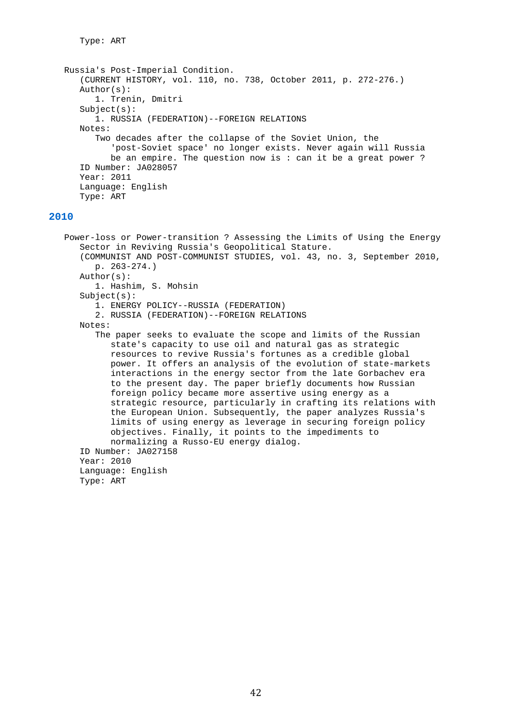Type: ART

```
 Russia's Post-Imperial Condition. 
    (CURRENT HISTORY, vol. 110, no. 738, October 2011, p. 272-276.) 
    Author(s): 
       1. Trenin, Dmitri 
    Subject(s): 
       1. RUSSIA (FEDERATION)--FOREIGN RELATIONS 
    Notes: 
       Two decades after the collapse of the Soviet Union, the 
           'post-Soviet space' no longer exists. Never again will Russia 
         be an empire. The question now is : can it be a great power ?
    ID Number: JA028057 
    Year: 2011 
    Language: English 
    Type: ART
```
## **2010**

 Power-loss or Power-transition ? Assessing the Limits of Using the Energy Sector in Reviving Russia's Geopolitical Stature. (COMMUNIST AND POST-COMMUNIST STUDIES, vol. 43, no. 3, September 2010, p. 263-274.) Author(s): 1. Hashim, S. Mohsin Subject(s): 1. ENERGY POLICY--RUSSIA (FEDERATION) 2. RUSSIA (FEDERATION)--FOREIGN RELATIONS Notes: The paper seeks to evaluate the scope and limits of the Russian state's capacity to use oil and natural gas as strategic resources to revive Russia's fortunes as a credible global power. It offers an analysis of the evolution of state-markets interactions in the energy sector from the late Gorbachev era to the present day. The paper briefly documents how Russian foreign policy became more assertive using energy as a strategic resource, particularly in crafting its relations with the European Union. Subsequently, the paper analyzes Russia's limits of using energy as leverage in securing foreign policy objectives. Finally, it points to the impediments to normalizing a Russo-EU energy dialog. ID Number: JA027158 Year: 2010 Language: English Type: ART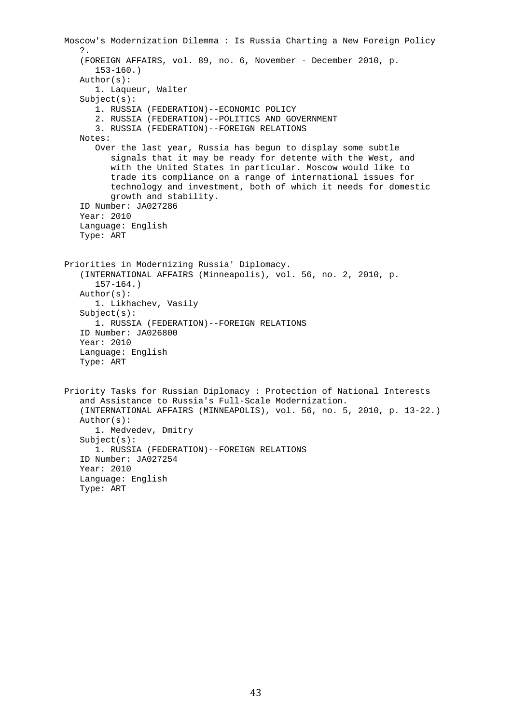```
 Moscow's Modernization Dilemma : Is Russia Charting a New Foreign Policy 
    ?. 
    (FOREIGN AFFAIRS, vol. 89, no. 6, November - December 2010, p. 
       153-160.) 
    Author(s): 
       1. Laqueur, Walter 
    Subject(s): 
       1. RUSSIA (FEDERATION)--ECONOMIC POLICY 
       2. RUSSIA (FEDERATION)--POLITICS AND GOVERNMENT 
       3. RUSSIA (FEDERATION)--FOREIGN RELATIONS 
    Notes: 
       Over the last year, Russia has begun to display some subtle 
          signals that it may be ready for detente with the West, and 
          with the United States in particular. Moscow would like to 
          trade its compliance on a range of international issues for 
          technology and investment, both of which it needs for domestic 
          growth and stability. 
    ID Number: JA027286 
    Year: 2010 
    Language: English 
    Type: ART 
 Priorities in Modernizing Russia' Diplomacy. 
    (INTERNATIONAL AFFAIRS (Minneapolis), vol. 56, no. 2, 2010, p. 
       157-164.) 
    Author(s): 
       1. Likhachev, Vasily 
    Subject(s): 
       1. RUSSIA (FEDERATION)--FOREIGN RELATIONS 
    ID Number: JA026800 
    Year: 2010 
    Language: English 
    Type: ART 
 Priority Tasks for Russian Diplomacy : Protection of National Interests 
    and Assistance to Russia's Full-Scale Modernization. 
    (INTERNATIONAL AFFAIRS (MINNEAPOLIS), vol. 56, no. 5, 2010, p. 13-22.) 
    Author(s): 
       1. Medvedev, Dmitry 
    Subject(s): 
       1. RUSSIA (FEDERATION)--FOREIGN RELATIONS 
    ID Number: JA027254 
    Year: 2010 
    Language: English 
    Type: ART
```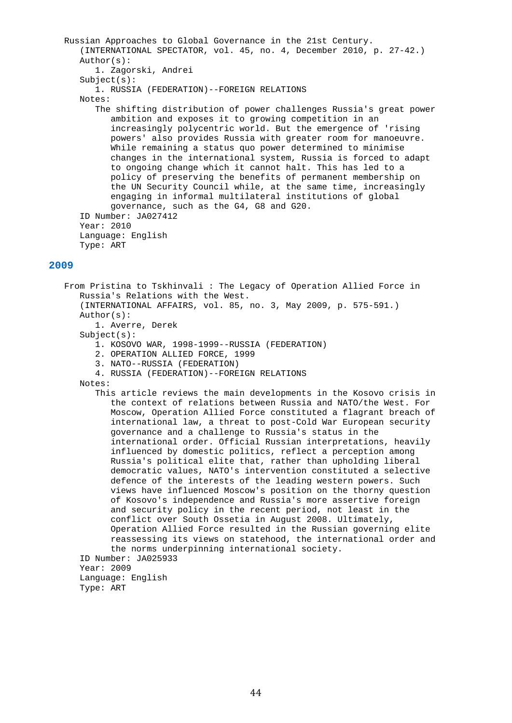```
 Russian Approaches to Global Governance in the 21st Century. 
       (INTERNATIONAL SPECTATOR, vol. 45, no. 4, December 2010, p. 27-42.) 
       Author(s): 
          1. Zagorski, Andrei 
      Subject(s): 1. RUSSIA (FEDERATION)--FOREIGN RELATIONS 
       Notes: 
          The shifting distribution of power challenges Russia's great power 
             ambition and exposes it to growing competition in an 
             increasingly polycentric world. But the emergence of 'rising 
             powers' also provides Russia with greater room for manoeuvre. 
             While remaining a status quo power determined to minimise 
             changes in the international system, Russia is forced to adapt 
             to ongoing change which it cannot halt. This has led to a 
             policy of preserving the benefits of permanent membership on 
             the UN Security Council while, at the same time, increasingly 
             engaging in informal multilateral institutions of global 
             governance, such as the G4, G8 and G20. 
       ID Number: JA027412 
       Year: 2010 
       Language: English 
       Type: ART 
2009 
   From Pristina to Tskhinvali : The Legacy of Operation Allied Force in 
       Russia's Relations with the West. 
       (INTERNATIONAL AFFAIRS, vol. 85, no. 3, May 2009, p. 575-591.) 
       Author(s): 
          1. Averre, Derek 
      Subject(s): 1. KOSOVO WAR, 1998-1999--RUSSIA (FEDERATION) 
          2. OPERATION ALLIED FORCE, 1999 
          3. NATO--RUSSIA (FEDERATION) 
          4. RUSSIA (FEDERATION)--FOREIGN RELATIONS 
       Notes: 
          This article reviews the main developments in the Kosovo crisis in 
             the context of relations between Russia and NATO/the West. For 
             Moscow, Operation Allied Force constituted a flagrant breach of 
             international law, a threat to post-Cold War European security 
             governance and a challenge to Russia's status in the 
             international order. Official Russian interpretations, heavily 
             influenced by domestic politics, reflect a perception among 
             Russia's political elite that, rather than upholding liberal 
             democratic values, NATO's intervention constituted a selective 
             defence of the interests of the leading western powers. Such 
             views have influenced Moscow's position on the thorny question 
             of Kosovo's independence and Russia's more assertive foreign 
             and security policy in the recent period, not least in the 
             conflict over South Ossetia in August 2008. Ultimately, 
             Operation Allied Force resulted in the Russian governing elite 
             reassessing its views on statehood, the international order and 
             the norms underpinning international society. 
       ID Number: JA025933 
       Year: 2009
```

```
 Language: English 
 Type: ART
```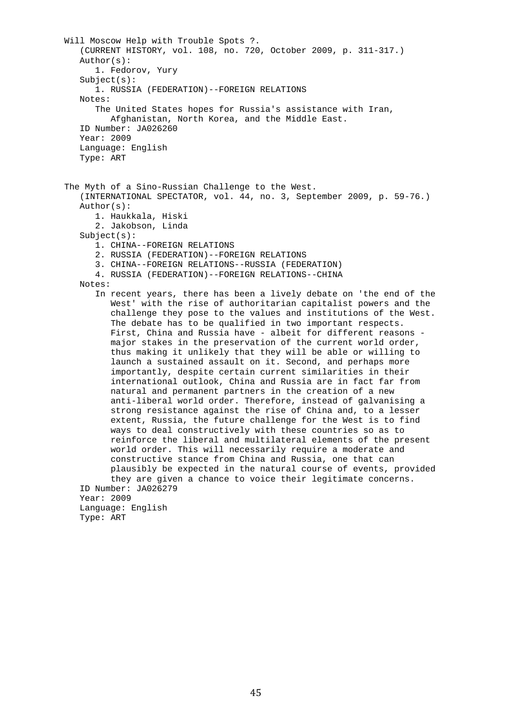Will Moscow Help with Trouble Spots ?. (CURRENT HISTORY, vol. 108, no. 720, October 2009, p. 311-317.) Author(s): 1. Fedorov, Yury  $Subject(s):$  1. RUSSIA (FEDERATION)--FOREIGN RELATIONS Notes: The United States hopes for Russia's assistance with Iran, Afghanistan, North Korea, and the Middle East. ID Number: JA026260 Year: 2009 Language: English Type: ART The Myth of a Sino-Russian Challenge to the West. (INTERNATIONAL SPECTATOR, vol. 44, no. 3, September 2009, p. 59-76.) Author(s): 1. Haukkala, Hiski 2. Jakobson, Linda Subject(s): 1. CHINA--FOREIGN RELATIONS 2. RUSSIA (FEDERATION)--FOREIGN RELATIONS 3. CHINA--FOREIGN RELATIONS--RUSSIA (FEDERATION) 4. RUSSIA (FEDERATION)--FOREIGN RELATIONS--CHINA Notes: In recent years, there has been a lively debate on 'the end of the West' with the rise of authoritarian capitalist powers and the challenge they pose to the values and institutions of the West. The debate has to be qualified in two important respects. First, China and Russia have - albeit for different reasons major stakes in the preservation of the current world order, thus making it unlikely that they will be able or willing to launch a sustained assault on it. Second, and perhaps more importantly, despite certain current similarities in their international outlook, China and Russia are in fact far from natural and permanent partners in the creation of a new anti-liberal world order. Therefore, instead of galvanising a strong resistance against the rise of China and, to a lesser extent, Russia, the future challenge for the West is to find ways to deal constructively with these countries so as to reinforce the liberal and multilateral elements of the present world order. This will necessarily require a moderate and constructive stance from China and Russia, one that can plausibly be expected in the natural course of events, provided they are given a chance to voice their legitimate concerns. ID Number: JA026279 Year: 2009 Language: English Type: ART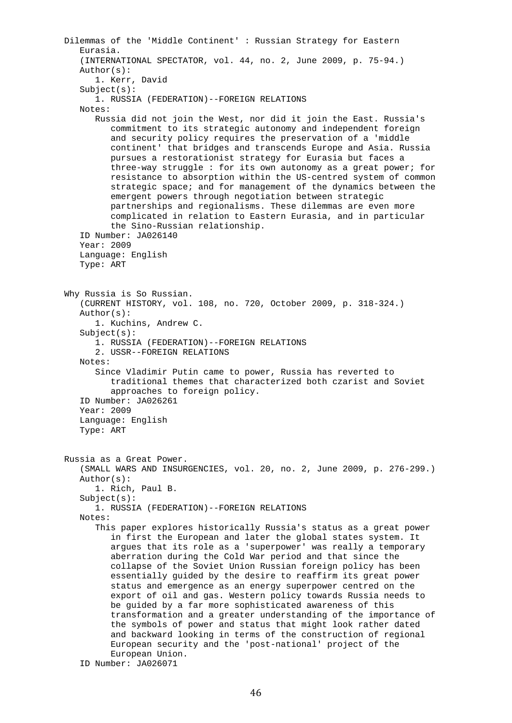Dilemmas of the 'Middle Continent' : Russian Strategy for Eastern Eurasia. (INTERNATIONAL SPECTATOR, vol. 44, no. 2, June 2009, p. 75-94.) Author(s): 1. Kerr, David Subject(s): 1. RUSSIA (FEDERATION)--FOREIGN RELATIONS Notes: Russia did not join the West, nor did it join the East. Russia's commitment to its strategic autonomy and independent foreign and security policy requires the preservation of a 'middle continent' that bridges and transcends Europe and Asia. Russia pursues a restorationist strategy for Eurasia but faces a three-way struggle : for its own autonomy as a great power; for resistance to absorption within the US-centred system of common strategic space; and for management of the dynamics between the emergent powers through negotiation between strategic partnerships and regionalisms. These dilemmas are even more complicated in relation to Eastern Eurasia, and in particular the Sino-Russian relationship. ID Number: JA026140 Year: 2009 Language: English Type: ART Why Russia is So Russian. (CURRENT HISTORY, vol. 108, no. 720, October 2009, p. 318-324.) Author(s): 1. Kuchins, Andrew C. Subject(s): 1. RUSSIA (FEDERATION)--FOREIGN RELATIONS 2. USSR--FOREIGN RELATIONS Notes: Since Vladimir Putin came to power, Russia has reverted to traditional themes that characterized both czarist and Soviet approaches to foreign policy. ID Number: JA026261 Year: 2009 Language: English Type: ART Russia as a Great Power. (SMALL WARS AND INSURGENCIES, vol. 20, no. 2, June 2009, p. 276-299.) Author(s): 1. Rich, Paul B. Subject(s): 1. RUSSIA (FEDERATION)--FOREIGN RELATIONS Notes: This paper explores historically Russia's status as a great power in first the European and later the global states system. It argues that its role as a 'superpower' was really a temporary aberration during the Cold War period and that since the collapse of the Soviet Union Russian foreign policy has been essentially guided by the desire to reaffirm its great power status and emergence as an energy superpower centred on the export of oil and gas. Western policy towards Russia needs to be guided by a far more sophisticated awareness of this transformation and a greater understanding of the importance of the symbols of power and status that might look rather dated and backward looking in terms of the construction of regional European security and the 'post-national' project of the European Union. ID Number: JA026071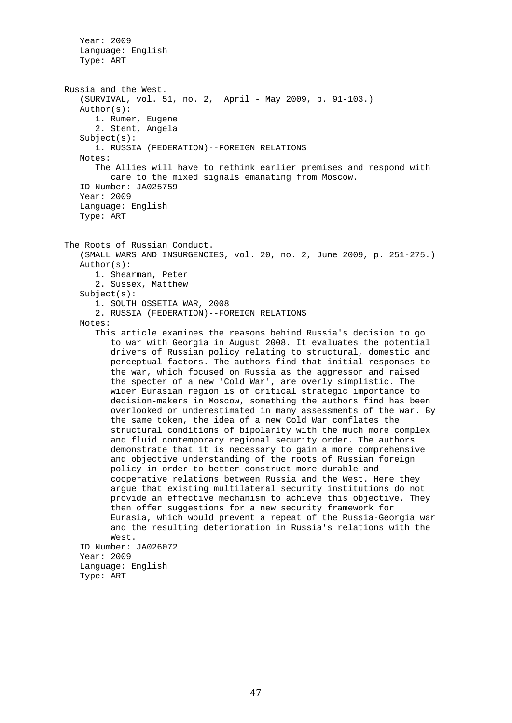Year: 2009 Language: English Type: ART Russia and the West. (SURVIVAL, vol. 51, no. 2, April - May 2009, p. 91-103.) Author(s): 1. Rumer, Eugene 2. Stent, Angela  $Subject(s):$  1. RUSSIA (FEDERATION)--FOREIGN RELATIONS Notes: The Allies will have to rethink earlier premises and respond with care to the mixed signals emanating from Moscow. ID Number: JA025759 Year: 2009 Language: English Type: ART The Roots of Russian Conduct. (SMALL WARS AND INSURGENCIES, vol. 20, no. 2, June 2009, p. 251-275.) Author(s): 1. Shearman, Peter 2. Sussex, Matthew Subject(s): 1. SOUTH OSSETIA WAR, 2008 2. RUSSIA (FEDERATION)--FOREIGN RELATIONS Notes: This article examines the reasons behind Russia's decision to go to war with Georgia in August 2008. It evaluates the potential drivers of Russian policy relating to structural, domestic and perceptual factors. The authors find that initial responses to the war, which focused on Russia as the aggressor and raised the specter of a new 'Cold War', are overly simplistic. The wider Eurasian region is of critical strategic importance to decision-makers in Moscow, something the authors find has been overlooked or underestimated in many assessments of the war. By the same token, the idea of a new Cold War conflates the structural conditions of bipolarity with the much more complex and fluid contemporary regional security order. The authors demonstrate that it is necessary to gain a more comprehensive and objective understanding of the roots of Russian foreign policy in order to better construct more durable and cooperative relations between Russia and the West. Here they argue that existing multilateral security institutions do not provide an effective mechanism to achieve this objective. They then offer suggestions for a new security framework for Eurasia, which would prevent a repeat of the Russia-Georgia war and the resulting deterioration in Russia's relations with the West. ID Number: JA026072 Year: 2009 Language: English Type: ART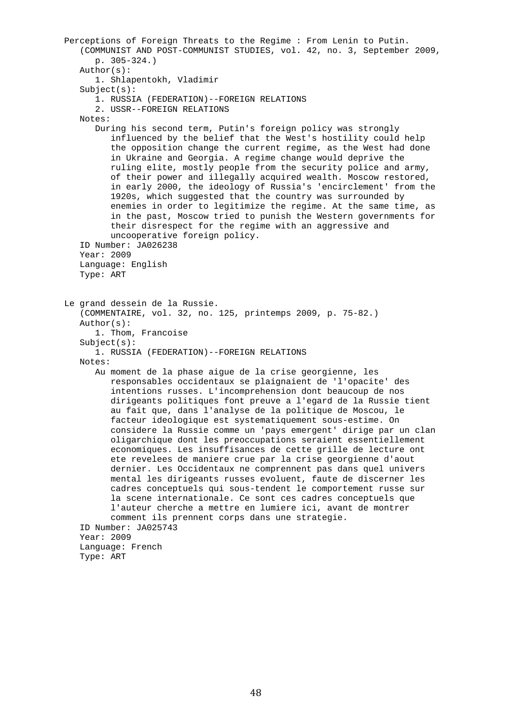Perceptions of Foreign Threats to the Regime : From Lenin to Putin. (COMMUNIST AND POST-COMMUNIST STUDIES, vol. 42, no. 3, September 2009, p. 305-324.) Author(s): 1. Shlapentokh, Vladimir Subject(s): 1. RUSSIA (FEDERATION)--FOREIGN RELATIONS 2. USSR--FOREIGN RELATIONS Notes: During his second term, Putin's foreign policy was strongly influenced by the belief that the West's hostility could help the opposition change the current regime, as the West had done in Ukraine and Georgia. A regime change would deprive the ruling elite, mostly people from the security police and army, of their power and illegally acquired wealth. Moscow restored, in early 2000, the ideology of Russia's 'encirclement' from the 1920s, which suggested that the country was surrounded by enemies in order to legitimize the regime. At the same time, as in the past, Moscow tried to punish the Western governments for their disrespect for the regime with an aggressive and uncooperative foreign policy. ID Number: JA026238 Year: 2009 Language: English Type: ART Le grand dessein de la Russie. (COMMENTAIRE, vol. 32, no. 125, printemps 2009, p. 75-82.) Author(s): 1. Thom, Francoise Subject(s): 1. RUSSIA (FEDERATION)--FOREIGN RELATIONS Notes: Au moment de la phase aigue de la crise georgienne, les responsables occidentaux se plaignaient de 'l'opacite' des intentions russes. L'incomprehension dont beaucoup de nos dirigeants politiques font preuve a l'egard de la Russie tient au fait que, dans l'analyse de la politique de Moscou, le facteur ideologique est systematiquement sous-estime. On considere la Russie comme un 'pays emergent' dirige par un clan oligarchique dont les preoccupations seraient essentiellement economiques. Les insuffisances de cette grille de lecture ont ete revelees de maniere crue par la crise georgienne d'aout dernier. Les Occidentaux ne comprennent pas dans quel univers mental les dirigeants russes evoluent, faute de discerner les cadres conceptuels qui sous-tendent le comportement russe sur la scene internationale. Ce sont ces cadres conceptuels que l'auteur cherche a mettre en lumiere ici, avant de montrer comment ils prennent corps dans une strategie. ID Number: JA025743 Year: 2009 Language: French Type: ART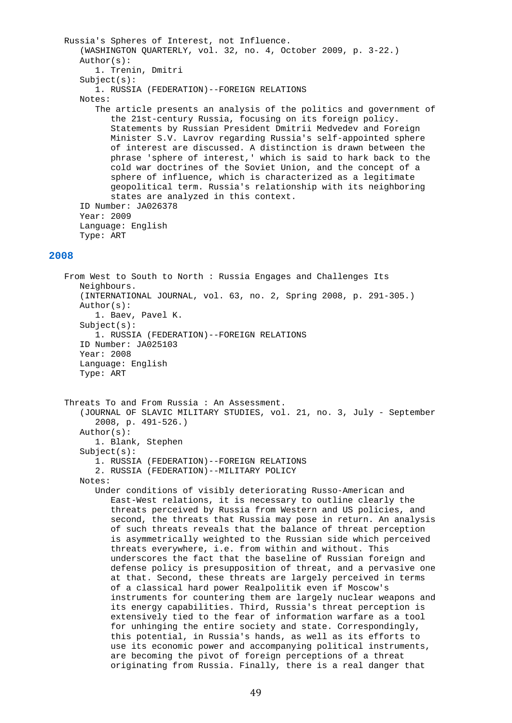```
 Russia's Spheres of Interest, not Influence. 
       (WASHINGTON QUARTERLY, vol. 32, no. 4, October 2009, p. 3-22.) 
       Author(s): 
          1. Trenin, Dmitri 
      Subject(s): 1. RUSSIA (FEDERATION)--FOREIGN RELATIONS 
       Notes: 
          The article presents an analysis of the politics and government of 
             the 21st-century Russia, focusing on its foreign policy. 
             Statements by Russian President Dmitrii Medvedev and Foreign 
             Minister S.V. Lavrov regarding Russia's self-appointed sphere 
             of interest are discussed. A distinction is drawn between the 
             phrase 'sphere of interest,' which is said to hark back to the 
             cold war doctrines of the Soviet Union, and the concept of a 
             sphere of influence, which is characterized as a legitimate 
             geopolitical term. Russia's relationship with its neighboring 
             states are analyzed in this context. 
       ID Number: JA026378 
       Year: 2009 
       Language: English 
       Type: ART 
2008 
    From West to South to North : Russia Engages and Challenges Its 
       Neighbours. 
       (INTERNATIONAL JOURNAL, vol. 63, no. 2, Spring 2008, p. 291-305.) 
       Author(s): 
          1. Baev, Pavel K. 
       Subject(s):
```

```
 Threats To and From Russia : An Assessment.
```
Language: English

ID Number: JA025103

```
 (JOURNAL OF SLAVIC MILITARY STUDIES, vol. 21, no. 3, July - September 
    2008, p. 491-526.) 
 Author(s): 
    1. Blank, Stephen
```
Subject(s):

Year: 2008

Type: ART

```
 1. RUSSIA (FEDERATION)--FOREIGN RELATIONS
```
1. RUSSIA (FEDERATION)--FOREIGN RELATIONS

2. RUSSIA (FEDERATION)--MILITARY POLICY

Notes:

 Under conditions of visibly deteriorating Russo-American and East-West relations, it is necessary to outline clearly the threats perceived by Russia from Western and US policies, and second, the threats that Russia may pose in return. An analysis of such threats reveals that the balance of threat perception is asymmetrically weighted to the Russian side which perceived threats everywhere, i.e. from within and without. This underscores the fact that the baseline of Russian foreign and defense policy is presupposition of threat, and a pervasive one at that. Second, these threats are largely perceived in terms of a classical hard power Realpolitik even if Moscow's instruments for countering them are largely nuclear weapons and its energy capabilities. Third, Russia's threat perception is extensively tied to the fear of information warfare as a tool for unhinging the entire society and state. Correspondingly, this potential, in Russia's hands, as well as its efforts to use its economic power and accompanying political instruments, are becoming the pivot of foreign perceptions of a threat originating from Russia. Finally, there is a real danger that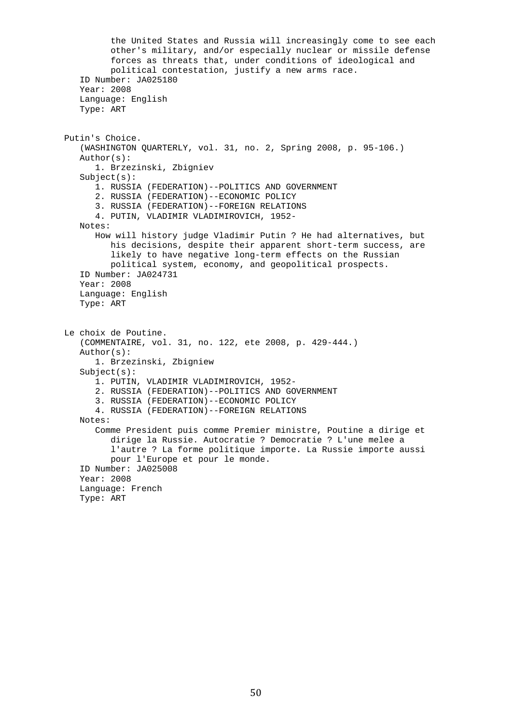the United States and Russia will increasingly come to see each other's military, and/or especially nuclear or missile defense forces as threats that, under conditions of ideological and political contestation, justify a new arms race. ID Number: JA025180 Year: 2008 Language: English Type: ART Putin's Choice. (WASHINGTON QUARTERLY, vol. 31, no. 2, Spring 2008, p. 95-106.) Author(s): 1. Brzezinski, Zbigniev Subject(s): 1. RUSSIA (FEDERATION)--POLITICS AND GOVERNMENT 2. RUSSIA (FEDERATION)--ECONOMIC POLICY 3. RUSSIA (FEDERATION)--FOREIGN RELATIONS 4. PUTIN, VLADIMIR VLADIMIROVICH, 1952- Notes: How will history judge Vladimir Putin ? He had alternatives, but his decisions, despite their apparent short-term success, are likely to have negative long-term effects on the Russian political system, economy, and geopolitical prospects. ID Number: JA024731 Year: 2008 Language: English Type: ART Le choix de Poutine. (COMMENTAIRE, vol. 31, no. 122, ete 2008, p. 429-444.) Author(s): 1. Brzezinski, Zbigniew Subject(s): 1. PUTIN, VLADIMIR VLADIMIROVICH, 1952- 2. RUSSIA (FEDERATION)--POLITICS AND GOVERNMENT 3. RUSSIA (FEDERATION)--ECONOMIC POLICY 4. RUSSIA (FEDERATION)--FOREIGN RELATIONS Notes: Comme President puis comme Premier ministre, Poutine a dirige et dirige la Russie. Autocratie ? Democratie ? L'une melee a l'autre ? La forme politique importe. La Russie importe aussi pour l'Europe et pour le monde. ID Number: JA025008 Year: 2008 Language: French Type: ART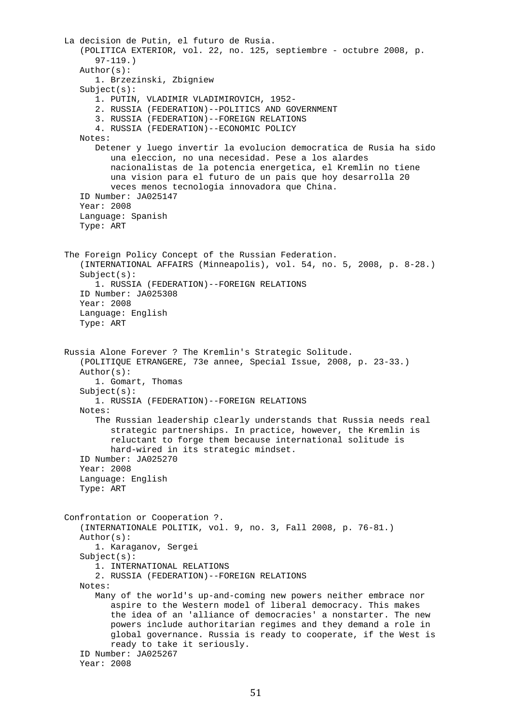La decision de Putin, el futuro de Rusia. (POLITICA EXTERIOR, vol. 22, no. 125, septiembre - octubre 2008, p. 97-119.) Author(s): 1. Brzezinski, Zbigniew Subject(s): 1. PUTIN, VLADIMIR VLADIMIROVICH, 1952- 2. RUSSIA (FEDERATION)--POLITICS AND GOVERNMENT 3. RUSSIA (FEDERATION)--FOREIGN RELATIONS 4. RUSSIA (FEDERATION)--ECONOMIC POLICY Notes: Detener y luego invertir la evolucion democratica de Rusia ha sido una eleccion, no una necesidad. Pese a los alardes nacionalistas de la potencia energetica, el Kremlin no tiene una vision para el futuro de un pais que hoy desarrolla 20 veces menos tecnologia innovadora que China. ID Number: JA025147 Year: 2008 Language: Spanish Type: ART The Foreign Policy Concept of the Russian Federation. (INTERNATIONAL AFFAIRS (Minneapolis), vol. 54, no. 5, 2008, p. 8-28.) Subject(s): 1. RUSSIA (FEDERATION)--FOREIGN RELATIONS ID Number: JA025308 Year: 2008 Language: English Type: ART Russia Alone Forever ? The Kremlin's Strategic Solitude. (POLITIQUE ETRANGERE, 73e annee, Special Issue, 2008, p. 23-33.) Author(s): 1. Gomart, Thomas Subject(s): 1. RUSSIA (FEDERATION)--FOREIGN RELATIONS Notes: The Russian leadership clearly understands that Russia needs real strategic partnerships. In practice, however, the Kremlin is reluctant to forge them because international solitude is hard-wired in its strategic mindset. ID Number: JA025270 Year: 2008 Language: English Type: ART Confrontation or Cooperation ?. (INTERNATIONALE POLITIK, vol. 9, no. 3, Fall 2008, p. 76-81.) Author(s): 1. Karaganov, Sergei Subject(s): 1. INTERNATIONAL RELATIONS 2. RUSSIA (FEDERATION)--FOREIGN RELATIONS Notes: Many of the world's up-and-coming new powers neither embrace nor aspire to the Western model of liberal democracy. This makes the idea of an 'alliance of democracies' a nonstarter. The new powers include authoritarian regimes and they demand a role in global governance. Russia is ready to cooperate, if the West is ready to take it seriously. ID Number: JA025267 Year: 2008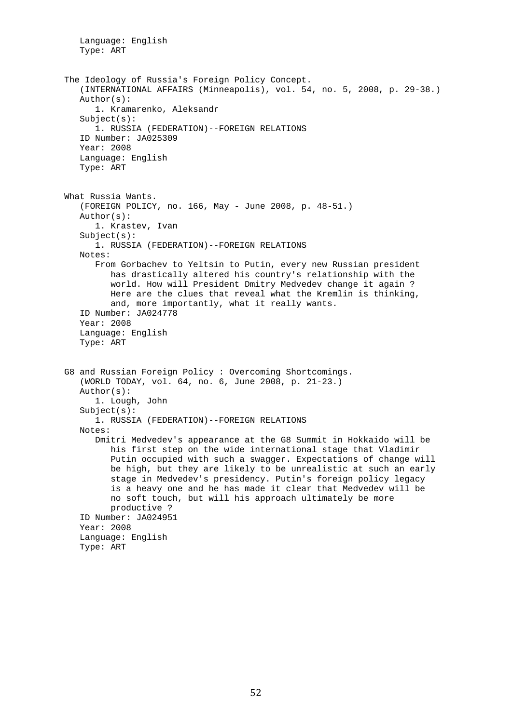Language: English Type: ART The Ideology of Russia's Foreign Policy Concept. (INTERNATIONAL AFFAIRS (Minneapolis), vol. 54, no. 5, 2008, p. 29-38.) Author(s): 1. Kramarenko, Aleksandr Subject(s): 1. RUSSIA (FEDERATION)--FOREIGN RELATIONS ID Number: JA025309 Year: 2008 Language: English Type: ART What Russia Wants. (FOREIGN POLICY, no. 166, May - June 2008, p. 48-51.) Author(s): 1. Krastev, Ivan Subject(s): 1. RUSSIA (FEDERATION)--FOREIGN RELATIONS Notes: From Gorbachev to Yeltsin to Putin, every new Russian president has drastically altered his country's relationship with the world. How will President Dmitry Medvedev change it again ? Here are the clues that reveal what the Kremlin is thinking, and, more importantly, what it really wants. ID Number: JA024778 Year: 2008 Language: English Type: ART G8 and Russian Foreign Policy : Overcoming Shortcomings. (WORLD TODAY, vol. 64, no. 6, June 2008, p. 21-23.) Author(s): 1. Lough, John Subject(s): 1. RUSSIA (FEDERATION)--FOREIGN RELATIONS Notes: Dmitri Medvedev's appearance at the G8 Summit in Hokkaido will be his first step on the wide international stage that Vladimir Putin occupied with such a swagger. Expectations of change will be high, but they are likely to be unrealistic at such an early stage in Medvedev's presidency. Putin's foreign policy legacy is a heavy one and he has made it clear that Medvedev will be no soft touch, but will his approach ultimately be more productive ? ID Number: JA024951 Year: 2008 Language: English Type: ART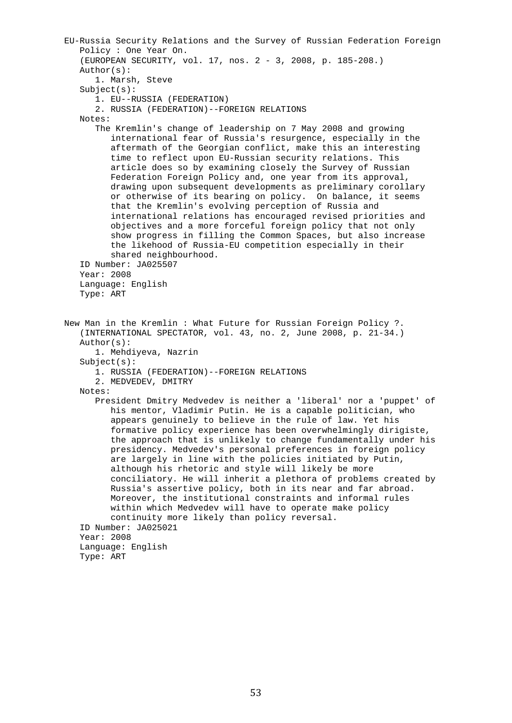EU-Russia Security Relations and the Survey of Russian Federation Foreign Policy : One Year On. (EUROPEAN SECURITY, vol. 17, nos. 2 - 3, 2008, p. 185-208.) Author(s): 1. Marsh, Steve Subject(s): 1. EU--RUSSIA (FEDERATION) 2. RUSSIA (FEDERATION)--FOREIGN RELATIONS Notes: The Kremlin's change of leadership on 7 May 2008 and growing international fear of Russia's resurgence, especially in the aftermath of the Georgian conflict, make this an interesting time to reflect upon EU-Russian security relations. This article does so by examining closely the Survey of Russian Federation Foreign Policy and, one year from its approval, drawing upon subsequent developments as preliminary corollary or otherwise of its bearing on policy. On balance, it seems that the Kremlin's evolving perception of Russia and international relations has encouraged revised priorities and objectives and a more forceful foreign policy that not only show progress in filling the Common Spaces, but also increase the likehood of Russia-EU competition especially in their shared neighbourhood. ID Number: JA025507 Year: 2008 Language: English Type: ART New Man in the Kremlin : What Future for Russian Foreign Policy ?. (INTERNATIONAL SPECTATOR, vol. 43, no. 2, June 2008, p. 21-34.) Author(s): 1. Mehdiyeva, Nazrin Subject(s): 1. RUSSIA (FEDERATION)--FOREIGN RELATIONS 2. MEDVEDEV, DMITRY Notes: President Dmitry Medvedev is neither a 'liberal' nor a 'puppet' of his mentor, Vladimir Putin. He is a capable politician, who appears genuinely to believe in the rule of law. Yet his formative policy experience has been overwhelmingly dirigiste, the approach that is unlikely to change fundamentally under his presidency. Medvedev's personal preferences in foreign policy are largely in line with the policies initiated by Putin, although his rhetoric and style will likely be more conciliatory. He will inherit a plethora of problems created by Russia's assertive policy, both in its near and far abroad. Moreover, the institutional constraints and informal rules within which Medvedev will have to operate make policy continuity more likely than policy reversal. ID Number: JA025021 Year: 2008 Language: English Type: ART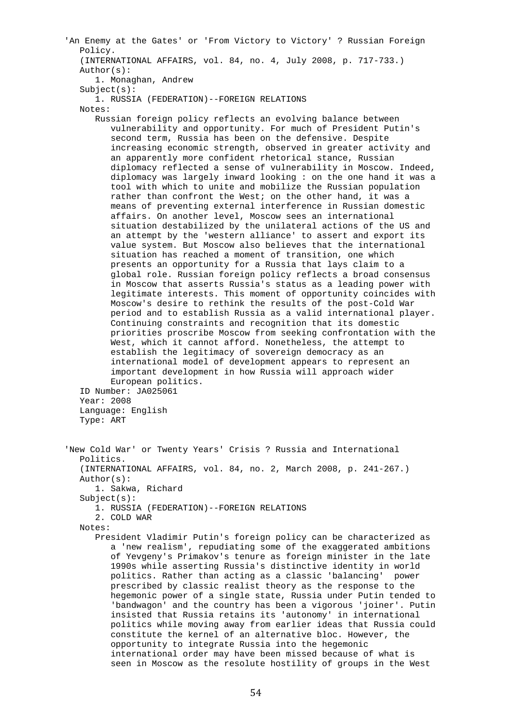'An Enemy at the Gates' or 'From Victory to Victory' ? Russian Foreign Policy. (INTERNATIONAL AFFAIRS, vol. 84, no. 4, July 2008, p. 717-733.) Author(s): 1. Monaghan, Andrew Subject(s): 1. RUSSIA (FEDERATION)--FOREIGN RELATIONS Notes: Russian foreign policy reflects an evolving balance between vulnerability and opportunity. For much of President Putin's second term, Russia has been on the defensive. Despite increasing economic strength, observed in greater activity and an apparently more confident rhetorical stance, Russian diplomacy reflected a sense of vulnerability in Moscow. Indeed, diplomacy was largely inward looking : on the one hand it was a tool with which to unite and mobilize the Russian population rather than confront the West; on the other hand, it was a means of preventing external interference in Russian domestic affairs. On another level, Moscow sees an international situation destabilized by the unilateral actions of the US and an attempt by the 'western alliance' to assert and export its value system. But Moscow also believes that the international situation has reached a moment of transition, one which presents an opportunity for a Russia that lays claim to a global role. Russian foreign policy reflects a broad consensus in Moscow that asserts Russia's status as a leading power with legitimate interests. This moment of opportunity coincides with Moscow's desire to rethink the results of the post-Cold War period and to establish Russia as a valid international player. Continuing constraints and recognition that its domestic priorities proscribe Moscow from seeking confrontation with the West, which it cannot afford. Nonetheless, the attempt to establish the legitimacy of sovereign democracy as an international model of development appears to represent an important development in how Russia will approach wider European politics. ID Number: JA025061 Year: 2008 Language: English Type: ART 'New Cold War' or Twenty Years' Crisis ? Russia and International Politics. (INTERNATIONAL AFFAIRS, vol. 84, no. 2, March 2008, p. 241-267.) Author(s): 1. Sakwa, Richard Subject(s): 1. RUSSIA (FEDERATION)--FOREIGN RELATIONS 2. COLD WAR Notes: President Vladimir Putin's foreign policy can be characterized as a 'new realism', repudiating some of the exaggerated ambitions of Yevgeny's Primakov's tenure as foreign minister in the late 1990s while asserting Russia's distinctive identity in world politics. Rather than acting as a classic 'balancing' power prescribed by classic realist theory as the response to the hegemonic power of a single state, Russia under Putin tended to 'bandwagon' and the country has been a vigorous 'joiner'. Putin insisted that Russia retains its 'autonomy' in international politics while moving away from earlier ideas that Russia could constitute the kernel of an alternative bloc. However, the opportunity to integrate Russia into the hegemonic international order may have been missed because of what is

seen in Moscow as the resolute hostility of groups in the West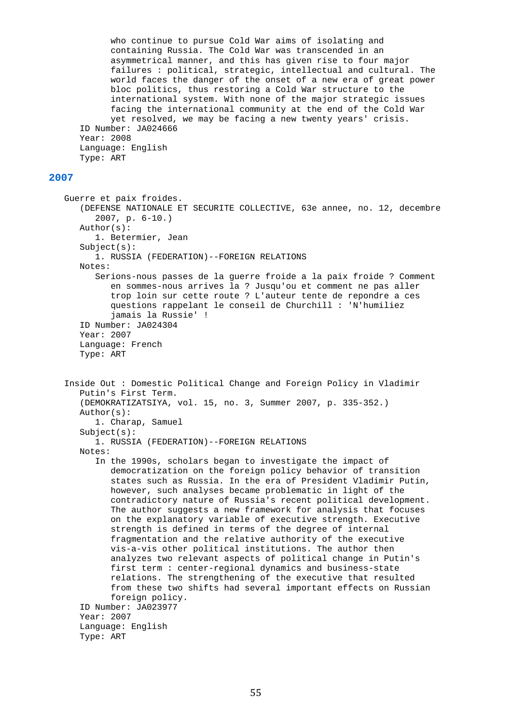who continue to pursue Cold War aims of isolating and containing Russia. The Cold War was transcended in an asymmetrical manner, and this has given rise to four major failures : political, strategic, intellectual and cultural. The world faces the danger of the onset of a new era of great power bloc politics, thus restoring a Cold War structure to the international system. With none of the major strategic issues facing the international community at the end of the Cold War yet resolved, we may be facing a new twenty years' crisis. ID Number: JA024666 Year: 2008 Language: English Type: ART

## **2007**

 Guerre et paix froides. (DEFENSE NATIONALE ET SECURITE COLLECTIVE, 63e annee, no. 12, decembre 2007, p. 6-10.) Author(s): 1. Betermier, Jean Subject(s): 1. RUSSIA (FEDERATION)--FOREIGN RELATIONS Notes: Serions-nous passes de la guerre froide a la paix froide ? Comment en sommes-nous arrives la ? Jusqu'ou et comment ne pas aller trop loin sur cette route ? L'auteur tente de repondre a ces questions rappelant le conseil de Churchill : 'N'humiliez jamais la Russie' ! ID Number: JA024304 Year: 2007 Language: French Type: ART Inside Out : Domestic Political Change and Foreign Policy in Vladimir Putin's First Term. (DEMOKRATIZATSIYA, vol. 15, no. 3, Summer 2007, p. 335-352.) Author(s): 1. Charap, Samuel Subject(s): 1. RUSSIA (FEDERATION)--FOREIGN RELATIONS Notes: In the 1990s, scholars began to investigate the impact of democratization on the foreign policy behavior of transition states such as Russia. In the era of President Vladimir Putin, however, such analyses became problematic in light of the contradictory nature of Russia's recent political development. The author suggests a new framework for analysis that focuses on the explanatory variable of executive strength. Executive strength is defined in terms of the degree of internal fragmentation and the relative authority of the executive vis-a-vis other political institutions. The author then analyzes two relevant aspects of political change in Putin's first term : center-regional dynamics and business-state relations. The strengthening of the executive that resulted from these two shifts had several important effects on Russian foreign policy. ID Number: JA023977 Year: 2007 Language: English Type: ART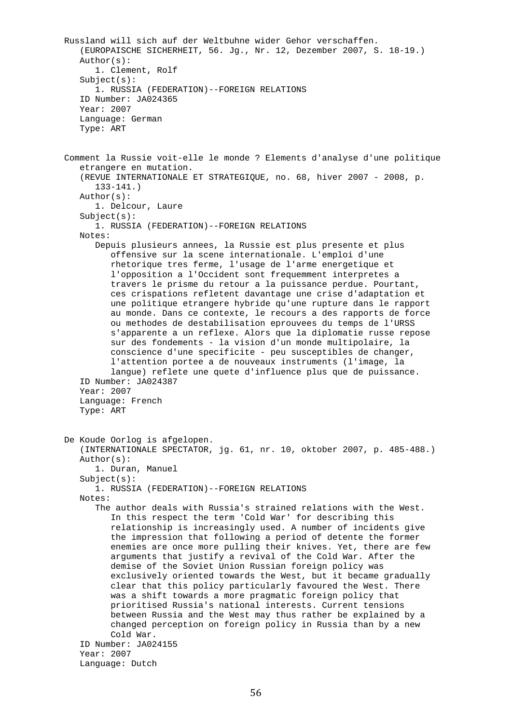Russland will sich auf der Weltbuhne wider Gehor verschaffen. (EUROPAISCHE SICHERHEIT, 56. Jg., Nr. 12, Dezember 2007, S. 18-19.) Author(s): 1. Clement, Rolf Subject(s): 1. RUSSIA (FEDERATION)--FOREIGN RELATIONS ID Number: JA024365 Year: 2007 Language: German Type: ART Comment la Russie voit-elle le monde ? Elements d'analyse d'une politique etrangere en mutation. (REVUE INTERNATIONALE ET STRATEGIQUE, no. 68, hiver 2007 - 2008, p. 133-141.) Author(s): 1. Delcour, Laure Subject(s): 1. RUSSIA (FEDERATION)--FOREIGN RELATIONS Notes: Depuis plusieurs annees, la Russie est plus presente et plus offensive sur la scene internationale. L'emploi d'une rhetorique tres ferme, l'usage de l'arme energetique et l'opposition a l'Occident sont frequemment interpretes a travers le prisme du retour a la puissance perdue. Pourtant, ces crispations refletent davantage une crise d'adaptation et une politique etrangere hybride qu'une rupture dans le rapport au monde. Dans ce contexte, le recours a des rapports de force ou methodes de destabilisation eprouvees du temps de l'URSS s'apparente a un reflexe. Alors que la diplomatie russe repose sur des fondements - la vision d'un monde multipolaire, la conscience d'une specificite - peu susceptibles de changer, l'attention portee a de nouveaux instruments (l'image, la langue) reflete une quete d'influence plus que de puissance. ID Number: JA024387 Year: 2007 Language: French Type: ART De Koude Oorlog is afgelopen. (INTERNATIONALE SPECTATOR, jg. 61, nr. 10, oktober 2007, p. 485-488.) Author(s): 1. Duran, Manuel Subject(s): 1. RUSSIA (FEDERATION)--FOREIGN RELATIONS Notes: The author deals with Russia's strained relations with the West. In this respect the term 'Cold War' for describing this relationship is increasingly used. A number of incidents give the impression that following a period of detente the former enemies are once more pulling their knives. Yet, there are few arguments that justify a revival of the Cold War. After the demise of the Soviet Union Russian foreign policy was exclusively oriented towards the West, but it became gradually clear that this policy particularly favoured the West. There was a shift towards a more pragmatic foreign policy that prioritised Russia's national interests. Current tensions between Russia and the West may thus rather be explained by a changed perception on foreign policy in Russia than by a new Cold War. ID Number: JA024155 Year: 2007 Language: Dutch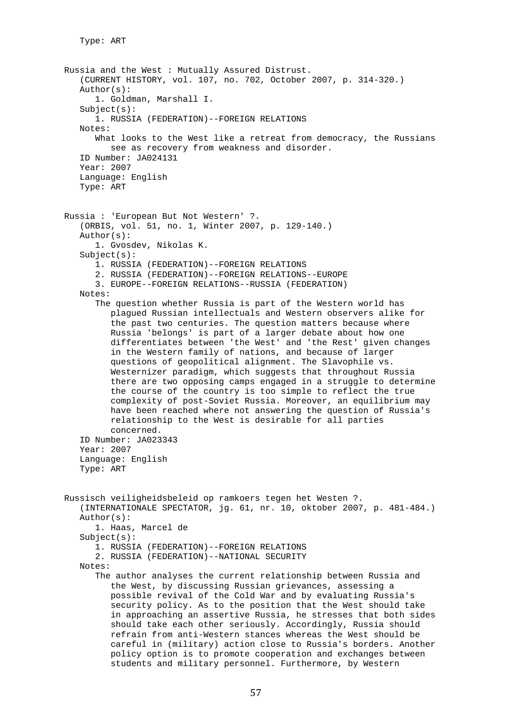Russia and the West : Mutually Assured Distrust. (CURRENT HISTORY, vol. 107, no. 702, October 2007, p. 314-320.) Author(s): 1. Goldman, Marshall I. Subject(s): 1. RUSSIA (FEDERATION)--FOREIGN RELATIONS Notes: What looks to the West like a retreat from democracy, the Russians see as recovery from weakness and disorder. ID Number: JA024131 Year: 2007 Language: English Type: ART Russia : 'European But Not Western' ?. (ORBIS, vol. 51, no. 1, Winter 2007, p. 129-140.) Author(s): 1. Gvosdev, Nikolas K.  $Subject(s):$  1. RUSSIA (FEDERATION)--FOREIGN RELATIONS 2. RUSSIA (FEDERATION)--FOREIGN RELATIONS--EUROPE 3. EUROPE--FOREIGN RELATIONS--RUSSIA (FEDERATION) Notes: The question whether Russia is part of the Western world has plagued Russian intellectuals and Western observers alike for the past two centuries. The question matters because where Russia 'belongs' is part of a larger debate about how one differentiates between 'the West' and 'the Rest' given changes in the Western family of nations, and because of larger questions of geopolitical alignment. The Slavophile vs. Westernizer paradigm, which suggests that throughout Russia there are two opposing camps engaged in a struggle to determine the course of the country is too simple to reflect the true complexity of post-Soviet Russia. Moreover, an equilibrium may have been reached where not answering the question of Russia's relationship to the West is desirable for all parties concerned. ID Number: JA023343 Year: 2007 Language: English Type: ART Russisch veiligheidsbeleid op ramkoers tegen het Westen ?. (INTERNATIONALE SPECTATOR, jg. 61, nr. 10, oktober 2007, p. 481-484.) Author(s): 1. Haas, Marcel de Subject(s): 1. RUSSIA (FEDERATION)--FOREIGN RELATIONS 2. RUSSIA (FEDERATION)--NATIONAL SECURITY Notes: The author analyses the current relationship between Russia and the West, by discussing Russian grievances, assessing a possible revival of the Cold War and by evaluating Russia's security policy. As to the position that the West should take in approaching an assertive Russia, he stresses that both sides should take each other seriously. Accordingly, Russia should refrain from anti-Western stances whereas the West should be careful in (military) action close to Russia's borders. Another policy option is to promote cooperation and exchanges between students and military personnel. Furthermore, by Western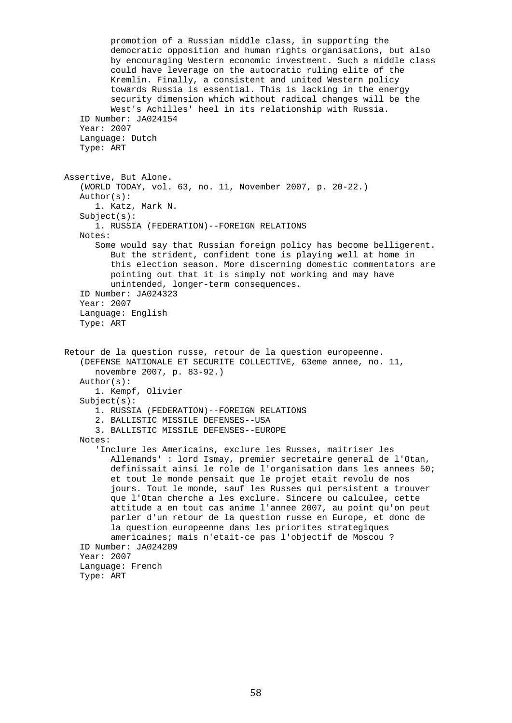promotion of a Russian middle class, in supporting the democratic opposition and human rights organisations, but also by encouraging Western economic investment. Such a middle class could have leverage on the autocratic ruling elite of the Kremlin. Finally, a consistent and united Western policy towards Russia is essential. This is lacking in the energy security dimension which without radical changes will be the West's Achilles' heel in its relationship with Russia. ID Number: JA024154 Year: 2007 Language: Dutch Type: ART Assertive, But Alone. (WORLD TODAY, vol. 63, no. 11, November 2007, p. 20-22.) Author(s): 1. Katz, Mark N. Subject(s): 1. RUSSIA (FEDERATION)--FOREIGN RELATIONS Notes: Some would say that Russian foreign policy has become belligerent. But the strident, confident tone is playing well at home in this election season. More discerning domestic commentators are pointing out that it is simply not working and may have unintended, longer-term consequences. ID Number: JA024323 Year: 2007 Language: English Type: ART Retour de la question russe, retour de la question europeenne. (DEFENSE NATIONALE ET SECURITE COLLECTIVE, 63eme annee, no. 11, novembre 2007, p. 83-92.) Author(s): 1. Kempf, Olivier Subject(s): 1. RUSSIA (FEDERATION)--FOREIGN RELATIONS 2. BALLISTIC MISSILE DEFENSES--USA 3. BALLISTIC MISSILE DEFENSES--EUROPE Notes: 'Inclure les Americains, exclure les Russes, maitriser les Allemands' : lord Ismay, premier secretaire general de l'Otan, definissait ainsi le role de l'organisation dans les annees 50; et tout le monde pensait que le projet etait revolu de nos jours. Tout le monde, sauf les Russes qui persistent a trouver que l'Otan cherche a les exclure. Sincere ou calculee, cette attitude a en tout cas anime l'annee 2007, au point qu'on peut parler d'un retour de la question russe en Europe, et donc de la question europeenne dans les priorites strategiques americaines; mais n'etait-ce pas l'objectif de Moscou ? ID Number: JA024209 Year: 2007 Language: French Type: ART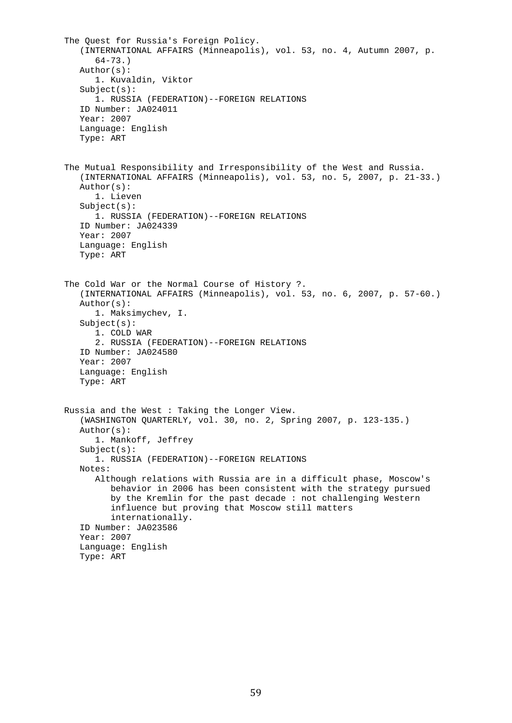```
 The Quest for Russia's Foreign Policy. 
    (INTERNATIONAL AFFAIRS (Minneapolis), vol. 53, no. 4, Autumn 2007, p. 
       64-73.) 
    Author(s): 
       1. Kuvaldin, Viktor 
    Subject(s): 
       1. RUSSIA (FEDERATION)--FOREIGN RELATIONS 
    ID Number: JA024011 
    Year: 2007 
    Language: English 
    Type: ART 
 The Mutual Responsibility and Irresponsibility of the West and Russia. 
    (INTERNATIONAL AFFAIRS (Minneapolis), vol. 53, no. 5, 2007, p. 21-33.) 
    Author(s): 
       1. Lieven 
    Subject(s): 
       1. RUSSIA (FEDERATION)--FOREIGN RELATIONS 
    ID Number: JA024339 
    Year: 2007 
    Language: English 
    Type: ART 
 The Cold War or the Normal Course of History ?. 
    (INTERNATIONAL AFFAIRS (Minneapolis), vol. 53, no. 6, 2007, p. 57-60.) 
    Author(s): 
       1. Maksimychev, I. 
    Subject(s): 
       1. COLD WAR 
       2. RUSSIA (FEDERATION)--FOREIGN RELATIONS 
    ID Number: JA024580 
    Year: 2007 
    Language: English 
    Type: ART 
 Russia and the West : Taking the Longer View. 
    (WASHINGTON QUARTERLY, vol. 30, no. 2, Spring 2007, p. 123-135.) 
    Author(s): 
       1. Mankoff, Jeffrey 
    Subject(s): 
       1. RUSSIA (FEDERATION)--FOREIGN RELATIONS 
    Notes: 
       Although relations with Russia are in a difficult phase, Moscow's 
          behavior in 2006 has been consistent with the strategy pursued 
          by the Kremlin for the past decade : not challenging Western 
          influence but proving that Moscow still matters 
          internationally. 
    ID Number: JA023586 
    Year: 2007 
    Language: English 
    Type: ART
```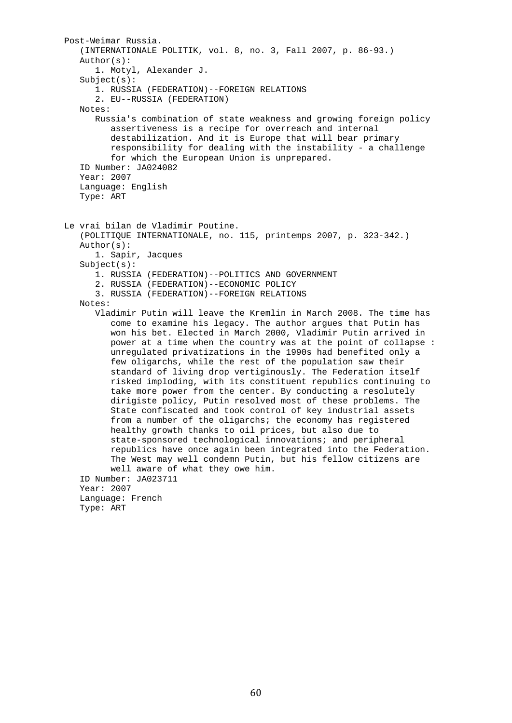```
 Post-Weimar Russia. 
    (INTERNATIONALE POLITIK, vol. 8, no. 3, Fall 2007, p. 86-93.) 
    Author(s): 
       1. Motyl, Alexander J. 
   Subject(s): 1. RUSSIA (FEDERATION)--FOREIGN RELATIONS 
       2. EU--RUSSIA (FEDERATION) 
    Notes: 
       Russia's combination of state weakness and growing foreign policy 
          assertiveness is a recipe for overreach and internal 
          destabilization. And it is Europe that will bear primary 
          responsibility for dealing with the instability - a challenge 
          for which the European Union is unprepared. 
    ID Number: JA024082 
    Year: 2007 
    Language: English 
    Type: ART 
 Le vrai bilan de Vladimir Poutine. 
    (POLITIQUE INTERNATIONALE, no. 115, printemps 2007, p. 323-342.) 
    Author(s): 
       1. Sapir, Jacques 
    Subject(s): 
       1. RUSSIA (FEDERATION)--POLITICS AND GOVERNMENT 
       2. RUSSIA (FEDERATION)--ECONOMIC POLICY 
       3. RUSSIA (FEDERATION)--FOREIGN RELATIONS 
    Notes: 
       Vladimir Putin will leave the Kremlin in March 2008. The time has 
          come to examine his legacy. The author argues that Putin has 
          won his bet. Elected in March 2000, Vladimir Putin arrived in 
          power at a time when the country was at the point of collapse : 
          unregulated privatizations in the 1990s had benefited only a 
          few oligarchs, while the rest of the population saw their 
          standard of living drop vertiginously. The Federation itself 
          risked imploding, with its constituent republics continuing to 
          take more power from the center. By conducting a resolutely 
          dirigiste policy, Putin resolved most of these problems. The 
          State confiscated and took control of key industrial assets 
          from a number of the oligarchs; the economy has registered 
          healthy growth thanks to oil prices, but also due to 
          state-sponsored technological innovations; and peripheral 
          republics have once again been integrated into the Federation. 
          The West may well condemn Putin, but his fellow citizens are 
          well aware of what they owe him. 
    ID Number: JA023711 
    Year: 2007 
    Language: French 
    Type: ART
```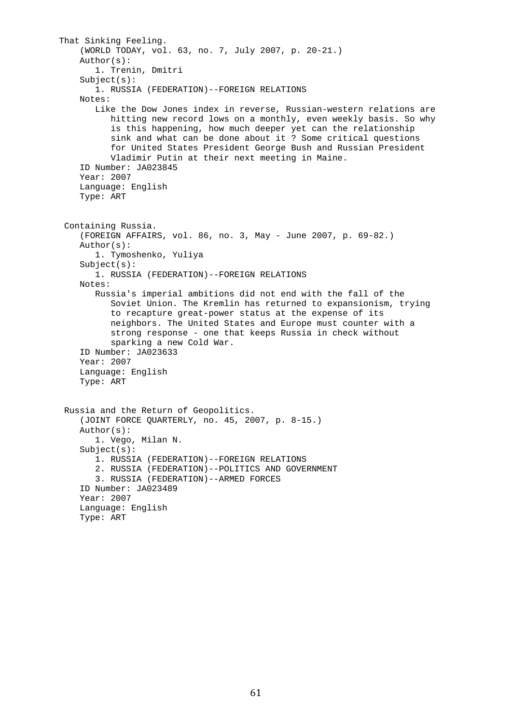```
 That Sinking Feeling. 
     (WORLD TODAY, vol. 63, no. 7, July 2007, p. 20-21.) 
     Author(s): 
        1. Trenin, Dmitri 
    Subject(s): 1. RUSSIA (FEDERATION)--FOREIGN RELATIONS 
     Notes: 
        Like the Dow Jones index in reverse, Russian-western relations are 
           hitting new record lows on a monthly, even weekly basis. So why 
           is this happening, how much deeper yet can the relationship 
           sink and what can be done about it ? Some critical questions 
           for United States President George Bush and Russian President 
           Vladimir Putin at their next meeting in Maine. 
     ID Number: JA023845 
     Year: 2007 
     Language: English 
     Type: ART 
  Containing Russia. 
     (FOREIGN AFFAIRS, vol. 86, no. 3, May - June 2007, p. 69-82.) 
     Author(s): 
        1. Tymoshenko, Yuliya 
     Subject(s): 
        1. RUSSIA (FEDERATION)--FOREIGN RELATIONS 
     Notes: 
        Russia's imperial ambitions did not end with the fall of the 
           Soviet Union. The Kremlin has returned to expansionism, trying 
           to recapture great-power status at the expense of its 
           neighbors. The United States and Europe must counter with a 
           strong response - one that keeps Russia in check without 
           sparking a new Cold War. 
     ID Number: JA023633 
     Year: 2007 
     Language: English 
     Type: ART 
  Russia and the Return of Geopolitics. 
     (JOINT FORCE QUARTERLY, no. 45, 2007, p. 8-15.) 
     Author(s): 
        1. Vego, Milan N. 
     Subject(s): 
        1. RUSSIA (FEDERATION)--FOREIGN RELATIONS 
        2. RUSSIA (FEDERATION)--POLITICS AND GOVERNMENT 
        3. RUSSIA (FEDERATION)--ARMED FORCES 
     ID Number: JA023489 
     Year: 2007 
     Language: English 
     Type: ART
```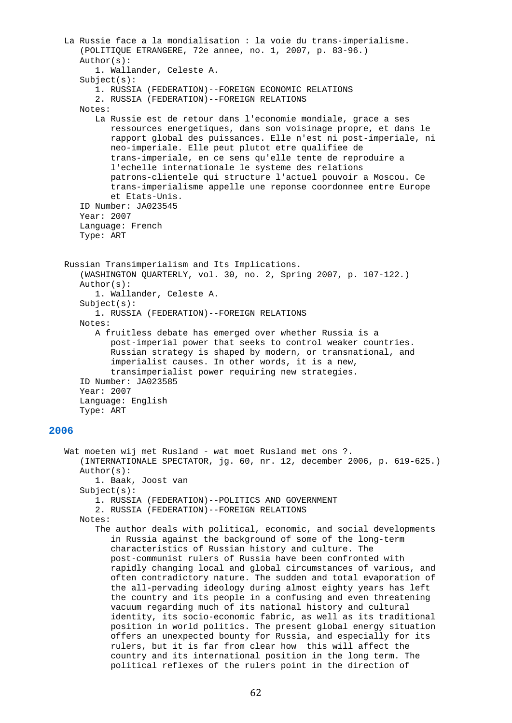```
 La Russie face a la mondialisation : la voie du trans-imperialisme. 
       (POLITIQUE ETRANGERE, 72e annee, no. 1, 2007, p. 83-96.) 
       Author(s): 
          1. Wallander, Celeste A. 
       Subject(s): 
          1. RUSSIA (FEDERATION)--FOREIGN ECONOMIC RELATIONS 
          2. RUSSIA (FEDERATION)--FOREIGN RELATIONS 
       Notes: 
          La Russie est de retour dans l'economie mondiale, grace a ses 
             ressources energetiques, dans son voisinage propre, et dans le 
             rapport global des puissances. Elle n'est ni post-imperiale, ni 
             neo-imperiale. Elle peut plutot etre qualifiee de 
             trans-imperiale, en ce sens qu'elle tente de reproduire a 
             l'echelle internationale le systeme des relations 
             patrons-clientele qui structure l'actuel pouvoir a Moscou. Ce 
             trans-imperialisme appelle une reponse coordonnee entre Europe 
             et Etats-Unis. 
       ID Number: JA023545 
       Year: 2007 
       Language: French 
       Type: ART 
    Russian Transimperialism and Its Implications. 
       (WASHINGTON QUARTERLY, vol. 30, no. 2, Spring 2007, p. 107-122.) 
       Author(s): 
          1. Wallander, Celeste A. 
       Subject(s): 
          1. RUSSIA (FEDERATION)--FOREIGN RELATIONS 
       Notes: 
          A fruitless debate has emerged over whether Russia is a 
             post-imperial power that seeks to control weaker countries. 
             Russian strategy is shaped by modern, or transnational, and 
             imperialist causes. In other words, it is a new, 
             transimperialist power requiring new strategies. 
       ID Number: JA023585 
       Year: 2007 
       Language: English 
       Type: ART 
2006 
   Wat moeten wij met Rusland - wat moet Rusland met ons ?.
       (INTERNATIONALE SPECTATOR, jg. 60, nr. 12, december 2006, p. 619-625.) 
       Author(s): 
          1. Baak, Joost van 
       Subject(s): 
          1. RUSSIA (FEDERATION)--POLITICS AND GOVERNMENT 
          2. RUSSIA (FEDERATION)--FOREIGN RELATIONS 
       Notes: 
          The author deals with political, economic, and social developments 
             in Russia against the background of some of the long-term 
             characteristics of Russian history and culture. The 
             post-communist rulers of Russia have been confronted with 
             rapidly changing local and global circumstances of various, and 
             often contradictory nature. The sudden and total evaporation of 
             the all-pervading ideology during almost eighty years has left 
             the country and its people in a confusing and even threatening 
             vacuum regarding much of its national history and cultural 
             identity, its socio-economic fabric, as well as its traditional 
             position in world politics. The present global energy situation 
             offers an unexpected bounty for Russia, and especially for its 
             rulers, but it is far from clear how this will affect the 
             country and its international position in the long term. The 
             political reflexes of the rulers point in the direction of
```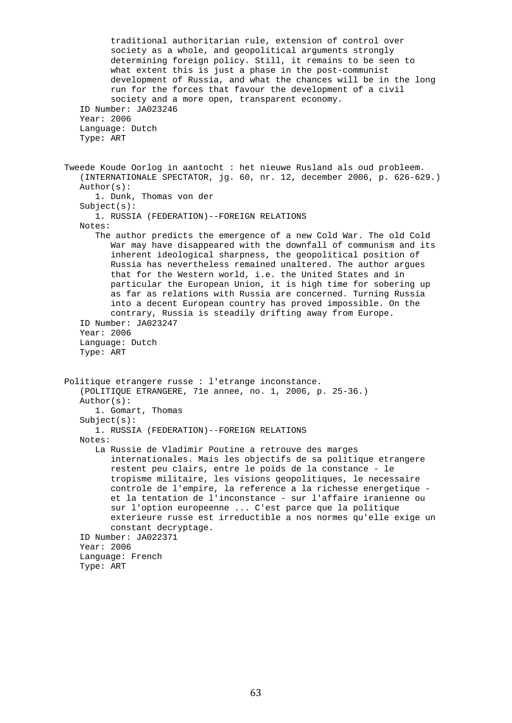traditional authoritarian rule, extension of control over society as a whole, and geopolitical arguments strongly determining foreign policy. Still, it remains to be seen to what extent this is just a phase in the post-communist development of Russia, and what the chances will be in the long run for the forces that favour the development of a civil society and a more open, transparent economy. ID Number: JA023246 Year: 2006 Language: Dutch Type: ART Tweede Koude Oorlog in aantocht : het nieuwe Rusland als oud probleem. (INTERNATIONALE SPECTATOR, jg. 60, nr. 12, december 2006, p. 626-629.) Author(s): 1. Dunk, Thomas von der Subject(s): 1. RUSSIA (FEDERATION)--FOREIGN RELATIONS Notes: The author predicts the emergence of a new Cold War. The old Cold War may have disappeared with the downfall of communism and its inherent ideological sharpness, the geopolitical position of Russia has nevertheless remained unaltered. The author argues that for the Western world, i.e. the United States and in particular the European Union, it is high time for sobering up as far as relations with Russia are concerned. Turning Russia into a decent European country has proved impossible. On the contrary, Russia is steadily drifting away from Europe. ID Number: JA023247 Year: 2006 Language: Dutch Type: ART Politique etrangere russe : l'etrange inconstance. (POLITIQUE ETRANGERE, 71e annee, no. 1, 2006, p. 25-36.) Author(s): 1. Gomart, Thomas Subject(s): 1. RUSSIA (FEDERATION)--FOREIGN RELATIONS Notes: La Russie de Vladimir Poutine a retrouve des marges internationales. Mais les objectifs de sa politique etrangere restent peu clairs, entre le poids de la constance - le tropisme militaire, les visions geopolitiques, le necessaire controle de l'empire, la reference a la richesse energetique et la tentation de l'inconstance - sur l'affaire iranienne ou sur l'option europeenne ... C'est parce que la politique exterieure russe est irreductible a nos normes qu'elle exige un constant decryptage. ID Number: JA022371 Year: 2006 Language: French Type: ART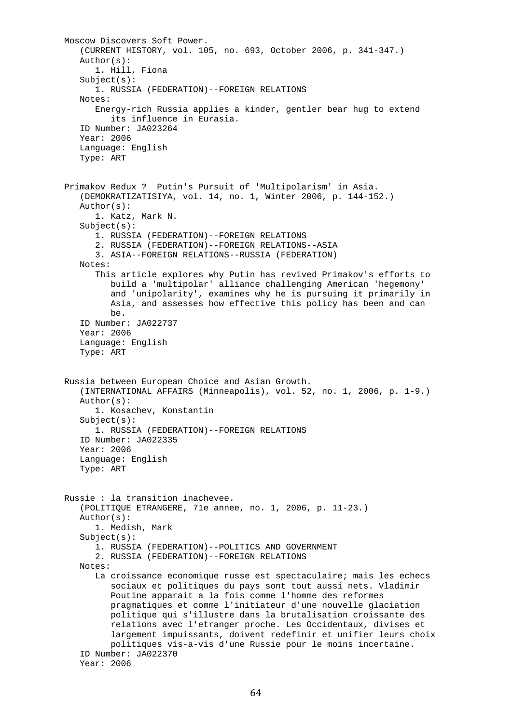```
 Moscow Discovers Soft Power. 
    (CURRENT HISTORY, vol. 105, no. 693, October 2006, p. 341-347.) 
    Author(s): 
       1. Hill, Fiona 
   Subject(s): 1. RUSSIA (FEDERATION)--FOREIGN RELATIONS 
    Notes: 
       Energy-rich Russia applies a kinder, gentler bear hug to extend 
          its influence in Eurasia. 
    ID Number: JA023264 
    Year: 2006 
    Language: English 
    Type: ART 
 Primakov Redux ? Putin's Pursuit of 'Multipolarism' in Asia. 
    (DEMOKRATIZATISIYA, vol. 14, no. 1, Winter 2006, p. 144-152.) 
    Author(s): 
       1. Katz, Mark N. 
    Subject(s): 
       1. RUSSIA (FEDERATION)--FOREIGN RELATIONS 
       2. RUSSIA (FEDERATION)--FOREIGN RELATIONS--ASIA 
       3. ASIA--FOREIGN RELATIONS--RUSSIA (FEDERATION) 
    Notes: 
       This article explores why Putin has revived Primakov's efforts to 
          build a 'multipolar' alliance challenging American 'hegemony' 
          and 'unipolarity', examines why he is pursuing it primarily in 
          Asia, and assesses how effective this policy has been and can 
          be. 
    ID Number: JA022737 
    Year: 2006 
    Language: English 
    Type: ART 
 Russia between European Choice and Asian Growth. 
    (INTERNATIONAL AFFAIRS (Minneapolis), vol. 52, no. 1, 2006, p. 1-9.) 
    Author(s): 
       1. Kosachev, Konstantin 
   Subject(s): 1. RUSSIA (FEDERATION)--FOREIGN RELATIONS 
    ID Number: JA022335 
    Year: 2006 
    Language: English 
    Type: ART 
 Russie : la transition inachevee. 
    (POLITIQUE ETRANGERE, 71e annee, no. 1, 2006, p. 11-23.) 
    Author(s): 
       1. Medish, Mark 
    Subject(s): 
       1. RUSSIA (FEDERATION)--POLITICS AND GOVERNMENT 
       2. RUSSIA (FEDERATION)--FOREIGN RELATIONS 
    Notes: 
       La croissance economique russe est spectaculaire; mais les echecs 
          sociaux et politiques du pays sont tout aussi nets. Vladimir 
          Poutine apparait a la fois comme l'homme des reformes 
          pragmatiques et comme l'initiateur d'une nouvelle glaciation 
          politique qui s'illustre dans la brutalisation croissante des 
          relations avec l'etranger proche. Les Occidentaux, divises et 
          largement impuissants, doivent redefinir et unifier leurs choix 
          politiques vis-a-vis d'une Russie pour le moins incertaine. 
    ID Number: JA022370 
    Year: 2006
```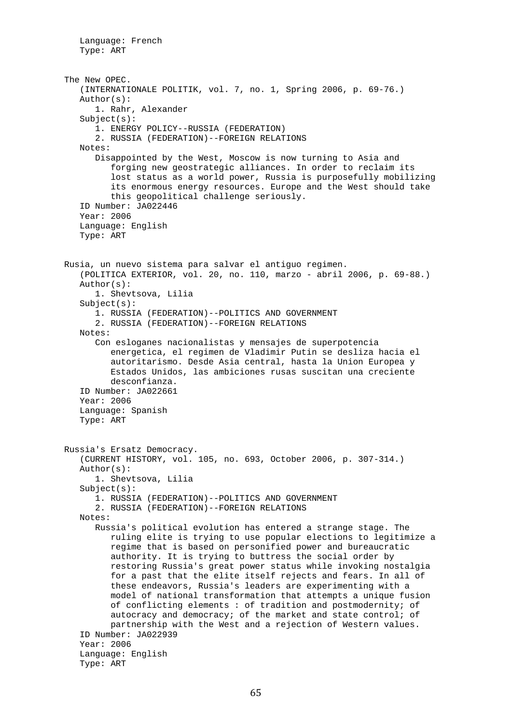```
 Language: French 
    Type: ART 
 The New OPEC. 
    (INTERNATIONALE POLITIK, vol. 7, no. 1, Spring 2006, p. 69-76.) 
    Author(s): 
       1. Rahr, Alexander 
    Subject(s): 
       1. ENERGY POLICY--RUSSIA (FEDERATION) 
       2. RUSSIA (FEDERATION)--FOREIGN RELATIONS 
    Notes: 
       Disappointed by the West, Moscow is now turning to Asia and 
          forging new geostrategic alliances. In order to reclaim its 
          lost status as a world power, Russia is purposefully mobilizing 
          its enormous energy resources. Europe and the West should take 
          this geopolitical challenge seriously. 
    ID Number: JA022446 
    Year: 2006 
    Language: English 
    Type: ART 
 Rusia, un nuevo sistema para salvar el antiguo regimen. 
    (POLITICA EXTERIOR, vol. 20, no. 110, marzo - abril 2006, p. 69-88.) 
    Author(s): 
       1. Shevtsova, Lilia 
    Subject(s): 
       1. RUSSIA (FEDERATION)--POLITICS AND GOVERNMENT 
       2. RUSSIA (FEDERATION)--FOREIGN RELATIONS 
    Notes: 
       Con esloganes nacionalistas y mensajes de superpotencia 
          energetica, el regimen de Vladimir Putin se desliza hacia el 
          autoritarismo. Desde Asia central, hasta la Union Europea y 
          Estados Unidos, las ambiciones rusas suscitan una creciente 
          desconfianza. 
    ID Number: JA022661 
    Year: 2006 
    Language: Spanish 
    Type: ART 
 Russia's Ersatz Democracy. 
    (CURRENT HISTORY, vol. 105, no. 693, October 2006, p. 307-314.) 
    Author(s): 
       1. Shevtsova, Lilia 
    Subject(s): 
       1. RUSSIA (FEDERATION)--POLITICS AND GOVERNMENT 
       2. RUSSIA (FEDERATION)--FOREIGN RELATIONS 
    Notes: 
       Russia's political evolution has entered a strange stage. The 
          ruling elite is trying to use popular elections to legitimize a 
          regime that is based on personified power and bureaucratic 
          authority. It is trying to buttress the social order by 
          restoring Russia's great power status while invoking nostalgia 
          for a past that the elite itself rejects and fears. In all of 
          these endeavors, Russia's leaders are experimenting with a 
          model of national transformation that attempts a unique fusion 
          of conflicting elements : of tradition and postmodernity; of 
         autocracy and democracy; of the market and state control; of
          partnership with the West and a rejection of Western values. 
    ID Number: JA022939 
    Year: 2006 
    Language: English 
    Type: ART
```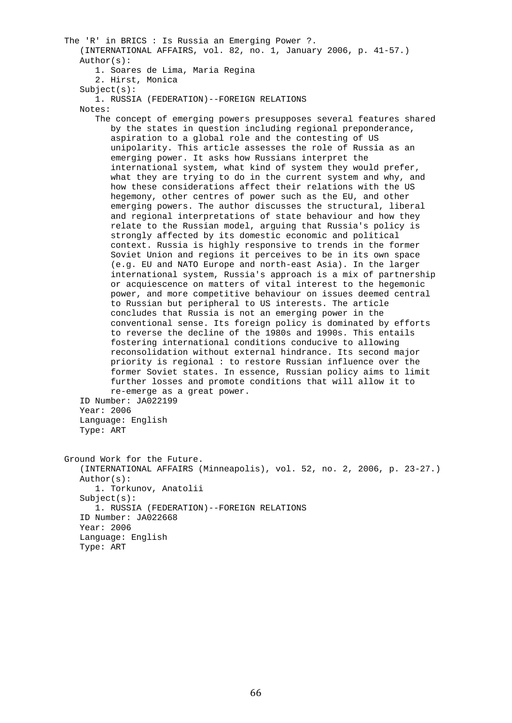The 'R' in BRICS : Is Russia an Emerging Power ?. (INTERNATIONAL AFFAIRS, vol. 82, no. 1, January 2006, p. 41-57.) Author(s): 1. Soares de Lima, Maria Regina 2. Hirst, Monica  $Subject(s):$  1. RUSSIA (FEDERATION)--FOREIGN RELATIONS Notes: The concept of emerging powers presupposes several features shared by the states in question including regional preponderance, aspiration to a global role and the contesting of US unipolarity. This article assesses the role of Russia as an emerging power. It asks how Russians interpret the international system, what kind of system they would prefer, what they are trying to do in the current system and why, and how these considerations affect their relations with the US hegemony, other centres of power such as the EU, and other emerging powers. The author discusses the structural, liberal and regional interpretations of state behaviour and how they relate to the Russian model, arguing that Russia's policy is strongly affected by its domestic economic and political context. Russia is highly responsive to trends in the former Soviet Union and regions it perceives to be in its own space (e.g. EU and NATO Europe and north-east Asia). In the larger international system, Russia's approach is a mix of partnership or acquiescence on matters of vital interest to the hegemonic power, and more competitive behaviour on issues deemed central to Russian but peripheral to US interests. The article concludes that Russia is not an emerging power in the conventional sense. Its foreign policy is dominated by efforts to reverse the decline of the 1980s and 1990s. This entails fostering international conditions conducive to allowing reconsolidation without external hindrance. Its second major priority is regional : to restore Russian influence over the former Soviet states. In essence, Russian policy aims to limit further losses and promote conditions that will allow it to re-emerge as a great power. ID Number: JA022199 Year: 2006 Language: English Type: ART Ground Work for the Future. (INTERNATIONAL AFFAIRS (Minneapolis), vol. 52, no. 2, 2006, p. 23-27.) Author(s): 1. Torkunov, Anatolii Subject(s): 1. RUSSIA (FEDERATION)--FOREIGN RELATIONS ID Number: JA022668 Year: 2006 Language: English Type: ART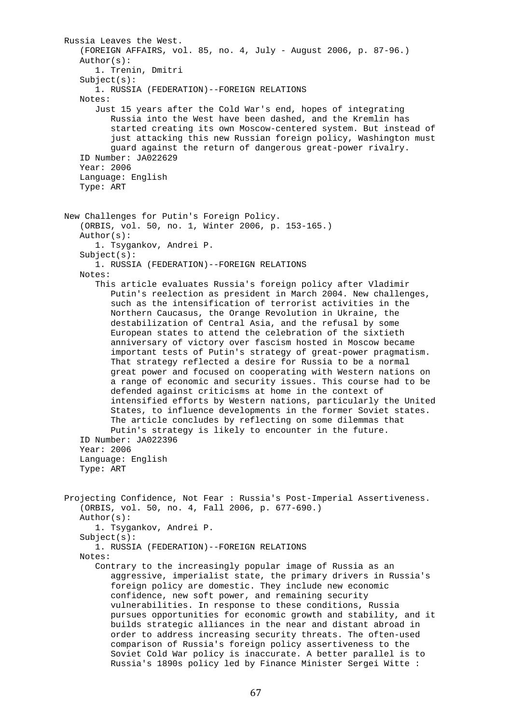Russia Leaves the West. (FOREIGN AFFAIRS, vol. 85, no. 4, July - August 2006, p. 87-96.) Author(s): 1. Trenin, Dmitri  $Subject(s):$  1. RUSSIA (FEDERATION)--FOREIGN RELATIONS Notes: Just 15 years after the Cold War's end, hopes of integrating Russia into the West have been dashed, and the Kremlin has started creating its own Moscow-centered system. But instead of just attacking this new Russian foreign policy, Washington must guard against the return of dangerous great-power rivalry. ID Number: JA022629 Year: 2006 Language: English Type: ART New Challenges for Putin's Foreign Policy. (ORBIS, vol. 50, no. 1, Winter 2006, p. 153-165.) Author(s): 1. Tsygankov, Andrei P. Subject(s): 1. RUSSIA (FEDERATION)--FOREIGN RELATIONS Notes: This article evaluates Russia's foreign policy after Vladimir Putin's reelection as president in March 2004. New challenges, such as the intensification of terrorist activities in the Northern Caucasus, the Orange Revolution in Ukraine, the destabilization of Central Asia, and the refusal by some European states to attend the celebration of the sixtieth anniversary of victory over fascism hosted in Moscow became important tests of Putin's strategy of great-power pragmatism. That strategy reflected a desire for Russia to be a normal great power and focused on cooperating with Western nations on a range of economic and security issues. This course had to be defended against criticisms at home in the context of intensified efforts by Western nations, particularly the United States, to influence developments in the former Soviet states. The article concludes by reflecting on some dilemmas that Putin's strategy is likely to encounter in the future. ID Number: JA022396 Year: 2006 Language: English Type: ART Projecting Confidence, Not Fear : Russia's Post-Imperial Assertiveness. (ORBIS, vol. 50, no. 4, Fall 2006, p. 677-690.) Author(s): 1. Tsygankov, Andrei P. Subject(s): 1. RUSSIA (FEDERATION)--FOREIGN RELATIONS Notes: Contrary to the increasingly popular image of Russia as an aggressive, imperialist state, the primary drivers in Russia's foreign policy are domestic. They include new economic confidence, new soft power, and remaining security vulnerabilities. In response to these conditions, Russia pursues opportunities for economic growth and stability, and it builds strategic alliances in the near and distant abroad in order to address increasing security threats. The often-used comparison of Russia's foreign policy assertiveness to the Soviet Cold War policy is inaccurate. A better parallel is to Russia's 1890s policy led by Finance Minister Sergei Witte :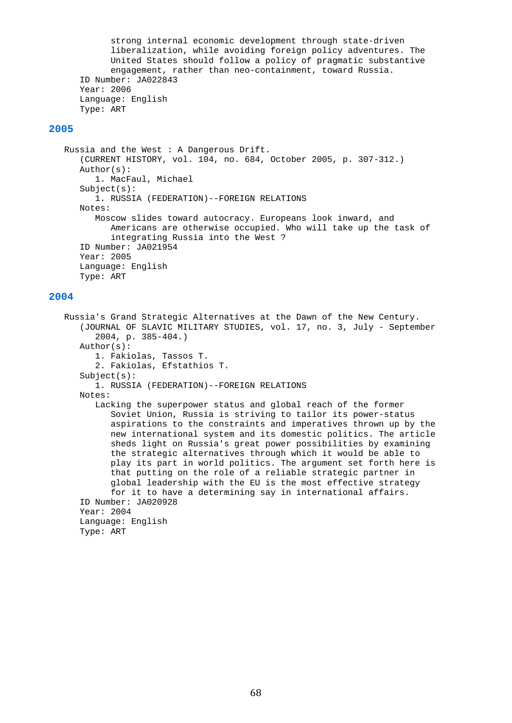strong internal economic development through state-driven liberalization, while avoiding foreign policy adventures. The United States should follow a policy of pragmatic substantive engagement, rather than neo-containment, toward Russia. ID Number: JA022843 Year: 2006 Language: English Type: ART

## **2005**

```
 Russia and the West : A Dangerous Drift. 
    (CURRENT HISTORY, vol. 104, no. 684, October 2005, p. 307-312.) 
    Author(s): 
       1. MacFaul, Michael 
    Subject(s): 
       1. RUSSIA (FEDERATION)--FOREIGN RELATIONS 
    Notes: 
       Moscow slides toward autocracy. Europeans look inward, and 
          Americans are otherwise occupied. Who will take up the task of 
          integrating Russia into the West ? 
    ID Number: JA021954 
    Year: 2005 
    Language: English 
    Type: ART
```
## **2004**

 Russia's Grand Strategic Alternatives at the Dawn of the New Century. (JOURNAL OF SLAVIC MILITARY STUDIES, vol. 17, no. 3, July - September 2004, p. 385-404.) Author(s): 1. Fakiolas, Tassos T. 2. Fakiolas, Efstathios T. Subject(s): 1. RUSSIA (FEDERATION)--FOREIGN RELATIONS Notes: Lacking the superpower status and global reach of the former Soviet Union, Russia is striving to tailor its power-status aspirations to the constraints and imperatives thrown up by the new international system and its domestic politics. The article sheds light on Russia's great power possibilities by examining the strategic alternatives through which it would be able to play its part in world politics. The argument set forth here is that putting on the role of a reliable strategic partner in global leadership with the EU is the most effective strategy for it to have a determining say in international affairs. ID Number: JA020928 Year: 2004 Language: English Type: ART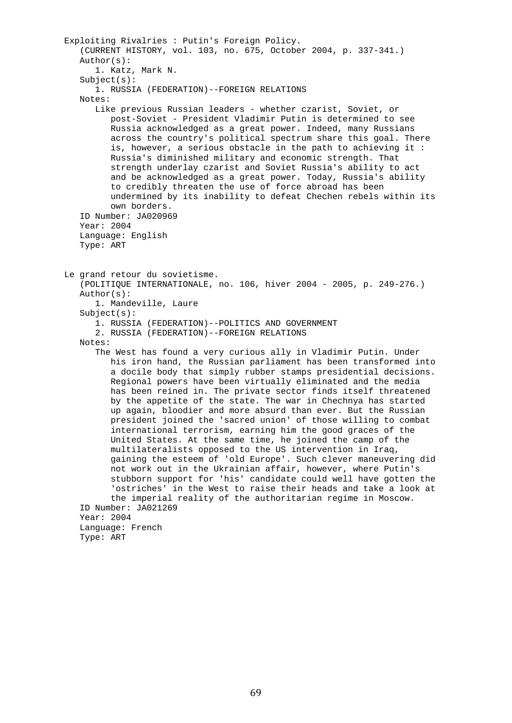```
 Exploiting Rivalries : Putin's Foreign Policy. 
    (CURRENT HISTORY, vol. 103, no. 675, October 2004, p. 337-341.) 
    Author(s): 
       1. Katz, Mark N. 
   Subject(s): 1. RUSSIA (FEDERATION)--FOREIGN RELATIONS 
    Notes: 
       Like previous Russian leaders - whether czarist, Soviet, or 
          post-Soviet - President Vladimir Putin is determined to see 
          Russia acknowledged as a great power. Indeed, many Russians 
          across the country's political spectrum share this goal. There 
          is, however, a serious obstacle in the path to achieving it : 
          Russia's diminished military and economic strength. That 
          strength underlay czarist and Soviet Russia's ability to act 
          and be acknowledged as a great power. Today, Russia's ability 
          to credibly threaten the use of force abroad has been 
          undermined by its inability to defeat Chechen rebels within its 
          own borders. 
    ID Number: JA020969 
    Year: 2004 
    Language: English 
    Type: ART 
 Le grand retour du sovietisme. 
    (POLITIQUE INTERNATIONALE, no. 106, hiver 2004 - 2005, p. 249-276.) 
    Author(s): 
       1. Mandeville, Laure 
    Subject(s): 
       1. RUSSIA (FEDERATION)--POLITICS AND GOVERNMENT 
       2. RUSSIA (FEDERATION)--FOREIGN RELATIONS 
    Notes: 
       The West has found a very curious ally in Vladimir Putin. Under 
          his iron hand, the Russian parliament has been transformed into 
          a docile body that simply rubber stamps presidential decisions. 
          Regional powers have been virtually eliminated and the media 
          has been reined in. The private sector finds itself threatened 
          by the appetite of the state. The war in Chechnya has started 
          up again, bloodier and more absurd than ever. But the Russian 
          president joined the 'sacred union' of those willing to combat 
          international terrorism, earning him the good graces of the 
          United States. At the same time, he joined the camp of the 
          multilateralists opposed to the US intervention in Iraq, 
          gaining the esteem of 'old Europe'. Such clever maneuvering did 
          not work out in the Ukrainian affair, however, where Putin's 
          stubborn support for 'his' candidate could well have gotten the 
          'ostriches' in the West to raise their heads and take a look at 
          the imperial reality of the authoritarian regime in Moscow. 
    ID Number: JA021269 
    Year: 2004 
    Language: French 
    Type: ART
```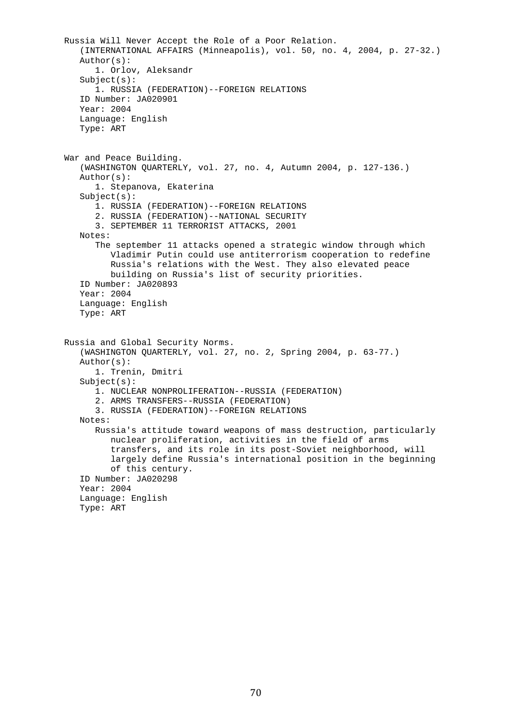Russia Will Never Accept the Role of a Poor Relation. (INTERNATIONAL AFFAIRS (Minneapolis), vol. 50, no. 4, 2004, p. 27-32.) Author(s): 1. Orlov, Aleksandr  $Subject(s):$  1. RUSSIA (FEDERATION)--FOREIGN RELATIONS ID Number: JA020901 Year: 2004 Language: English Type: ART War and Peace Building. (WASHINGTON QUARTERLY, vol. 27, no. 4, Autumn 2004, p. 127-136.) Author(s): 1. Stepanova, Ekaterina Subject(s): 1. RUSSIA (FEDERATION)--FOREIGN RELATIONS 2. RUSSIA (FEDERATION)--NATIONAL SECURITY 3. SEPTEMBER 11 TERRORIST ATTACKS, 2001 Notes: The september 11 attacks opened a strategic window through which Vladimir Putin could use antiterrorism cooperation to redefine Russia's relations with the West. They also elevated peace building on Russia's list of security priorities. ID Number: JA020893 Year: 2004 Language: English Type: ART Russia and Global Security Norms. (WASHINGTON QUARTERLY, vol. 27, no. 2, Spring 2004, p. 63-77.) Author(s): 1. Trenin, Dmitri Subject(s): 1. NUCLEAR NONPROLIFERATION--RUSSIA (FEDERATION) 2. ARMS TRANSFERS--RUSSIA (FEDERATION) 3. RUSSIA (FEDERATION)--FOREIGN RELATIONS Notes: Russia's attitude toward weapons of mass destruction, particularly nuclear proliferation, activities in the field of arms transfers, and its role in its post-Soviet neighborhood, will largely define Russia's international position in the beginning of this century. ID Number: JA020298 Year: 2004 Language: English Type: ART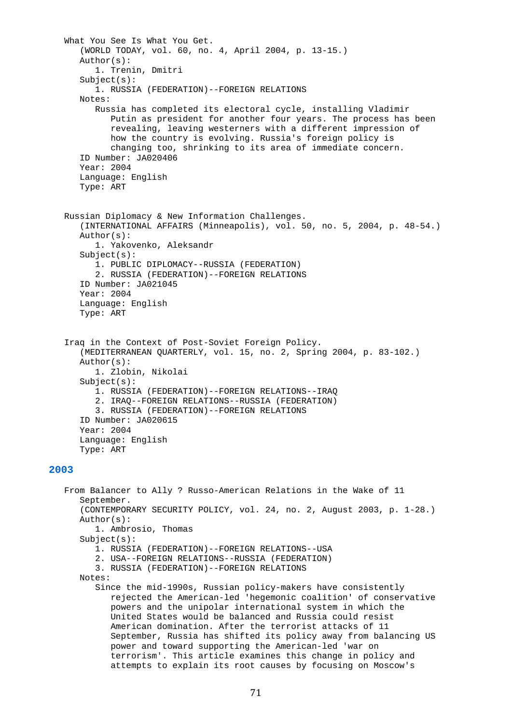```
 What You See Is What You Get. 
       (WORLD TODAY, vol. 60, no. 4, April 2004, p. 13-15.) 
       Author(s): 
          1. Trenin, Dmitri 
      Subject(s): 1. RUSSIA (FEDERATION)--FOREIGN RELATIONS 
       Notes: 
          Russia has completed its electoral cycle, installing Vladimir 
             Putin as president for another four years. The process has been 
             revealing, leaving westerners with a different impression of 
             how the country is evolving. Russia's foreign policy is 
             changing too, shrinking to its area of immediate concern. 
       ID Number: JA020406 
       Year: 2004 
       Language: English 
       Type: ART 
   Russian Diplomacy & New Information Challenges. 
       (INTERNATIONAL AFFAIRS (Minneapolis), vol. 50, no. 5, 2004, p. 48-54.) 
       Author(s): 
          1. Yakovenko, Aleksandr 
       Subject(s): 
          1. PUBLIC DIPLOMACY--RUSSIA (FEDERATION) 
          2. RUSSIA (FEDERATION)--FOREIGN RELATIONS 
       ID Number: JA021045 
       Year: 2004 
       Language: English 
       Type: ART 
    Iraq in the Context of Post-Soviet Foreign Policy. 
       (MEDITERRANEAN QUARTERLY, vol. 15, no. 2, Spring 2004, p. 83-102.) 
       Author(s): 
          1. Zlobin, Nikolai 
       Subject(s): 
          1. RUSSIA (FEDERATION)--FOREIGN RELATIONS--IRAQ 
          2. IRAQ--FOREIGN RELATIONS--RUSSIA (FEDERATION) 
          3. RUSSIA (FEDERATION)--FOREIGN RELATIONS 
       ID Number: JA020615 
       Year: 2004 
       Language: English 
       Type: ART 
2003 
   From Balancer to Ally ? Russo-American Relations in the Wake of 11 
       September. 
       (CONTEMPORARY SECURITY POLICY, vol. 24, no. 2, August 2003, p. 1-28.) 
       Author(s): 
          1. Ambrosio, Thomas 
       Subject(s): 
          1. RUSSIA (FEDERATION)--FOREIGN RELATIONS--USA 
          2. USA--FOREIGN RELATIONS--RUSSIA (FEDERATION) 
          3. RUSSIA (FEDERATION)--FOREIGN RELATIONS 
       Notes: 
          Since the mid-1990s, Russian policy-makers have consistently 
             rejected the American-led 'hegemonic coalition' of conservative 
             powers and the unipolar international system in which the 
             United States would be balanced and Russia could resist 
             American domination. After the terrorist attacks of 11 
             September, Russia has shifted its policy away from balancing US 
             power and toward supporting the American-led 'war on 
             terrorism'. This article examines this change in policy and 
             attempts to explain its root causes by focusing on Moscow's
```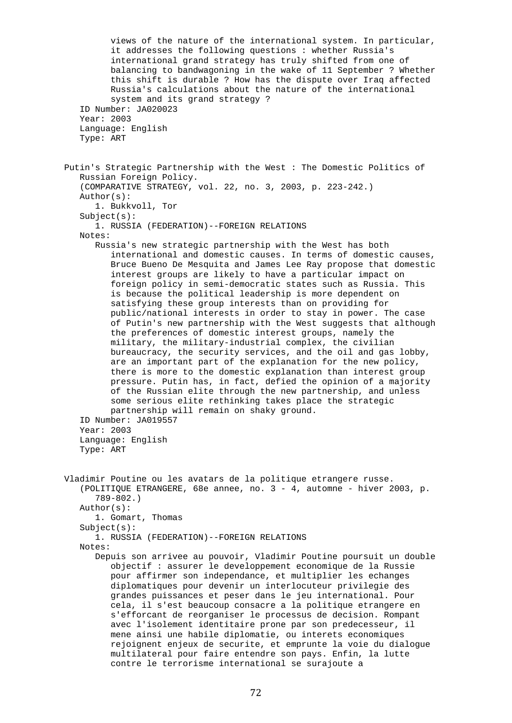views of the nature of the international system. In particular, it addresses the following questions : whether Russia's international grand strategy has truly shifted from one of balancing to bandwagoning in the wake of 11 September ? Whether this shift is durable ? How has the dispute over Iraq affected Russia's calculations about the nature of the international system and its grand strategy ? ID Number: JA020023 Year: 2003 Language: English Type: ART Putin's Strategic Partnership with the West : The Domestic Politics of Russian Foreign Policy. (COMPARATIVE STRATEGY, vol. 22, no. 3, 2003, p. 223-242.) Author(s): 1. Bukkvoll, Tor Subject(s): 1. RUSSIA (FEDERATION)--FOREIGN RELATIONS Notes: Russia's new strategic partnership with the West has both international and domestic causes. In terms of domestic causes, Bruce Bueno De Mesquita and James Lee Ray propose that domestic interest groups are likely to have a particular impact on foreign policy in semi-democratic states such as Russia. This is because the political leadership is more dependent on satisfying these group interests than on providing for public/national interests in order to stay in power. The case of Putin's new partnership with the West suggests that although the preferences of domestic interest groups, namely the military, the military-industrial complex, the civilian bureaucracy, the security services, and the oil and gas lobby, are an important part of the explanation for the new policy, there is more to the domestic explanation than interest group pressure. Putin has, in fact, defied the opinion of a majority of the Russian elite through the new partnership, and unless some serious elite rethinking takes place the strategic partnership will remain on shaky ground. ID Number: JA019557 Year: 2003 Language: English Type: ART Vladimir Poutine ou les avatars de la politique etrangere russe. (POLITIQUE ETRANGERE, 68e annee, no. 3 - 4, automne - hiver 2003, p. 789-802.) Author(s): 1. Gomart, Thomas Subject(s): 1. RUSSIA (FEDERATION)--FOREIGN RELATIONS Notes: Depuis son arrivee au pouvoir, Vladimir Poutine poursuit un double objectif : assurer le developpement economique de la Russie pour affirmer son independance, et multiplier les echanges diplomatiques pour devenir un interlocuteur privilegie des grandes puissances et peser dans le jeu international. Pour cela, il s'est beaucoup consacre a la politique etrangere en s'efforcant de reorganiser le processus de decision. Rompant avec l'isolement identitaire prone par son predecesseur, il mene ainsi une habile diplomatie, ou interets economiques rejoignent enjeux de securite, et emprunte la voie du dialogue multilateral pour faire entendre son pays. Enfin, la lutte contre le terrorisme international se surajoute a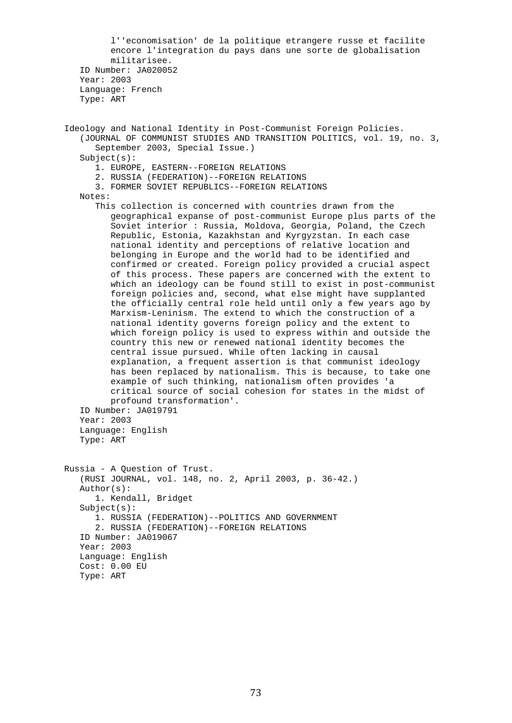l''economisation' de la politique etrangere russe et facilite encore l'integration du pays dans une sorte de globalisation militarisee. ID Number: JA020052 Year: 2003 Language: French Type: ART Ideology and National Identity in Post-Communist Foreign Policies. (JOURNAL OF COMMUNIST STUDIES AND TRANSITION POLITICS, vol. 19, no. 3, September 2003, Special Issue.)  $Subject(s):$  1. EUROPE, EASTERN--FOREIGN RELATIONS 2. RUSSIA (FEDERATION)--FOREIGN RELATIONS 3. FORMER SOVIET REPUBLICS--FOREIGN RELATIONS Notes: This collection is concerned with countries drawn from the geographical expanse of post-communist Europe plus parts of the Soviet interior : Russia, Moldova, Georgia, Poland, the Czech Republic, Estonia, Kazakhstan and Kyrgyzstan. In each case national identity and perceptions of relative location and belonging in Europe and the world had to be identified and confirmed or created. Foreign policy provided a crucial aspect of this process. These papers are concerned with the extent to which an ideology can be found still to exist in post-communist foreign policies and, second, what else might have supplanted the officially central role held until only a few years ago by Marxism-Leninism. The extend to which the construction of a national identity governs foreign policy and the extent to which foreign policy is used to express within and outside the country this new or renewed national identity becomes the central issue pursued. While often lacking in causal explanation, a frequent assertion is that communist ideology has been replaced by nationalism. This is because, to take one example of such thinking, nationalism often provides 'a critical source of social cohesion for states in the midst of profound transformation'. ID Number: JA019791 Year: 2003 Language: English Type: ART Russia - A Question of Trust. (RUSI JOURNAL, vol. 148, no. 2, April 2003, p. 36-42.) Author(s): 1. Kendall, Bridget Subject(s): 1. RUSSIA (FEDERATION)--POLITICS AND GOVERNMENT 2. RUSSIA (FEDERATION)--FOREIGN RELATIONS ID Number: JA019067 Year: 2003 Language: English Cost: 0.00 EU Type: ART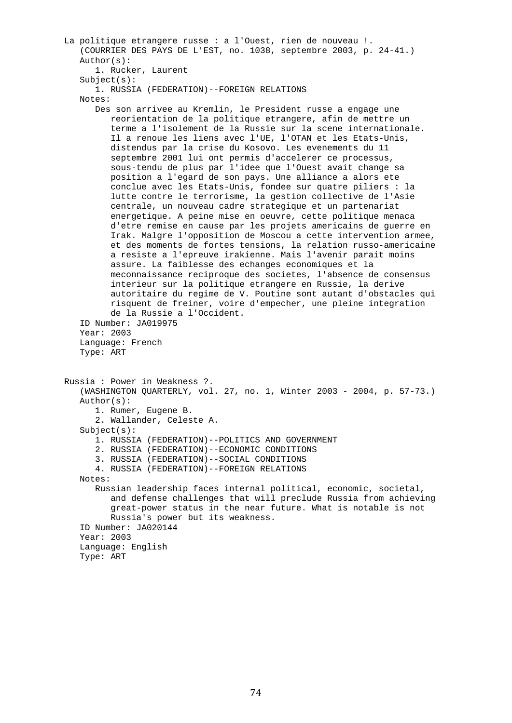```
 La politique etrangere russe : a l'Ouest, rien de nouveau !. 
    (COURRIER DES PAYS DE L'EST, no. 1038, septembre 2003, p. 24-41.) 
    Author(s): 
       1. Rucker, Laurent 
   Subject(s): 1. RUSSIA (FEDERATION)--FOREIGN RELATIONS 
    Notes: 
       Des son arrivee au Kremlin, le President russe a engage une 
          reorientation de la politique etrangere, afin de mettre un 
          terme a l'isolement de la Russie sur la scene internationale. 
          Il a renoue les liens avec l'UE, l'OTAN et les Etats-Unis, 
          distendus par la crise du Kosovo. Les evenements du 11 
          septembre 2001 lui ont permis d'accelerer ce processus, 
          sous-tendu de plus par l'idee que l'Ouest avait change sa 
          position a l'egard de son pays. Une alliance a alors ete 
          conclue avec les Etats-Unis, fondee sur quatre piliers : la 
          lutte contre le terrorisme, la gestion collective de l'Asie 
          centrale, un nouveau cadre strategique et un partenariat 
          energetique. A peine mise en oeuvre, cette politique menaca 
          d'etre remise en cause par les projets americains de guerre en 
          Irak. Malgre l'opposition de Moscou a cette intervention armee, 
          et des moments de fortes tensions, la relation russo-americaine 
          a resiste a l'epreuve irakienne. Mais l'avenir parait moins 
          assure. La faiblesse des echanges economiques et la 
          meconnaissance reciproque des societes, l'absence de consensus 
          interieur sur la politique etrangere en Russie, la derive 
          autoritaire du regime de V. Poutine sont autant d'obstacles qui 
          risquent de freiner, voire d'empecher, une pleine integration 
          de la Russie a l'Occident. 
    ID Number: JA019975 
    Year: 2003 
    Language: French 
    Type: ART 
 Russia : Power in Weakness ?. 
    (WASHINGTON QUARTERLY, vol. 27, no. 1, Winter 2003 - 2004, p. 57-73.) 
    Author(s): 
       1. Rumer, Eugene B. 
       2. Wallander, Celeste A. 
    Subject(s): 
       1. RUSSIA (FEDERATION)--POLITICS AND GOVERNMENT 
       2. RUSSIA (FEDERATION)--ECONOMIC CONDITIONS 
       3. RUSSIA (FEDERATION)--SOCIAL CONDITIONS 
       4. RUSSIA (FEDERATION)--FOREIGN RELATIONS 
    Notes: 
       Russian leadership faces internal political, economic, societal, 
          and defense challenges that will preclude Russia from achieving 
          great-power status in the near future. What is notable is not 
          Russia's power but its weakness. 
    ID Number: JA020144 
    Year: 2003 
    Language: English 
    Type: ART
```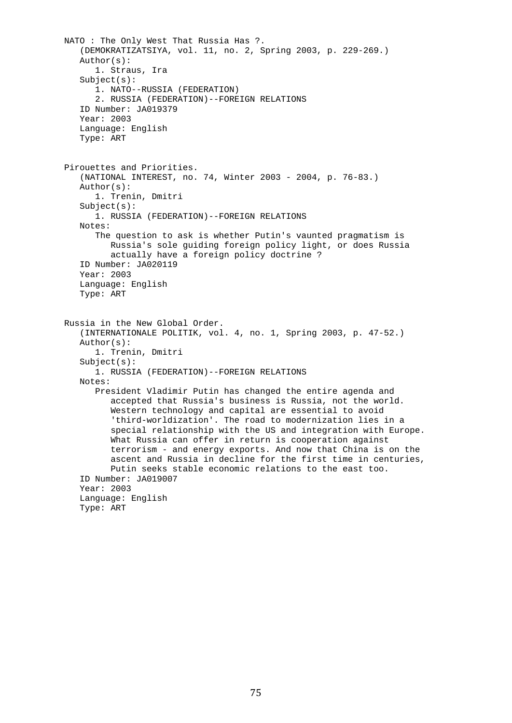```
 NATO : The Only West That Russia Has ?. 
    (DEMOKRATIZATSIYA, vol. 11, no. 2, Spring 2003, p. 229-269.) 
    Author(s): 
       1. Straus, Ira 
    Subject(s): 
       1. NATO--RUSSIA (FEDERATION) 
       2. RUSSIA (FEDERATION)--FOREIGN RELATIONS 
    ID Number: JA019379 
    Year: 2003 
    Language: English 
    Type: ART 
 Pirouettes and Priorities. 
    (NATIONAL INTEREST, no. 74, Winter 2003 - 2004, p. 76-83.) 
    Author(s): 
       1. Trenin, Dmitri 
    Subject(s): 
       1. RUSSIA (FEDERATION)--FOREIGN RELATIONS 
    Notes: 
       The question to ask is whether Putin's vaunted pragmatism is 
          Russia's sole guiding foreign policy light, or does Russia 
          actually have a foreign policy doctrine ? 
    ID Number: JA020119 
    Year: 2003 
    Language: English 
    Type: ART 
 Russia in the New Global Order. 
    (INTERNATIONALE POLITIK, vol. 4, no. 1, Spring 2003, p. 47-52.) 
    Author(s): 
       1. Trenin, Dmitri 
    Subject(s): 
       1. RUSSIA (FEDERATION)--FOREIGN RELATIONS 
    Notes: 
       President Vladimir Putin has changed the entire agenda and 
          accepted that Russia's business is Russia, not the world. 
          Western technology and capital are essential to avoid 
          'third-worldization'. The road to modernization lies in a 
          special relationship with the US and integration with Europe. 
          What Russia can offer in return is cooperation against 
          terrorism - and energy exports. And now that China is on the 
          ascent and Russia in decline for the first time in centuries, 
          Putin seeks stable economic relations to the east too. 
    ID Number: JA019007 
    Year: 2003 
    Language: English 
    Type: ART
```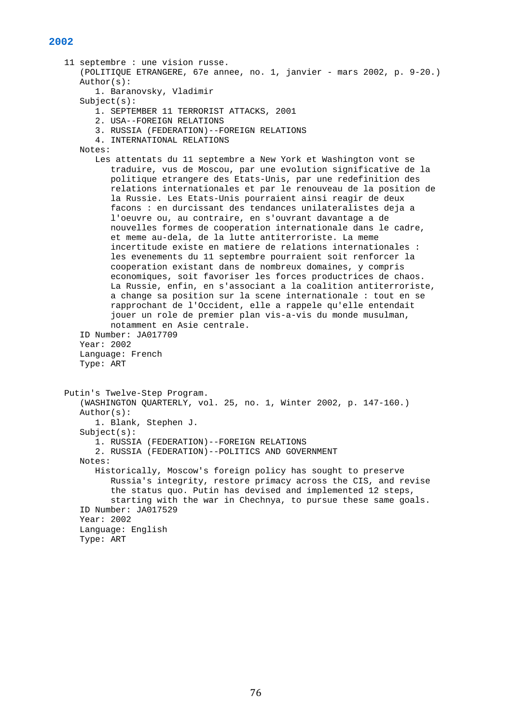## **2002**

```
 11 septembre : une vision russe. 
    (POLITIQUE ETRANGERE, 67e annee, no. 1, janvier - mars 2002, p. 9-20.) 
    Author(s): 
       1. Baranovsky, Vladimir 
   Subject(s): 1. SEPTEMBER 11 TERRORIST ATTACKS, 2001 
       2. USA--FOREIGN RELATIONS 
       3. RUSSIA (FEDERATION)--FOREIGN RELATIONS 
       4. INTERNATIONAL RELATIONS 
    Notes: 
       Les attentats du 11 septembre a New York et Washington vont se 
          traduire, vus de Moscou, par une evolution significative de la 
          politique etrangere des Etats-Unis, par une redefinition des 
          relations internationales et par le renouveau de la position de 
          la Russie. Les Etats-Unis pourraient ainsi reagir de deux 
          facons : en durcissant des tendances unilateralistes deja a 
          l'oeuvre ou, au contraire, en s'ouvrant davantage a de 
          nouvelles formes de cooperation internationale dans le cadre, 
          et meme au-dela, de la lutte antiterroriste. La meme 
          incertitude existe en matiere de relations internationales : 
          les evenements du 11 septembre pourraient soit renforcer la 
          cooperation existant dans de nombreux domaines, y compris 
          economiques, soit favoriser les forces productrices de chaos. 
          La Russie, enfin, en s'associant a la coalition antiterroriste, 
          a change sa position sur la scene internationale : tout en se 
          rapprochant de l'Occident, elle a rappele qu'elle entendait 
          jouer un role de premier plan vis-a-vis du monde musulman, 
          notamment en Asie centrale. 
    ID Number: JA017709 
    Year: 2002 
    Language: French 
    Type: ART 
 Putin's Twelve-Step Program. 
    (WASHINGTON QUARTERLY, vol. 25, no. 1, Winter 2002, p. 147-160.) 
    Author(s): 
       1. Blank, Stephen J. 
    Subject(s): 
       1. RUSSIA (FEDERATION)--FOREIGN RELATIONS 
       2. RUSSIA (FEDERATION)--POLITICS AND GOVERNMENT 
    Notes: 
       Historically, Moscow's foreign policy has sought to preserve 
          Russia's integrity, restore primacy across the CIS, and revise 
          the status quo. Putin has devised and implemented 12 steps, 
          starting with the war in Chechnya, to pursue these same goals. 
    ID Number: JA017529 
    Year: 2002 
    Language: English 
    Type: ART
```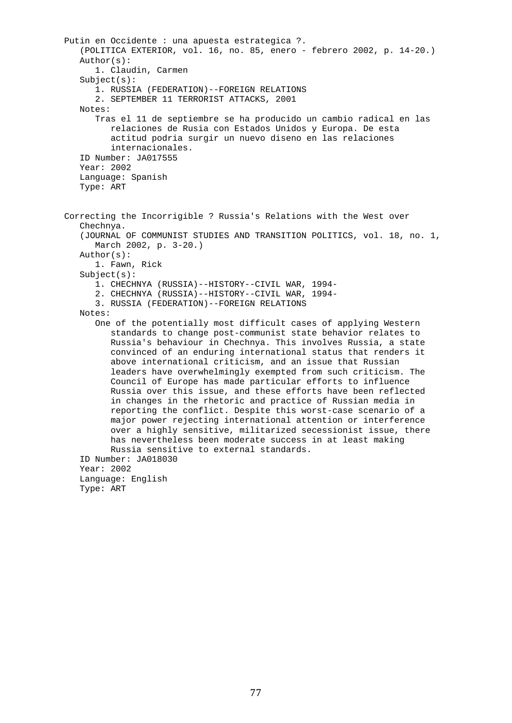```
 Putin en Occidente : una apuesta estrategica ?. 
    (POLITICA EXTERIOR, vol. 16, no. 85, enero - febrero 2002, p. 14-20.) 
    Author(s): 
       1. Claudin, Carmen 
    Subject(s): 
       1. RUSSIA (FEDERATION)--FOREIGN RELATIONS 
       2. SEPTEMBER 11 TERRORIST ATTACKS, 2001 
    Notes: 
       Tras el 11 de septiembre se ha producido un cambio radical en las 
          relaciones de Rusia con Estados Unidos y Europa. De esta 
          actitud podria surgir un nuevo diseno en las relaciones 
          internacionales. 
    ID Number: JA017555 
    Year: 2002 
    Language: Spanish 
    Type: ART 
 Correcting the Incorrigible ? Russia's Relations with the West over 
    Chechnya. 
    (JOURNAL OF COMMUNIST STUDIES AND TRANSITION POLITICS, vol. 18, no. 1, 
       March 2002, p. 3-20.) 
    Author(s): 
       1. Fawn, Rick 
    Subject(s): 
       1. CHECHNYA (RUSSIA)--HISTORY--CIVIL WAR, 1994- 
       2. CHECHNYA (RUSSIA)--HISTORY--CIVIL WAR, 1994- 
       3. RUSSIA (FEDERATION)--FOREIGN RELATIONS 
    Notes: 
       One of the potentially most difficult cases of applying Western 
          standards to change post-communist state behavior relates to 
          Russia's behaviour in Chechnya. This involves Russia, a state 
          convinced of an enduring international status that renders it 
          above international criticism, and an issue that Russian 
          leaders have overwhelmingly exempted from such criticism. The 
          Council of Europe has made particular efforts to influence 
          Russia over this issue, and these efforts have been reflected 
          in changes in the rhetoric and practice of Russian media in 
          reporting the conflict. Despite this worst-case scenario of a 
          major power rejecting international attention or interference 
          over a highly sensitive, militarized secessionist issue, there 
          has nevertheless been moderate success in at least making 
          Russia sensitive to external standards. 
    ID Number: JA018030 
    Year: 2002 
    Language: English 
    Type: ART
```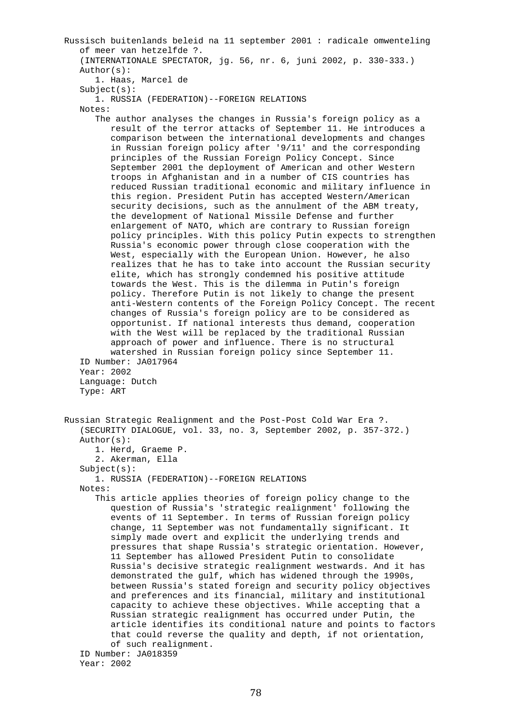Russisch buitenlands beleid na 11 september 2001 : radicale omwenteling of meer van hetzelfde ?. (INTERNATIONALE SPECTATOR, jg. 56, nr. 6, juni 2002, p. 330-333.) Author(s): 1. Haas, Marcel de Subject(s): 1. RUSSIA (FEDERATION)--FOREIGN RELATIONS Notes: The author analyses the changes in Russia's foreign policy as a result of the terror attacks of September 11. He introduces a comparison between the international developments and changes in Russian foreign policy after '9/11' and the corresponding principles of the Russian Foreign Policy Concept. Since September 2001 the deployment of American and other Western troops in Afghanistan and in a number of CIS countries has reduced Russian traditional economic and military influence in this region. President Putin has accepted Western/American security decisions, such as the annulment of the ABM treaty, the development of National Missile Defense and further enlargement of NATO, which are contrary to Russian foreign policy principles. With this policy Putin expects to strengthen Russia's economic power through close cooperation with the West, especially with the European Union. However, he also realizes that he has to take into account the Russian security elite, which has strongly condemned his positive attitude towards the West. This is the dilemma in Putin's foreign policy. Therefore Putin is not likely to change the present anti-Western contents of the Foreign Policy Concept. The recent changes of Russia's foreign policy are to be considered as opportunist. If national interests thus demand, cooperation with the West will be replaced by the traditional Russian approach of power and influence. There is no structural watershed in Russian foreign policy since September 11. ID Number: JA017964 Year: 2002 Language: Dutch Type: ART Russian Strategic Realignment and the Post-Post Cold War Era ?. (SECURITY DIALOGUE, vol. 33, no. 3, September 2002, p. 357-372.) Author(s): 1. Herd, Graeme P. 2. Akerman, Ella Subject(s): 1. RUSSIA (FEDERATION)--FOREIGN RELATIONS Notes: This article applies theories of foreign policy change to the question of Russia's 'strategic realignment' following the events of 11 September. In terms of Russian foreign policy change, 11 September was not fundamentally significant. It simply made overt and explicit the underlying trends and pressures that shape Russia's strategic orientation. However, 11 September has allowed President Putin to consolidate Russia's decisive strategic realignment westwards. And it has demonstrated the gulf, which has widened through the 1990s, between Russia's stated foreign and security policy objectives and preferences and its financial, military and institutional capacity to achieve these objectives. While accepting that a Russian strategic realignment has occurred under Putin, the article identifies its conditional nature and points to factors that could reverse the quality and depth, if not orientation, of such realignment. ID Number: JA018359

```
 Year: 2002
```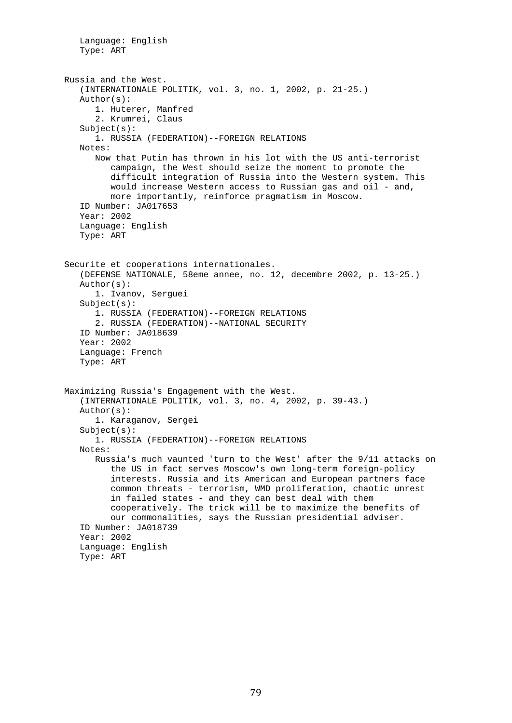```
 Language: English 
    Type: ART 
 Russia and the West. 
    (INTERNATIONALE POLITIK, vol. 3, no. 1, 2002, p. 21-25.) 
    Author(s): 
       1. Huterer, Manfred 
       2. Krumrei, Claus 
    Subject(s): 
       1. RUSSIA (FEDERATION)--FOREIGN RELATIONS 
    Notes: 
       Now that Putin has thrown in his lot with the US anti-terrorist 
          campaign, the West should seize the moment to promote the 
          difficult integration of Russia into the Western system. This 
          would increase Western access to Russian gas and oil - and, 
          more importantly, reinforce pragmatism in Moscow. 
    ID Number: JA017653 
    Year: 2002 
    Language: English 
    Type: ART 
 Securite et cooperations internationales. 
    (DEFENSE NATIONALE, 58eme annee, no. 12, decembre 2002, p. 13-25.) 
    Author(s): 
       1. Ivanov, Serguei 
    Subject(s): 
       1. RUSSIA (FEDERATION)--FOREIGN RELATIONS 
       2. RUSSIA (FEDERATION)--NATIONAL SECURITY 
    ID Number: JA018639 
    Year: 2002 
    Language: French 
    Type: ART 
 Maximizing Russia's Engagement with the West. 
    (INTERNATIONALE POLITIK, vol. 3, no. 4, 2002, p. 39-43.) 
    Author(s): 
       1. Karaganov, Sergei 
   Subject(s): 1. RUSSIA (FEDERATION)--FOREIGN RELATIONS 
    Notes: 
       Russia's much vaunted 'turn to the West' after the 9/11 attacks on 
          the US in fact serves Moscow's own long-term foreign-policy 
          interests. Russia and its American and European partners face 
          common threats - terrorism, WMD proliferation, chaotic unrest 
          in failed states - and they can best deal with them 
          cooperatively. The trick will be to maximize the benefits of 
          our commonalities, says the Russian presidential adviser. 
    ID Number: JA018739 
    Year: 2002 
    Language: English 
    Type: ART
```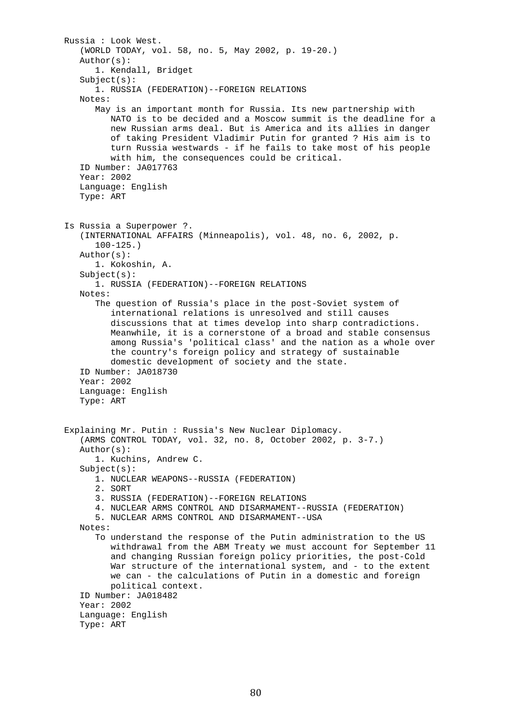```
 Russia : Look West. 
    (WORLD TODAY, vol. 58, no. 5, May 2002, p. 19-20.) 
    Author(s): 
       1. Kendall, Bridget 
   Subject(s): 1. RUSSIA (FEDERATION)--FOREIGN RELATIONS 
    Notes: 
       May is an important month for Russia. Its new partnership with 
          NATO is to be decided and a Moscow summit is the deadline for a 
          new Russian arms deal. But is America and its allies in danger 
          of taking President Vladimir Putin for granted ? His aim is to 
          turn Russia westwards - if he fails to take most of his people 
          with him, the consequences could be critical. 
    ID Number: JA017763 
    Year: 2002 
    Language: English 
    Type: ART 
 Is Russia a Superpower ?. 
    (INTERNATIONAL AFFAIRS (Minneapolis), vol. 48, no. 6, 2002, p. 
       100-125.) 
    Author(s): 
       1. Kokoshin, A. 
    Subject(s): 
       1. RUSSIA (FEDERATION)--FOREIGN RELATIONS 
    Notes: 
       The question of Russia's place in the post-Soviet system of 
          international relations is unresolved and still causes 
          discussions that at times develop into sharp contradictions. 
          Meanwhile, it is a cornerstone of a broad and stable consensus 
          among Russia's 'political class' and the nation as a whole over 
          the country's foreign policy and strategy of sustainable 
          domestic development of society and the state. 
    ID Number: JA018730 
    Year: 2002 
    Language: English 
    Type: ART 
 Explaining Mr. Putin : Russia's New Nuclear Diplomacy. 
    (ARMS CONTROL TODAY, vol. 32, no. 8, October 2002, p. 3-7.) 
    Author(s): 
       1. Kuchins, Andrew C. 
    Subject(s): 
       1. NUCLEAR WEAPONS--RUSSIA (FEDERATION) 
       2. SORT 
       3. RUSSIA (FEDERATION)--FOREIGN RELATIONS 
       4. NUCLEAR ARMS CONTROL AND DISARMAMENT--RUSSIA (FEDERATION) 
       5. NUCLEAR ARMS CONTROL AND DISARMAMENT--USA 
    Notes: 
       To understand the response of the Putin administration to the US 
          withdrawal from the ABM Treaty we must account for September 11 
          and changing Russian foreign policy priorities, the post-Cold 
         War structure of the international system, and - to the extent
          we can - the calculations of Putin in a domestic and foreign 
          political context. 
    ID Number: JA018482 
    Year: 2002 
    Language: English 
    Type: ART
```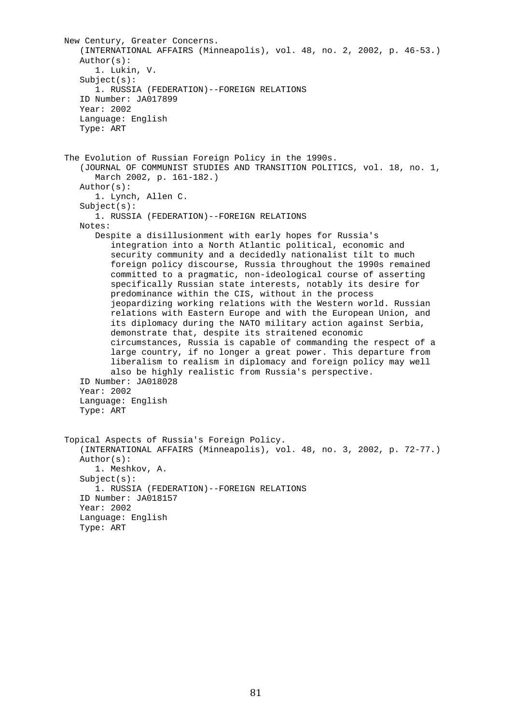```
 New Century, Greater Concerns. 
    (INTERNATIONAL AFFAIRS (Minneapolis), vol. 48, no. 2, 2002, p. 46-53.) 
    Author(s): 
       1. Lukin, V. 
    Subject(s): 
       1. RUSSIA (FEDERATION)--FOREIGN RELATIONS 
    ID Number: JA017899 
    Year: 2002 
    Language: English 
    Type: ART 
 The Evolution of Russian Foreign Policy in the 1990s. 
    (JOURNAL OF COMMUNIST STUDIES AND TRANSITION POLITICS, vol. 18, no. 1, 
       March 2002, p. 161-182.) 
    Author(s): 
       1. Lynch, Allen C. 
    Subject(s): 
       1. RUSSIA (FEDERATION)--FOREIGN RELATIONS 
    Notes: 
       Despite a disillusionment with early hopes for Russia's 
          integration into a North Atlantic political, economic and 
          security community and a decidedly nationalist tilt to much 
          foreign policy discourse, Russia throughout the 1990s remained 
          committed to a pragmatic, non-ideological course of asserting 
          specifically Russian state interests, notably its desire for 
          predominance within the CIS, without in the process 
          jeopardizing working relations with the Western world. Russian 
          relations with Eastern Europe and with the European Union, and 
          its diplomacy during the NATO military action against Serbia, 
          demonstrate that, despite its straitened economic 
          circumstances, Russia is capable of commanding the respect of a 
          large country, if no longer a great power. This departure from 
          liberalism to realism in diplomacy and foreign policy may well 
          also be highly realistic from Russia's perspective. 
    ID Number: JA018028 
    Year: 2002 
    Language: English 
    Type: ART 
 Topical Aspects of Russia's Foreign Policy. 
    (INTERNATIONAL AFFAIRS (Minneapolis), vol. 48, no. 3, 2002, p. 72-77.) 
    Author(s): 
       1. Meshkov, A. 
    Subject(s): 
       1. RUSSIA (FEDERATION)--FOREIGN RELATIONS 
    ID Number: JA018157 
    Year: 2002 
    Language: English 
    Type: ART
```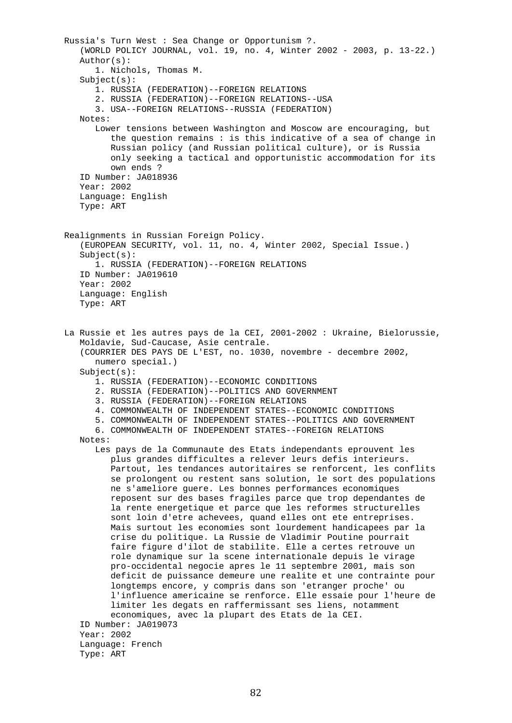Russia's Turn West : Sea Change or Opportunism ?. (WORLD POLICY JOURNAL, vol. 19, no. 4, Winter 2002 - 2003, p. 13-22.) Author(s): 1. Nichols, Thomas M. Subject(s): 1. RUSSIA (FEDERATION)--FOREIGN RELATIONS 2. RUSSIA (FEDERATION)--FOREIGN RELATIONS--USA 3. USA--FOREIGN RELATIONS--RUSSIA (FEDERATION) Notes: Lower tensions between Washington and Moscow are encouraging, but the question remains : is this indicative of a sea of change in Russian policy (and Russian political culture), or is Russia only seeking a tactical and opportunistic accommodation for its own ends ? ID Number: JA018936 Year: 2002 Language: English Type: ART Realignments in Russian Foreign Policy. (EUROPEAN SECURITY, vol. 11, no. 4, Winter 2002, Special Issue.) Subject(s): 1. RUSSIA (FEDERATION)--FOREIGN RELATIONS ID Number: JA019610 Year: 2002 Language: English Type: ART La Russie et les autres pays de la CEI, 2001-2002 : Ukraine, Bielorussie, Moldavie, Sud-Caucase, Asie centrale. (COURRIER DES PAYS DE L'EST, no. 1030, novembre - decembre 2002, numero special.) Subject(s): 1. RUSSIA (FEDERATION)--ECONOMIC CONDITIONS 2. RUSSIA (FEDERATION)--POLITICS AND GOVERNMENT 3. RUSSIA (FEDERATION)--FOREIGN RELATIONS 4. COMMONWEALTH OF INDEPENDENT STATES--ECONOMIC CONDITIONS 5. COMMONWEALTH OF INDEPENDENT STATES--POLITICS AND GOVERNMENT 6. COMMONWEALTH OF INDEPENDENT STATES--FOREIGN RELATIONS Notes: Les pays de la Communaute des Etats independants eprouvent les plus grandes difficultes a relever leurs defis interieurs. Partout, les tendances autoritaires se renforcent, les conflits se prolongent ou restent sans solution, le sort des populations ne s'ameliore guere. Les bonnes performances economiques reposent sur des bases fragiles parce que trop dependantes de la rente energetique et parce que les reformes structurelles sont loin d'etre achevees, quand elles ont ete entreprises. Mais surtout les economies sont lourdement handicapees par la crise du politique. La Russie de Vladimir Poutine pourrait faire figure d'ilot de stabilite. Elle a certes retrouve un role dynamique sur la scene internationale depuis le virage pro-occidental negocie apres le 11 septembre 2001, mais son deficit de puissance demeure une realite et une contrainte pour longtemps encore, y compris dans son 'etranger proche' ou l'influence americaine se renforce. Elle essaie pour l'heure de limiter les degats en raffermissant ses liens, notamment economiques, avec la plupart des Etats de la CEI. ID Number: JA019073 Year: 2002 Language: French Type: ART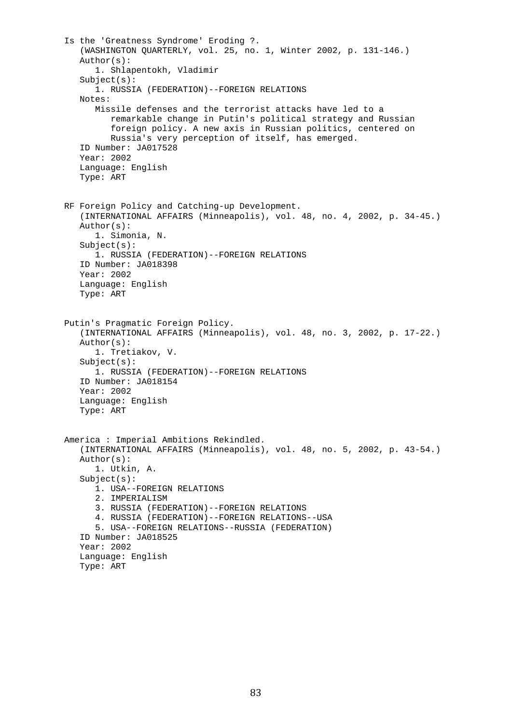Is the 'Greatness Syndrome' Eroding ?. (WASHINGTON QUARTERLY, vol. 25, no. 1, Winter 2002, p. 131-146.) Author(s): 1. Shlapentokh, Vladimir  $Subject(s):$  1. RUSSIA (FEDERATION)--FOREIGN RELATIONS Notes: Missile defenses and the terrorist attacks have led to a remarkable change in Putin's political strategy and Russian foreign policy. A new axis in Russian politics, centered on Russia's very perception of itself, has emerged. ID Number: JA017528 Year: 2002 Language: English Type: ART RF Foreign Policy and Catching-up Development. (INTERNATIONAL AFFAIRS (Minneapolis), vol. 48, no. 4, 2002, p. 34-45.) Author(s): 1. Simonia, N. Subject(s): 1. RUSSIA (FEDERATION)--FOREIGN RELATIONS ID Number: JA018398 Year: 2002 Language: English Type: ART Putin's Pragmatic Foreign Policy. (INTERNATIONAL AFFAIRS (Minneapolis), vol. 48, no. 3, 2002, p. 17-22.) Author(s): 1. Tretiakov, V. Subject(s): 1. RUSSIA (FEDERATION)--FOREIGN RELATIONS ID Number: JA018154 Year: 2002 Language: English Type: ART America : Imperial Ambitions Rekindled. (INTERNATIONAL AFFAIRS (Minneapolis), vol. 48, no. 5, 2002, p. 43-54.) Author(s): 1. Utkin, A. Subject(s): 1. USA--FOREIGN RELATIONS 2. IMPERIALISM 3. RUSSIA (FEDERATION)--FOREIGN RELATIONS 4. RUSSIA (FEDERATION)--FOREIGN RELATIONS--USA 5. USA--FOREIGN RELATIONS--RUSSIA (FEDERATION) ID Number: JA018525 Year: 2002 Language: English Type: ART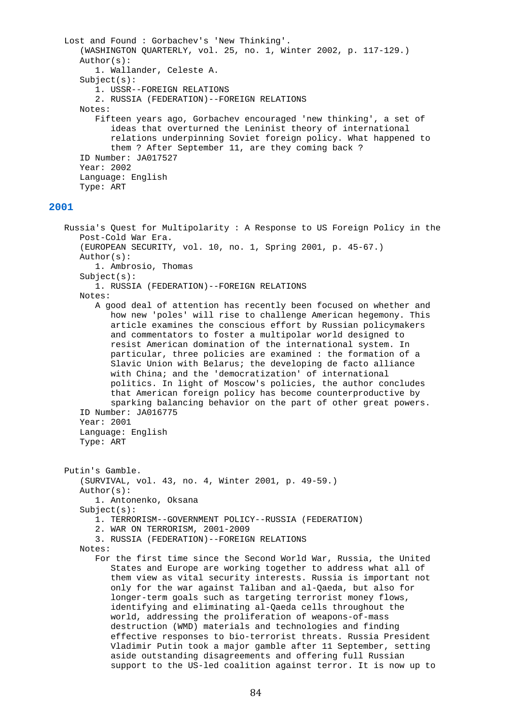```
 Lost and Found : Gorbachev's 'New Thinking'. 
       (WASHINGTON QUARTERLY, vol. 25, no. 1, Winter 2002, p. 117-129.) 
       Author(s): 
          1. Wallander, Celeste A. 
       Subject(s): 
          1. USSR--FOREIGN RELATIONS 
          2. RUSSIA (FEDERATION)--FOREIGN RELATIONS 
       Notes: 
          Fifteen years ago, Gorbachev encouraged 'new thinking', a set of 
             ideas that overturned the Leninist theory of international 
             relations underpinning Soviet foreign policy. What happened to 
             them ? After September 11, are they coming back ? 
       ID Number: JA017527 
       Year: 2002 
       Language: English 
       Type: ART 
2001 
   Russia's Quest for Multipolarity : A Response to US Foreign Policy in the 
       Post-Cold War Era. 
       (EUROPEAN SECURITY, vol. 10, no. 1, Spring 2001, p. 45-67.) 
       Author(s): 
          1. Ambrosio, Thomas 
       Subject(s): 
          1. RUSSIA (FEDERATION)--FOREIGN RELATIONS 
       Notes: 
          A good deal of attention has recently been focused on whether and 
             how new 'poles' will rise to challenge American hegemony. This 
             article examines the conscious effort by Russian policymakers 
             and commentators to foster a multipolar world designed to 
             resist American domination of the international system. In 
             particular, three policies are examined : the formation of a 
             Slavic Union with Belarus; the developing de facto alliance 
             with China; and the 'democratization' of international 
             politics. In light of Moscow's policies, the author concludes 
             that American foreign policy has become counterproductive by 
             sparking balancing behavior on the part of other great powers. 
       ID Number: JA016775 
       Year: 2001 
       Language: English 
       Type: ART 
   Putin's Gamble. 
       (SURVIVAL, vol. 43, no. 4, Winter 2001, p. 49-59.) 
       Author(s): 
          1. Antonenko, Oksana 
       Subject(s): 
          1. TERRORISM--GOVERNMENT POLICY--RUSSIA (FEDERATION)
```
- 2. WAR ON TERRORISM, 2001-2009
- 3. RUSSIA (FEDERATION)--FOREIGN RELATIONS

```
 Notes:
```
 For the first time since the Second World War, Russia, the United States and Europe are working together to address what all of them view as vital security interests. Russia is important not only for the war against Taliban and al-Qaeda, but also for longer-term goals such as targeting terrorist money flows, identifying and eliminating al-Qaeda cells throughout the world, addressing the proliferation of weapons-of-mass destruction (WMD) materials and technologies and finding effective responses to bio-terrorist threats. Russia President Vladimir Putin took a major gamble after 11 September, setting aside outstanding disagreements and offering full Russian support to the US-led coalition against terror. It is now up to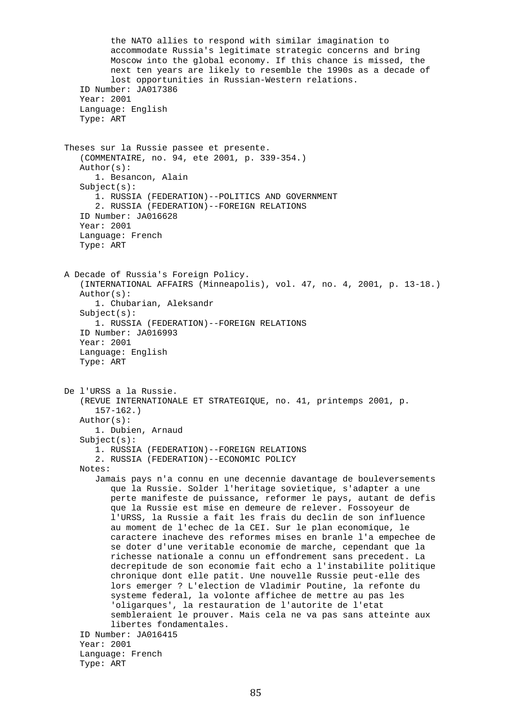the NATO allies to respond with similar imagination to accommodate Russia's legitimate strategic concerns and bring Moscow into the global economy. If this chance is missed, the next ten years are likely to resemble the 1990s as a decade of lost opportunities in Russian-Western relations. ID Number: JA017386 Year: 2001 Language: English Type: ART Theses sur la Russie passee et presente. (COMMENTAIRE, no. 94, ete 2001, p. 339-354.) Author(s): 1. Besancon, Alain Subject(s): 1. RUSSIA (FEDERATION)--POLITICS AND GOVERNMENT 2. RUSSIA (FEDERATION)--FOREIGN RELATIONS ID Number: JA016628 Year: 2001 Language: French Type: ART A Decade of Russia's Foreign Policy. (INTERNATIONAL AFFAIRS (Minneapolis), vol. 47, no. 4, 2001, p. 13-18.) Author(s): 1. Chubarian, Aleksandr Subject(s): 1. RUSSIA (FEDERATION)--FOREIGN RELATIONS ID Number: JA016993 Year: 2001 Language: English Type: ART De l'URSS a la Russie. (REVUE INTERNATIONALE ET STRATEGIQUE, no. 41, printemps 2001, p. 157-162.) Author(s): 1. Dubien, Arnaud Subject(s): 1. RUSSIA (FEDERATION)--FOREIGN RELATIONS 2. RUSSIA (FEDERATION)--ECONOMIC POLICY Notes: Jamais pays n'a connu en une decennie davantage de bouleversements que la Russie. Solder l'heritage sovietique, s'adapter a une perte manifeste de puissance, reformer le pays, autant de defis que la Russie est mise en demeure de relever. Fossoyeur de l'URSS, la Russie a fait les frais du declin de son influence au moment de l'echec de la CEI. Sur le plan economique, le caractere inacheve des reformes mises en branle l'a empechee de se doter d'une veritable economie de marche, cependant que la richesse nationale a connu un effondrement sans precedent. La decrepitude de son economie fait echo a l'instabilite politique chronique dont elle patit. Une nouvelle Russie peut-elle des lors emerger ? L'election de Vladimir Poutine, la refonte du systeme federal, la volonte affichee de mettre au pas les 'oligarques', la restauration de l'autorite de l'etat sembleraient le prouver. Mais cela ne va pas sans atteinte aux libertes fondamentales. ID Number: JA016415 Year: 2001 Language: French Type: ART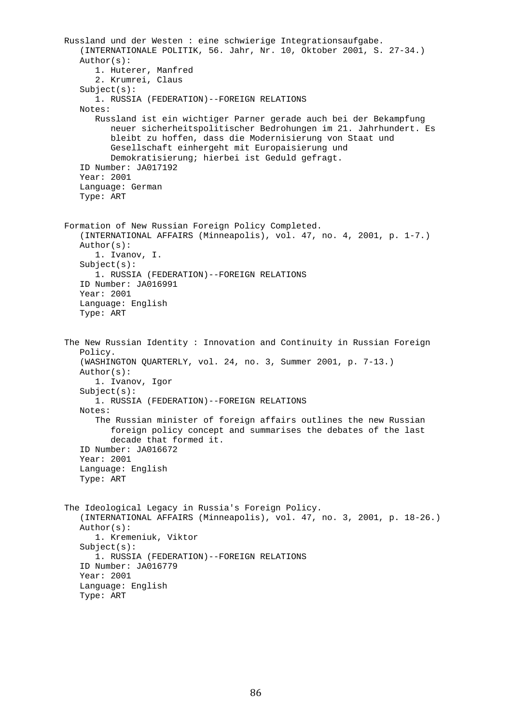```
 Russland und der Westen : eine schwierige Integrationsaufgabe. 
    (INTERNATIONALE POLITIK, 56. Jahr, Nr. 10, Oktober 2001, S. 27-34.) 
    Author(s): 
       1. Huterer, Manfred 
       2. Krumrei, Claus 
    Subject(s): 
       1. RUSSIA (FEDERATION)--FOREIGN RELATIONS 
    Notes: 
       Russland ist ein wichtiger Parner gerade auch bei der Bekampfung 
          neuer sicherheitspolitischer Bedrohungen im 21. Jahrhundert. Es 
          bleibt zu hoffen, dass die Modernisierung von Staat und 
          Gesellschaft einhergeht mit Europaisierung und 
          Demokratisierung; hierbei ist Geduld gefragt. 
    ID Number: JA017192 
    Year: 2001 
    Language: German 
    Type: ART 
 Formation of New Russian Foreign Policy Completed. 
    (INTERNATIONAL AFFAIRS (Minneapolis), vol. 47, no. 4, 2001, p. 1-7.) 
    Author(s): 
       1. Ivanov, I. 
    Subject(s): 
       1. RUSSIA (FEDERATION)--FOREIGN RELATIONS 
    ID Number: JA016991 
    Year: 2001 
    Language: English 
    Type: ART 
 The New Russian Identity : Innovation and Continuity in Russian Foreign 
    Policy. 
    (WASHINGTON QUARTERLY, vol. 24, no. 3, Summer 2001, p. 7-13.) 
    Author(s): 
       1. Ivanov, Igor 
    Subject(s): 
       1. RUSSIA (FEDERATION)--FOREIGN RELATIONS 
    Notes: 
       The Russian minister of foreign affairs outlines the new Russian 
          foreign policy concept and summarises the debates of the last 
          decade that formed it. 
    ID Number: JA016672 
    Year: 2001 
    Language: English 
    Type: ART 
 The Ideological Legacy in Russia's Foreign Policy. 
    (INTERNATIONAL AFFAIRS (Minneapolis), vol. 47, no. 3, 2001, p. 18-26.) 
    Author(s): 
       1. Kremeniuk, Viktor 
    Subject(s): 
       1. RUSSIA (FEDERATION)--FOREIGN RELATIONS 
    ID Number: JA016779 
    Year: 2001 
    Language: English 
    Type: ART
```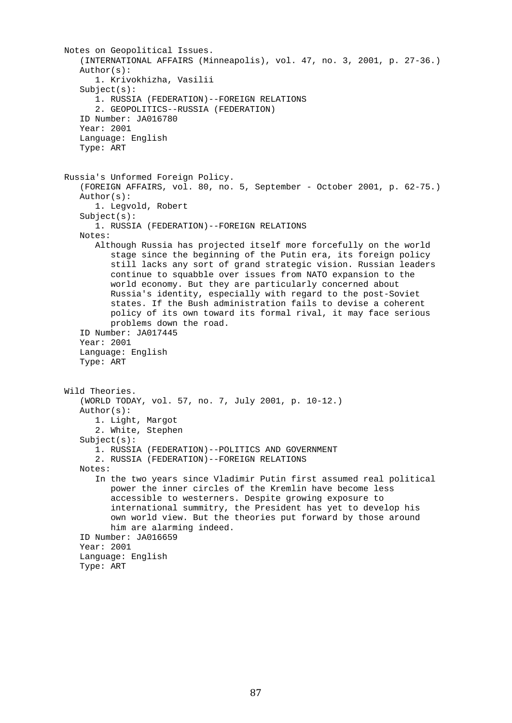```
 Notes on Geopolitical Issues. 
    (INTERNATIONAL AFFAIRS (Minneapolis), vol. 47, no. 3, 2001, p. 27-36.) 
    Author(s): 
       1. Krivokhizha, Vasilii 
    Subject(s): 
       1. RUSSIA (FEDERATION)--FOREIGN RELATIONS 
       2. GEOPOLITICS--RUSSIA (FEDERATION) 
    ID Number: JA016780 
    Year: 2001 
    Language: English 
    Type: ART 
 Russia's Unformed Foreign Policy. 
    (FOREIGN AFFAIRS, vol. 80, no. 5, September - October 2001, p. 62-75.) 
    Author(s): 
       1. Legvold, Robert 
    Subject(s): 
       1. RUSSIA (FEDERATION)--FOREIGN RELATIONS 
    Notes: 
       Although Russia has projected itself more forcefully on the world 
          stage since the beginning of the Putin era, its foreign policy 
          still lacks any sort of grand strategic vision. Russian leaders 
          continue to squabble over issues from NATO expansion to the 
          world economy. But they are particularly concerned about 
          Russia's identity, especially with regard to the post-Soviet 
          states. If the Bush administration fails to devise a coherent 
          policy of its own toward its formal rival, it may face serious 
          problems down the road. 
    ID Number: JA017445 
    Year: 2001 
    Language: English 
    Type: ART 
 Wild Theories. 
    (WORLD TODAY, vol. 57, no. 7, July 2001, p. 10-12.) 
    Author(s): 
       1. Light, Margot 
       2. White, Stephen 
    Subject(s): 
       1. RUSSIA (FEDERATION)--POLITICS AND GOVERNMENT 
       2. RUSSIA (FEDERATION)--FOREIGN RELATIONS 
    Notes: 
       In the two years since Vladimir Putin first assumed real political 
          power the inner circles of the Kremlin have become less 
          accessible to westerners. Despite growing exposure to 
          international summitry, the President has yet to develop his 
          own world view. But the theories put forward by those around 
          him are alarming indeed. 
    ID Number: JA016659 
    Year: 2001 
    Language: English 
    Type: ART
```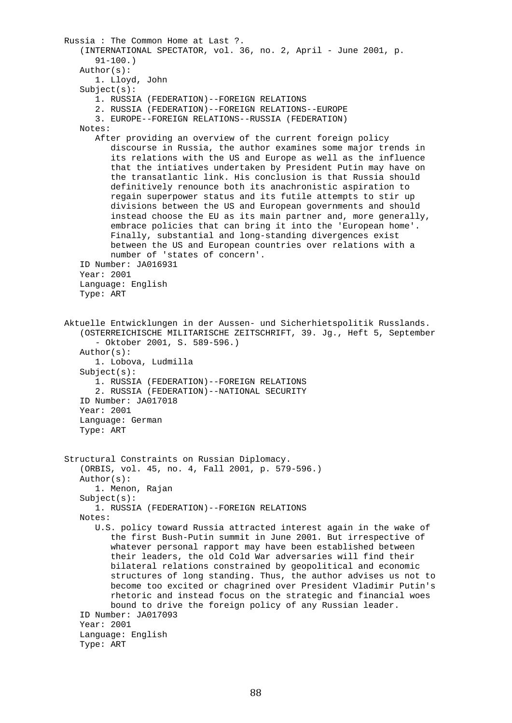```
 Russia : The Common Home at Last ?. 
    (INTERNATIONAL SPECTATOR, vol. 36, no. 2, April - June 2001, p. 
       91-100.) 
    Author(s): 
       1. Lloyd, John 
    Subject(s): 
       1. RUSSIA (FEDERATION)--FOREIGN RELATIONS 
       2. RUSSIA (FEDERATION)--FOREIGN RELATIONS--EUROPE 
       3. EUROPE--FOREIGN RELATIONS--RUSSIA (FEDERATION) 
    Notes: 
       After providing an overview of the current foreign policy 
          discourse in Russia, the author examines some major trends in 
          its relations with the US and Europe as well as the influence 
          that the intiatives undertaken by President Putin may have on 
          the transatlantic link. His conclusion is that Russia should 
          definitively renounce both its anachronistic aspiration to 
          regain superpower status and its futile attempts to stir up 
          divisions between the US and European governments and should 
          instead choose the EU as its main partner and, more generally, 
          embrace policies that can bring it into the 'European home'. 
          Finally, substantial and long-standing divergences exist 
          between the US and European countries over relations with a 
          number of 'states of concern'. 
    ID Number: JA016931 
    Year: 2001 
    Language: English 
    Type: ART 
 Aktuelle Entwicklungen in der Aussen- und Sicherhietspolitik Russlands. 
    (OSTERREICHISCHE MILITARISCHE ZEITSCHRIFT, 39. Jg., Heft 5, September 
       - Oktober 2001, S. 589-596.) 
    Author(s): 
       1. Lobova, Ludmilla 
    Subject(s): 
       1. RUSSIA (FEDERATION)--FOREIGN RELATIONS 
       2. RUSSIA (FEDERATION)--NATIONAL SECURITY 
    ID Number: JA017018 
    Year: 2001 
    Language: German 
    Type: ART 
 Structural Constraints on Russian Diplomacy. 
    (ORBIS, vol. 45, no. 4, Fall 2001, p. 579-596.) 
    Author(s): 
       1. Menon, Rajan 
    Subject(s): 
       1. RUSSIA (FEDERATION)--FOREIGN RELATIONS 
    Notes: 
       U.S. policy toward Russia attracted interest again in the wake of 
          the first Bush-Putin summit in June 2001. But irrespective of 
          whatever personal rapport may have been established between 
          their leaders, the old Cold War adversaries will find their 
          bilateral relations constrained by geopolitical and economic 
          structures of long standing. Thus, the author advises us not to 
          become too excited or chagrined over President Vladimir Putin's 
          rhetoric and instead focus on the strategic and financial woes 
          bound to drive the foreign policy of any Russian leader. 
    ID Number: JA017093 
    Year: 2001 
    Language: English 
    Type: ART
```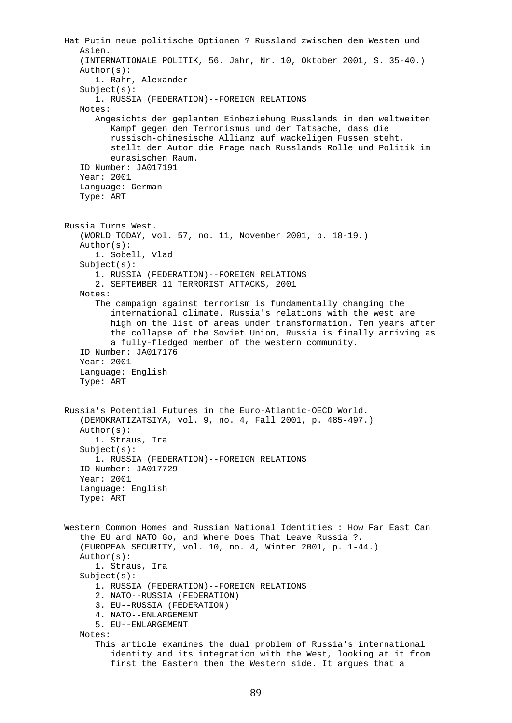```
 Hat Putin neue politische Optionen ? Russland zwischen dem Westen und 
    Asien. 
    (INTERNATIONALE POLITIK, 56. Jahr, Nr. 10, Oktober 2001, S. 35-40.) 
    Author(s): 
       1. Rahr, Alexander 
    Subject(s): 
       1. RUSSIA (FEDERATION)--FOREIGN RELATIONS 
    Notes: 
       Angesichts der geplanten Einbeziehung Russlands in den weltweiten 
          Kampf gegen den Terrorismus und der Tatsache, dass die 
          russisch-chinesische Allianz auf wackeligen Fussen steht, 
          stellt der Autor die Frage nach Russlands Rolle und Politik im 
          eurasischen Raum. 
    ID Number: JA017191 
    Year: 2001 
    Language: German 
    Type: ART 
 Russia Turns West. 
    (WORLD TODAY, vol. 57, no. 11, November 2001, p. 18-19.) 
    Author(s): 
       1. Sobell, Vlad 
    Subject(s): 
       1. RUSSIA (FEDERATION)--FOREIGN RELATIONS 
       2. SEPTEMBER 11 TERRORIST ATTACKS, 2001 
    Notes: 
       The campaign against terrorism is fundamentally changing the 
          international climate. Russia's relations with the west are 
          high on the list of areas under transformation. Ten years after 
          the collapse of the Soviet Union, Russia is finally arriving as 
          a fully-fledged member of the western community. 
    ID Number: JA017176 
    Year: 2001 
    Language: English 
    Type: ART 
 Russia's Potential Futures in the Euro-Atlantic-OECD World. 
    (DEMOKRATIZATSIYA, vol. 9, no. 4, Fall 2001, p. 485-497.) 
    Author(s): 
       1. Straus, Ira 
    Subject(s): 
       1. RUSSIA (FEDERATION)--FOREIGN RELATIONS 
    ID Number: JA017729 
    Year: 2001 
    Language: English 
    Type: ART 
 Western Common Homes and Russian National Identities : How Far East Can 
    the EU and NATO Go, and Where Does That Leave Russia ?. 
    (EUROPEAN SECURITY, vol. 10, no. 4, Winter 2001, p. 1-44.) 
    Author(s): 
       1. Straus, Ira 
    Subject(s): 
       1. RUSSIA (FEDERATION)--FOREIGN RELATIONS 
       2. NATO--RUSSIA (FEDERATION) 
       3. EU--RUSSIA (FEDERATION) 
       4. NATO--ENLARGEMENT 
       5. EU--ENLARGEMENT 
    Notes: 
       This article examines the dual problem of Russia's international 
          identity and its integration with the West, looking at it from 
          first the Eastern then the Western side. It argues that a
```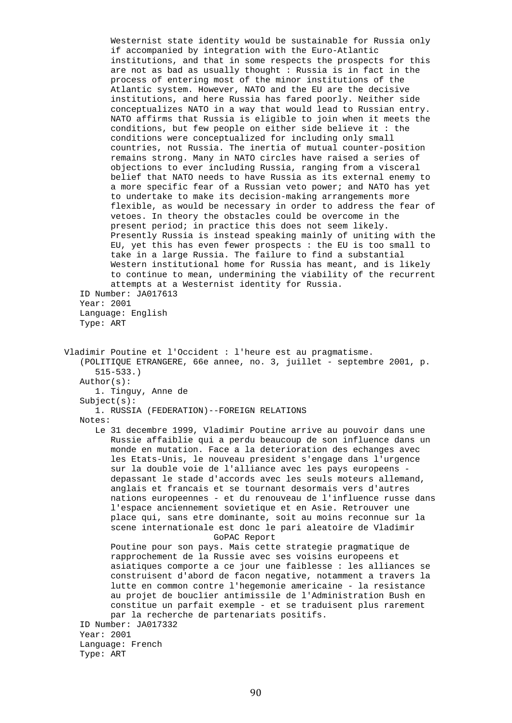Westernist state identity would be sustainable for Russia only if accompanied by integration with the Euro-Atlantic institutions, and that in some respects the prospects for this are not as bad as usually thought : Russia is in fact in the process of entering most of the minor institutions of the Atlantic system. However, NATO and the EU are the decisive institutions, and here Russia has fared poorly. Neither side conceptualizes NATO in a way that would lead to Russian entry. NATO affirms that Russia is eligible to join when it meets the conditions, but few people on either side believe it : the conditions were conceptualized for including only small countries, not Russia. The inertia of mutual counter-position remains strong. Many in NATO circles have raised a series of objections to ever including Russia, ranging from a visceral belief that NATO needs to have Russia as its external enemy to a more specific fear of a Russian veto power; and NATO has yet to undertake to make its decision-making arrangements more flexible, as would be necessary in order to address the fear of vetoes. In theory the obstacles could be overcome in the present period; in practice this does not seem likely. Presently Russia is instead speaking mainly of uniting with the EU, yet this has even fewer prospects : the EU is too small to take in a large Russia. The failure to find a substantial Western institutional home for Russia has meant, and is likely to continue to mean, undermining the viability of the recurrent attempts at a Westernist identity for Russia. ID Number: JA017613 Year: 2001 Language: English Type: ART Vladimir Poutine et l'Occident : l'heure est au pragmatisme. (POLITIQUE ETRANGERE, 66e annee, no. 3, juillet - septembre 2001, p. 515-533.) Author(s): 1. Tinguy, Anne de Subject(s): 1. RUSSIA (FEDERATION)--FOREIGN RELATIONS Notes: Le 31 decembre 1999, Vladimir Poutine arrive au pouvoir dans une Russie affaiblie qui a perdu beaucoup de son influence dans un monde en mutation. Face a la deterioration des echanges avec les Etats-Unis, le nouveau president s'engage dans l'urgence sur la double voie de l'alliance avec les pays europeens depassant le stade d'accords avec les seuls moteurs allemand, anglais et francais et se tournant desormais vers d'autres nations europeennes - et du renouveau de l'influence russe dans l'espace anciennement sovietique et en Asie. Retrouver une place qui, sans etre dominante, soit au moins reconnue sur la scene internationale est donc le pari aleatoire de Vladimir GoPAC Report Poutine pour son pays. Mais cette strategie pragmatique de rapprochement de la Russie avec ses voisins europeens et asiatiques comporte a ce jour une faiblesse : les alliances se construisent d'abord de facon negative, notamment a travers la lutte en common contre l'hegemonie americaine - la resistance au projet de bouclier antimissile de l'Administration Bush en constitue un parfait exemple - et se traduisent plus rarement par la recherche de partenariats positifs. ID Number: JA017332 Year: 2001 Language: French Type: ART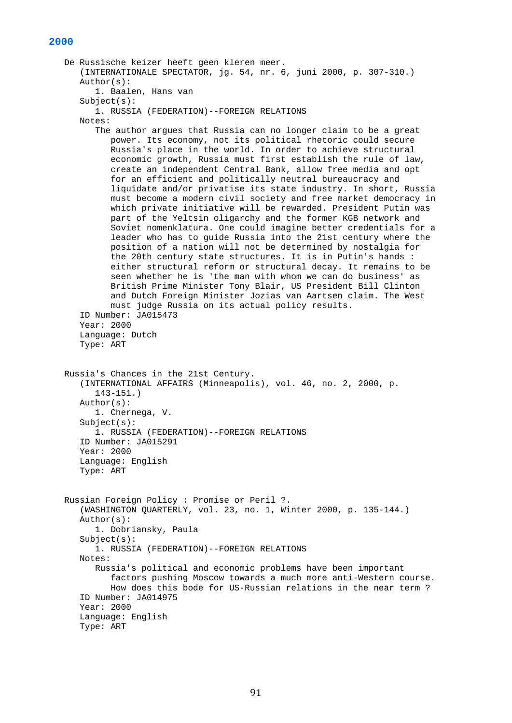## **2000**

```
 De Russische keizer heeft geen kleren meer. 
    (INTERNATIONALE SPECTATOR, jg. 54, nr. 6, juni 2000, p. 307-310.) 
    Author(s): 
       1. Baalen, Hans van 
    Subject(s): 
       1. RUSSIA (FEDERATION)--FOREIGN RELATIONS 
    Notes: 
       The author argues that Russia can no longer claim to be a great 
          power. Its economy, not its political rhetoric could secure 
          Russia's place in the world. In order to achieve structural 
          economic growth, Russia must first establish the rule of law, 
          create an independent Central Bank, allow free media and opt 
          for an efficient and politically neutral bureaucracy and 
          liquidate and/or privatise its state industry. In short, Russia 
          must become a modern civil society and free market democracy in 
          which private initiative will be rewarded. President Putin was 
          part of the Yeltsin oligarchy and the former KGB network and 
          Soviet nomenklatura. One could imagine better credentials for a 
          leader who has to guide Russia into the 21st century where the 
          position of a nation will not be determined by nostalgia for 
          the 20th century state structures. It is in Putin's hands : 
          either structural reform or structural decay. It remains to be 
          seen whether he is 'the man with whom we can do business' as 
          British Prime Minister Tony Blair, US President Bill Clinton 
          and Dutch Foreign Minister Jozias van Aartsen claim. The West 
          must judge Russia on its actual policy results. 
    ID Number: JA015473 
    Year: 2000 
    Language: Dutch 
    Type: ART 
 Russia's Chances in the 21st Century. 
    (INTERNATIONAL AFFAIRS (Minneapolis), vol. 46, no. 2, 2000, p. 
       143-151.) 
    Author(s): 
       1. Chernega, V. 
    Subject(s): 
       1. RUSSIA (FEDERATION)--FOREIGN RELATIONS 
    ID Number: JA015291 
    Year: 2000 
    Language: English 
    Type: ART 
 Russian Foreign Policy : Promise or Peril ?. 
    (WASHINGTON QUARTERLY, vol. 23, no. 1, Winter 2000, p. 135-144.) 
    Author(s): 
       1. Dobriansky, Paula 
    Subject(s): 
       1. RUSSIA (FEDERATION)--FOREIGN RELATIONS 
    Notes: 
       Russia's political and economic problems have been important 
          factors pushing Moscow towards a much more anti-Western course. 
          How does this bode for US-Russian relations in the near term ? 
    ID Number: JA014975 
    Year: 2000 
    Language: English 
    Type: ART
```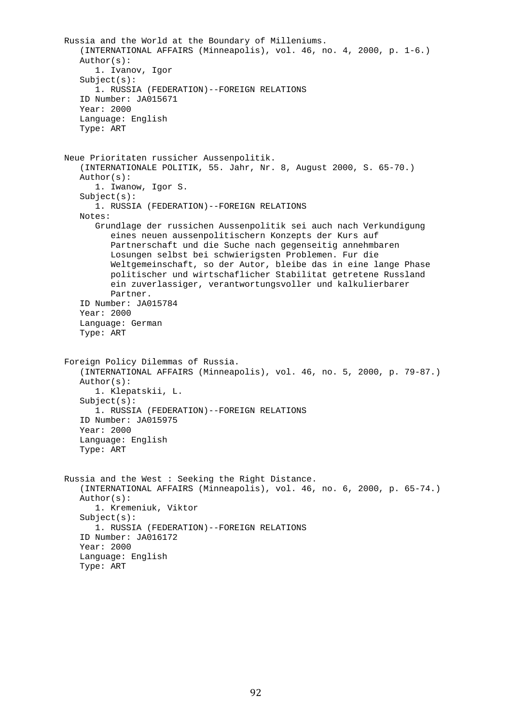```
 Russia and the World at the Boundary of Milleniums. 
    (INTERNATIONAL AFFAIRS (Minneapolis), vol. 46, no. 4, 2000, p. 1-6.) 
    Author(s): 
       1. Ivanov, Igor 
    Subject(s): 
       1. RUSSIA (FEDERATION)--FOREIGN RELATIONS 
    ID Number: JA015671 
    Year: 2000 
    Language: English 
    Type: ART 
 Neue Prioritaten russicher Aussenpolitik. 
    (INTERNATIONALE POLITIK, 55. Jahr, Nr. 8, August 2000, S. 65-70.) 
    Author(s): 
       1. Iwanow, Igor S. 
    Subject(s): 
       1. RUSSIA (FEDERATION)--FOREIGN RELATIONS 
    Notes: 
       Grundlage der russichen Aussenpolitik sei auch nach Verkundigung 
          eines neuen aussenpolitischern Konzepts der Kurs auf 
          Partnerschaft und die Suche nach gegenseitig annehmbaren 
          Losungen selbst bei schwierigsten Problemen. Fur die 
          Weltgemeinschaft, so der Autor, bleibe das in eine lange Phase 
          politischer und wirtschaflicher Stabilitat getretene Russland 
          ein zuverlassiger, verantwortungsvoller und kalkulierbarer 
          Partner. 
    ID Number: JA015784 
    Year: 2000 
    Language: German 
    Type: ART 
 Foreign Policy Dilemmas of Russia. 
    (INTERNATIONAL AFFAIRS (Minneapolis), vol. 46, no. 5, 2000, p. 79-87.) 
    Author(s): 
       1. Klepatskii, L. 
    Subject(s): 
       1. RUSSIA (FEDERATION)--FOREIGN RELATIONS 
    ID Number: JA015975 
    Year: 2000 
    Language: English 
    Type: ART 
 Russia and the West : Seeking the Right Distance. 
    (INTERNATIONAL AFFAIRS (Minneapolis), vol. 46, no. 6, 2000, p. 65-74.) 
    Author(s): 
       1. Kremeniuk, Viktor 
    Subject(s): 
       1. RUSSIA (FEDERATION)--FOREIGN RELATIONS 
    ID Number: JA016172 
    Year: 2000 
    Language: English 
    Type: ART
```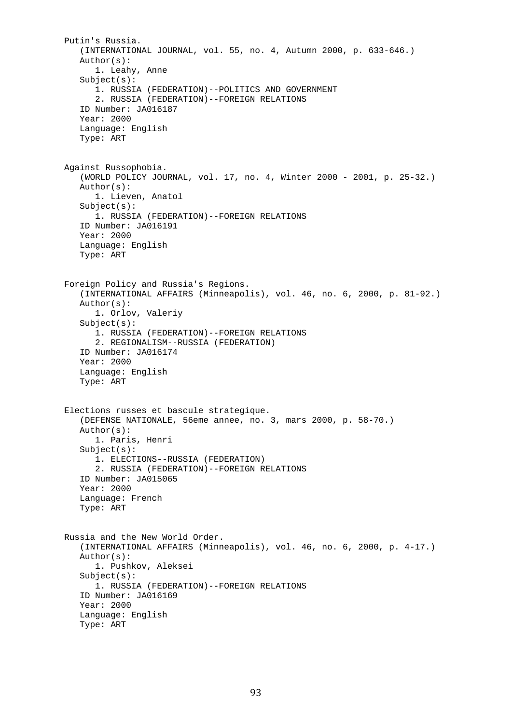```
 Putin's Russia. 
    (INTERNATIONAL JOURNAL, vol. 55, no. 4, Autumn 2000, p. 633-646.) 
    Author(s): 
       1. Leahy, Anne 
   Subject(s): 1. RUSSIA (FEDERATION)--POLITICS AND GOVERNMENT 
       2. RUSSIA (FEDERATION)--FOREIGN RELATIONS 
    ID Number: JA016187 
    Year: 2000 
    Language: English 
    Type: ART 
 Against Russophobia. 
    (WORLD POLICY JOURNAL, vol. 17, no. 4, Winter 2000 - 2001, p. 25-32.) 
    Author(s): 
       1. Lieven, Anatol 
    Subject(s): 
       1. RUSSIA (FEDERATION)--FOREIGN RELATIONS 
    ID Number: JA016191 
    Year: 2000 
    Language: English 
    Type: ART 
 Foreign Policy and Russia's Regions. 
    (INTERNATIONAL AFFAIRS (Minneapolis), vol. 46, no. 6, 2000, p. 81-92.) 
    Author(s): 
       1. Orlov, Valeriy 
    Subject(s): 
       1. RUSSIA (FEDERATION)--FOREIGN RELATIONS 
       2. REGIONALISM--RUSSIA (FEDERATION) 
    ID Number: JA016174 
    Year: 2000 
    Language: English 
    Type: ART 
 Elections russes et bascule strategique. 
    (DEFENSE NATIONALE, 56eme annee, no. 3, mars 2000, p. 58-70.) 
    Author(s): 
       1. Paris, Henri 
    Subject(s): 
       1. ELECTIONS--RUSSIA (FEDERATION) 
       2. RUSSIA (FEDERATION)--FOREIGN RELATIONS 
    ID Number: JA015065 
    Year: 2000 
    Language: French 
    Type: ART 
 Russia and the New World Order. 
    (INTERNATIONAL AFFAIRS (Minneapolis), vol. 46, no. 6, 2000, p. 4-17.) 
    Author(s): 
       1. Pushkov, Aleksei 
    Subject(s): 
       1. RUSSIA (FEDERATION)--FOREIGN RELATIONS 
    ID Number: JA016169 
    Year: 2000 
    Language: English 
    Type: ART
```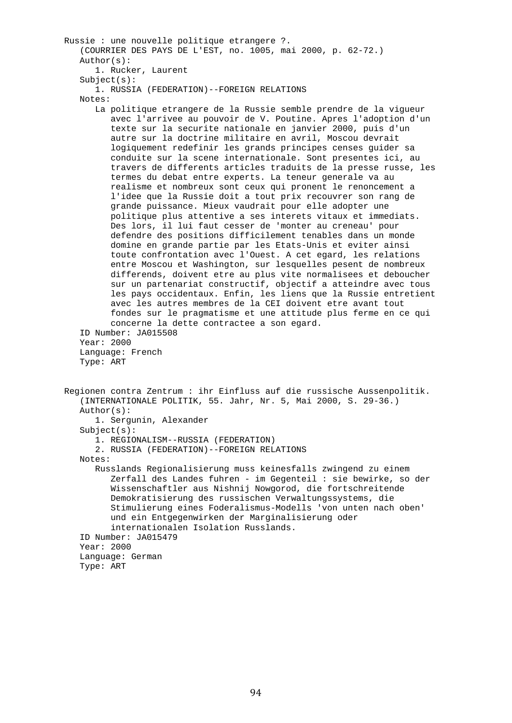```
 Russie : une nouvelle politique etrangere ?. 
    (COURRIER DES PAYS DE L'EST, no. 1005, mai 2000, p. 62-72.) 
    Author(s): 
       1. Rucker, Laurent 
   Subject(s): 1. RUSSIA (FEDERATION)--FOREIGN RELATIONS 
    Notes: 
       La politique etrangere de la Russie semble prendre de la vigueur 
          avec l'arrivee au pouvoir de V. Poutine. Apres l'adoption d'un 
          texte sur la securite nationale en janvier 2000, puis d'un 
          autre sur la doctrine militaire en avril, Moscou devrait 
          logiquement redefinir les grands principes censes guider sa 
          conduite sur la scene internationale. Sont presentes ici, au 
          travers de differents articles traduits de la presse russe, les 
          termes du debat entre experts. La teneur generale va au 
          realisme et nombreux sont ceux qui pronent le renoncement a 
          l'idee que la Russie doit a tout prix recouvrer son rang de 
          grande puissance. Mieux vaudrait pour elle adopter une 
          politique plus attentive a ses interets vitaux et immediats. 
          Des lors, il lui faut cesser de 'monter au creneau' pour 
          defendre des positions difficilement tenables dans un monde 
          domine en grande partie par les Etats-Unis et eviter ainsi 
          toute confrontation avec l'Ouest. A cet egard, les relations 
          entre Moscou et Washington, sur lesquelles pesent de nombreux 
          differends, doivent etre au plus vite normalisees et deboucher 
          sur un partenariat constructif, objectif a atteindre avec tous 
          les pays occidentaux. Enfin, les liens que la Russie entretient 
          avec les autres membres de la CEI doivent etre avant tout 
          fondes sur le pragmatisme et une attitude plus ferme en ce qui 
          concerne la dette contractee a son egard. 
    ID Number: JA015508 
    Year: 2000 
    Language: French 
    Type: ART 
 Regionen contra Zentrum : ihr Einfluss auf die russische Aussenpolitik. 
    (INTERNATIONALE POLITIK, 55. Jahr, Nr. 5, Mai 2000, S. 29-36.) 
    Author(s): 
       1. Sergunin, Alexander 
   Subject(s): 1. REGIONALISM--RUSSIA (FEDERATION) 
       2. RUSSIA (FEDERATION)--FOREIGN RELATIONS 
    Notes: 
       Russlands Regionalisierung muss keinesfalls zwingend zu einem 
          Zerfall des Landes fuhren - im Gegenteil : sie bewirke, so der 
          Wissenschaftler aus Nishnij Nowgorod, die fortschreitende 
          Demokratisierung des russischen Verwaltungssystems, die 
          Stimulierung eines Foderalismus-Modells 'von unten nach oben' 
          und ein Entgegenwirken der Marginalisierung oder 
          internationalen Isolation Russlands. 
    ID Number: JA015479 
    Year: 2000 
    Language: German 
    Type: ART
```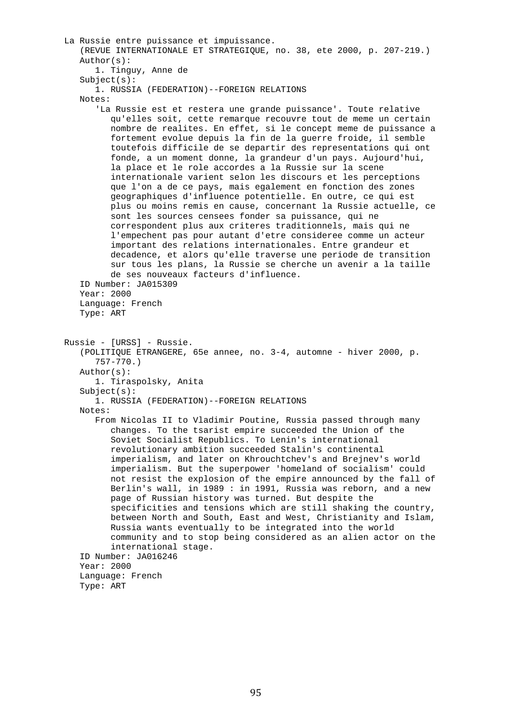```
 La Russie entre puissance et impuissance. 
    (REVUE INTERNATIONALE ET STRATEGIQUE, no. 38, ete 2000, p. 207-219.) 
    Author(s): 
       1. Tinguy, Anne de 
   Subject(s): 1. RUSSIA (FEDERATION)--FOREIGN RELATIONS 
    Notes: 
       'La Russie est et restera une grande puissance'. Toute relative 
          qu'elles soit, cette remarque recouvre tout de meme un certain 
          nombre de realites. En effet, si le concept meme de puissance a 
          fortement evolue depuis la fin de la guerre froide, il semble 
          toutefois difficile de se departir des representations qui ont 
          fonde, a un moment donne, la grandeur d'un pays. Aujourd'hui, 
          la place et le role accordes a la Russie sur la scene 
          internationale varient selon les discours et les perceptions 
          que l'on a de ce pays, mais egalement en fonction des zones 
          geographiques d'influence potentielle. En outre, ce qui est 
          plus ou moins remis en cause, concernant la Russie actuelle, ce 
          sont les sources censees fonder sa puissance, qui ne 
          correspondent plus aux criteres traditionnels, mais qui ne 
          l'empechent pas pour autant d'etre consideree comme un acteur 
          important des relations internationales. Entre grandeur et 
          decadence, et alors qu'elle traverse une periode de transition 
          sur tous les plans, la Russie se cherche un avenir a la taille 
          de ses nouveaux facteurs d'influence. 
    ID Number: JA015309 
    Year: 2000 
    Language: French 
    Type: ART 
 Russie - [URSS] - Russie. 
    (POLITIQUE ETRANGERE, 65e annee, no. 3-4, automne - hiver 2000, p. 
       757-770.) 
    Author(s): 
       1. Tiraspolsky, Anita 
    Subject(s): 
       1. RUSSIA (FEDERATION)--FOREIGN RELATIONS 
    Notes: 
       From Nicolas II to Vladimir Poutine, Russia passed through many 
          changes. To the tsarist empire succeeded the Union of the 
          Soviet Socialist Republics. To Lenin's international 
          revolutionary ambition succeeded Stalin's continental 
          imperialism, and later on Khrouchtchev's and Brejnev's world 
          imperialism. But the superpower 'homeland of socialism' could 
          not resist the explosion of the empire announced by the fall of 
          Berlin's wall, in 1989 : in 1991, Russia was reborn, and a new 
          page of Russian history was turned. But despite the 
          specificities and tensions which are still shaking the country, 
          between North and South, East and West, Christianity and Islam, 
          Russia wants eventually to be integrated into the world 
          community and to stop being considered as an alien actor on the 
          international stage. 
    ID Number: JA016246 
    Year: 2000 
    Language: French 
    Type: ART
```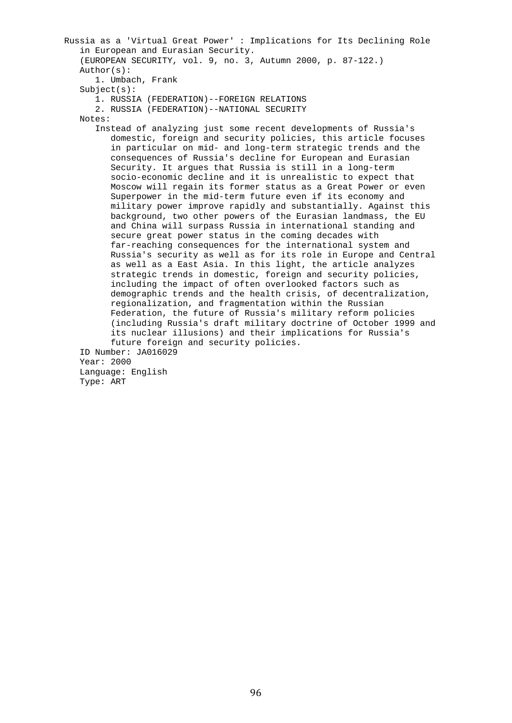```
 Russia as a 'Virtual Great Power' : Implications for Its Declining Role 
    in European and Eurasian Security. 
    (EUROPEAN SECURITY, vol. 9, no. 3, Autumn 2000, p. 87-122.) 
    Author(s): 
       1. Umbach, Frank 
    Subject(s): 
       1. RUSSIA (FEDERATION)--FOREIGN RELATIONS 
       2. RUSSIA (FEDERATION)--NATIONAL SECURITY 
    Notes: 
       Instead of analyzing just some recent developments of Russia's 
          domestic, foreign and security policies, this article focuses 
          in particular on mid- and long-term strategic trends and the 
          consequences of Russia's decline for European and Eurasian 
          Security. It argues that Russia is still in a long-term 
          socio-economic decline and it is unrealistic to expect that 
          Moscow will regain its former status as a Great Power or even 
          Superpower in the mid-term future even if its economy and 
          military power improve rapidly and substantially. Against this 
          background, two other powers of the Eurasian landmass, the EU 
          and China will surpass Russia in international standing and 
          secure great power status in the coming decades with 
          far-reaching consequences for the international system and 
          Russia's security as well as for its role in Europe and Central 
          as well as a East Asia. In this light, the article analyzes 
          strategic trends in domestic, foreign and security policies, 
          including the impact of often overlooked factors such as 
          demographic trends and the health crisis, of decentralization, 
          regionalization, and fragmentation within the Russian 
          Federation, the future of Russia's military reform policies 
          (including Russia's draft military doctrine of October 1999 and 
          its nuclear illusions) and their implications for Russia's 
          future foreign and security policies. 
    ID Number: JA016029 
    Year: 2000 
    Language: English 
    Type: ART
```